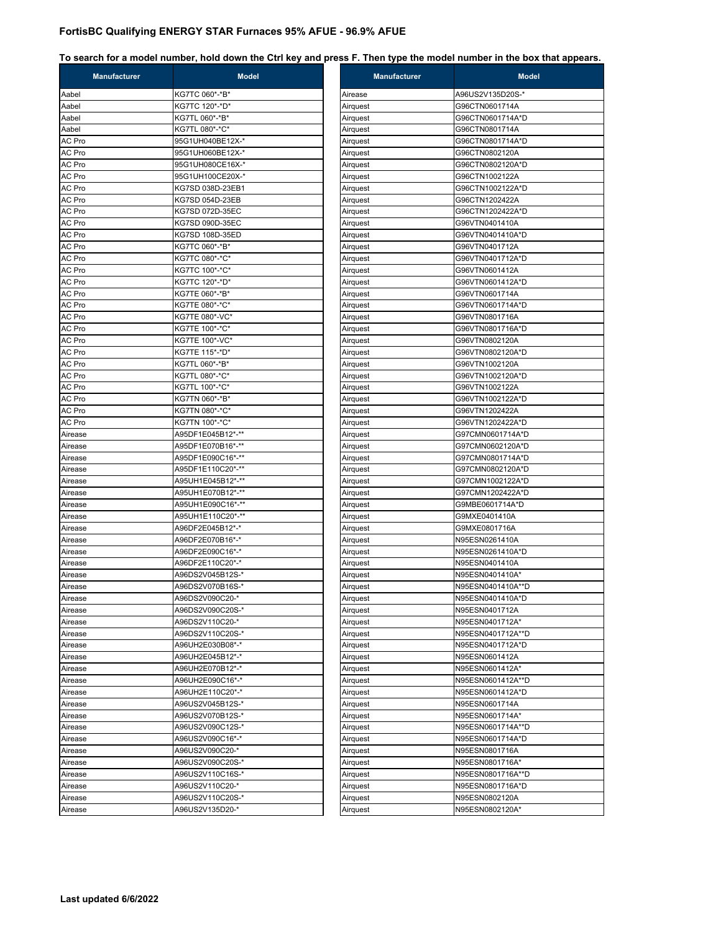| <b>Manufacturer</b> | <b>Model</b>                        | Manufacturer         | <b>Model</b>                       |
|---------------------|-------------------------------------|----------------------|------------------------------------|
| Aabel               | KG7TC 060*-*B*                      | Airease              | A96US2V135D20S-*                   |
| Aabel               | KG7TC 120*-*D*                      | Airquest             | G96CTN0601714A                     |
| Aabel               | KG7TL 060*-*B*                      | Airquest             | G96CTN0601714A*D                   |
| Aabel               | KG7TL 080*-*C*                      | Airquest             | G96CTN0801714A                     |
| AC Pro              | 95G1UH040BE12X-*                    | Airquest             | G96CTN0801714A*D                   |
| AC Pro              | 95G1UH060BE12X-*                    | Airquest             | G96CTN0802120A                     |
| AC Pro              | 95G1UH080CE16X-*                    | Airquest             | G96CTN0802120A*D                   |
| AC Pro              | 95G1UH100CE20X-*                    | Airquest             | G96CTN1002122A                     |
| AC Pro              | KG7SD 038D-23EB1                    | Airquest             | G96CTN1002122A*D                   |
| AC Pro              | KG7SD 054D-23EB                     | Airquest             | G96CTN1202422A                     |
| AC Pro              | KG7SD 072D-35EC                     | Airquest             | G96CTN1202422A*D                   |
| AC Pro              | KG7SD 090D-35EC                     | Airquest             | G96VTN0401410A                     |
| AC Pro              | KG7SD 108D-35ED                     | Airquest             | G96VTN0401410A*D                   |
| AC Pro              | KG7TC 060*-*B*                      | Airquest             | G96VTN0401712A                     |
| AC Pro              | KG7TC 080*-*C*                      | Airquest             | G96VTN0401712A*D                   |
| AC Pro              | KG7TC 100*-*C*                      | Airquest             | G96VTN0601412A                     |
| AC Pro              | KG7TC 120*-*D*                      | Airquest             | G96VTN0601412A*D                   |
| AC Pro              | KG7TE 060*-*B*                      | Airquest             | G96VTN0601714A                     |
| AC Pro              | KG7TE 080*-*C*                      | Airquest             | G96VTN0601714A*D                   |
| AC Pro              | KG7TE 080*-VC*                      | Airquest             | G96VTN0801716A                     |
| AC Pro              | KG7TE 100*-*C*                      | Airquest             | G96VTN0801716A*D                   |
| AC Pro              | KG7TE 100*-VC*                      | Airquest             | G96VTN0802120A                     |
| AC Pro              | KG7TE 115*-*D*                      | Airquest             | G96VTN0802120A*D                   |
| AC Pro              | KG7TL 060*-*B*                      | Airquest             | G96VTN1002120A                     |
| AC Pro              | KG7TL 080*-*C*                      | Airquest             | G96VTN1002120A*D                   |
| AC Pro              | KG7TL 100*-*C*                      | Airquest             | G96VTN1002122A                     |
| AC Pro              | KG7TN 060*-*B*                      | Airquest             | G96VTN1002122A*D                   |
| AC Pro              | KG7TN 080*-*C*                      | Airquest             | G96VTN1202422A                     |
| AC Pro              | KG7TN 100*-*C*                      | Airquest             | G96VTN1202422A*D                   |
| Airease             | A95DF1E045B12*-**                   | Airquest             | G97CMN0601714A*D                   |
| Airease             | A95DF1E070B16*-**                   | Airquest             | G97CMN0602120A*D                   |
| Airease             | A95DF1E090C16*-**                   | Airquest             | G97CMN0801714A*D                   |
| Airease             | A95DF1E110C20*-**                   | Airquest             | G97CMN0802120A*D                   |
| Airease             | A95UH1E045B12*-**                   | Airquest             | G97CMN1002122A*D                   |
| Airease             | A95UH1E070B12*-**                   | Airquest             | G97CMN1202422A*D                   |
| Airease             | A95UH1E090C16*-**                   | Airquest             | G9MBE0601714A*D                    |
| Airease             | A95UH1E110C20*-**                   | Airquest             | G9MXE0401410A                      |
| Airease             | A96DF2E045B12*-*                    | Airquest             | G9MXE0801716A                      |
| Airease             | A96DF2E070B16*-*                    | Airquest             | N95ESN0261410A                     |
| Airease             | A96DF2E090C16*-*                    | Airquest             | N95ESN0261410A*D                   |
| Airease             | A96DF2E110C20*-*                    | Airquest             | N95ESN0401410A                     |
| Airease             | A96DS2V045B12S-*                    | Airquest             | N95ESN0401410A*                    |
| Airease             | A96DS2V070B16S-*                    | Airquest             | N95ESN0401410A**D                  |
| Airease             | A96DS2V090C20-*                     | Airquest             | N95ESN0401410A*D                   |
| Airease             | A96DS2V090C20S-*                    | Airquest             | N95ESN0401712A                     |
| Airease             | A96DS2V110C20-*                     | Airquest             | N95ESN0401712A*                    |
| Airease             | A96DS2V110C20S-*                    | Airquest             | N95ESN0401712A**D                  |
| Airease             | A96UH2E030B08*-*                    | Airquest             | N95ESN0401712A*D                   |
| Airease             | A96UH2E045B12*-*                    | Airquest             | N95ESN0601412A                     |
| Airease             | A96UH2E070B12*-*                    | Airquest             | N95ESN0601412A*                    |
| Airease             | A96UH2E090C16*-*                    | Airquest             | N95ESN0601412A**D                  |
| Airease             | A96UH2E110C20*-*                    | Airquest             | N95ESN0601412A*D                   |
| Airease             | A96US2V045B12S-*                    | Airquest             | N95ESN0601714A                     |
| Airease             | A96US2V070B12S-*                    | Airquest             | N95ESN0601714A*                    |
| Airease             | A96US2V090C12S-*                    | Airquest             | N95ESN0601714A**D                  |
| Airease             | A96US2V090C16*-*                    | Airquest             | N95ESN0601714A*D                   |
|                     | A96US2V090C20-*                     | Airquest             | N95ESN0801716A                     |
|                     |                                     | Airquest             | N95ESN0801716A*                    |
| Airease             |                                     |                      |                                    |
|                     | A96US2V090C20S-*                    |                      |                                    |
| Airease<br>Airease  | A96US2V110C16S-*                    | Airquest             | N95ESN0801716A**D                  |
| Airease<br>Airease  | A96US2V110C20-*<br>A96US2V110C20S-* | Airquest<br>Airquest | N95ESN0801716A*D<br>N95ESN0802120A |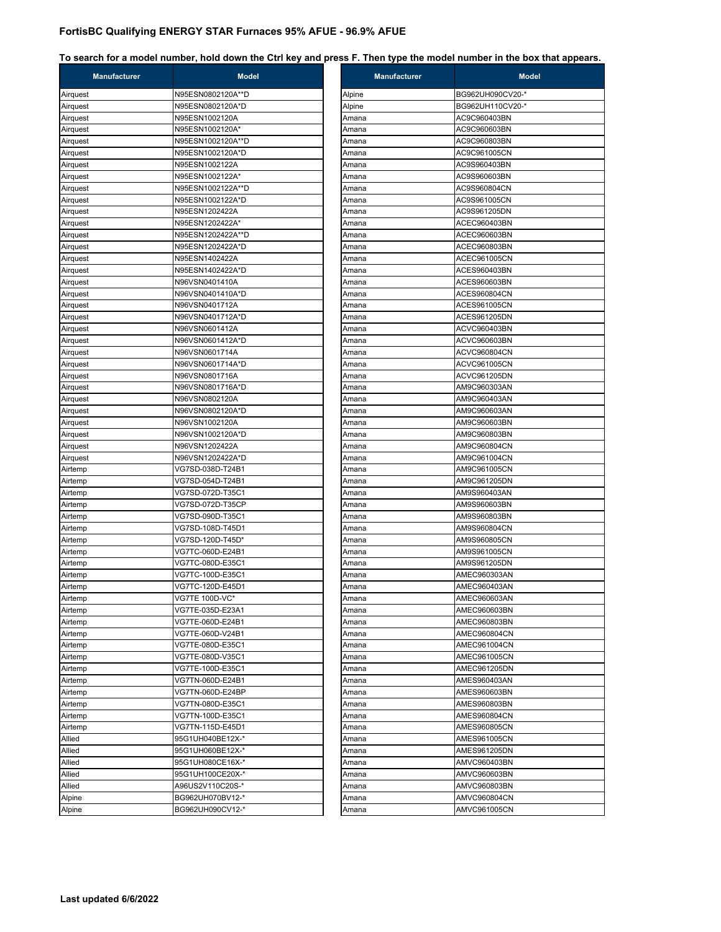| <b>Manufacturer</b> | <b>Model</b>      | Manufacturer | M                |
|---------------------|-------------------|--------------|------------------|
| Airquest            | N95ESN0802120A**D | Alpine       | BG962UH090CV20-* |
| Airquest            | N95ESN0802120A*D  | Alpine       | BG962UH110CV20-* |
| Airquest            | N95ESN1002120A    | Amana        | AC9C960403BN     |
| Airquest            | N95ESN1002120A*   | Amana        | AC9C960603BN     |
| Airquest            | N95ESN1002120A**D | Amana        | AC9C960803BN     |
| Airquest            | N95ESN1002120A*D  | Amana        | AC9C961005CN     |
| Airquest            | N95ESN1002122A    | Amana        | AC9S960403BN     |
| Airquest            | N95ESN1002122A*   | Amana        | AC9S960603BN     |
| Airquest            | N95ESN1002122A**D | Amana        | AC9S960804CN     |
| Airquest            | N95ESN1002122A*D  | Amana        | AC9S961005CN     |
| Airquest            | N95ESN1202422A    | Amana        | AC9S961205DN     |
| Airquest            | N95ESN1202422A*   | Amana        | ACEC960403BN     |
| Airquest            | N95ESN1202422A**D | Amana        | ACEC960603BN     |
| Airquest            | N95ESN1202422A*D  | Amana        | ACEC960803BN     |
| Airquest            | N95ESN1402422A    | Amana        | ACEC961005CN     |
| Airquest            | N95ESN1402422A*D  | Amana        | ACES960403BN     |
| Airquest            | N96VSN0401410A    | Amana        | ACES960603BN     |
| Airquest            | N96VSN0401410A*D  | Amana        | ACES960804CN     |
| Airquest            | N96VSN0401712A    | Amana        | ACES961005CN     |
| Airquest            | N96VSN0401712A*D  | Amana        | ACES961205DN     |
| Airquest            | N96VSN0601412A    | Amana        | ACVC960403BN     |
| Airquest            | N96VSN0601412A*D  | Amana        | ACVC960603BN     |
| Airquest            | N96VSN0601714A    | Amana        | ACVC960804CN     |
| Airquest            | N96VSN0601714A*D  | Amana        | ACVC961005CN     |
| Airquest            | N96VSN0801716A    | Amana        | ACVC961205DN     |
| Airquest            | N96VSN0801716A*D  | Amana        | AM9C960303AN     |
| Airquest            | N96VSN0802120A    | Amana        | AM9C960403AN     |
| Airquest            | N96VSN0802120A*D  | Amana        | AM9C960603AN     |
| Airquest            | N96VSN1002120A    | Amana        | AM9C960603BN     |
| Airquest            | N96VSN1002120A*D  | Amana        | AM9C960803BN     |
| Airquest            | N96VSN1202422A    | Amana        | AM9C960804CN     |
| Airquest            | N96VSN1202422A*D  | Amana        | AM9C961004CN     |
| Airtemp             | VG7SD-038D-T24B1  | Amana        | AM9C961005CN     |
| Airtemp             | VG7SD-054D-T24B1  | Amana        | AM9C961205DN     |
| Airtemp             | VG7SD-072D-T35C1  | Amana        | AM9S960403AN     |
| Airtemp             | VG7SD-072D-T35CP  | Amana        | AM9S960603BN     |
| Airtemp             | VG7SD-090D-T35C1  | Amana        | AM9S960803BN     |
| Airtemp             | VG7SD-108D-T45D1  | Amana        | AM9S960804CN     |
| Airtemp             | VG7SD-120D-T45D*  | Amana        | AM9S960805CN     |
| Airtemp             | VG7TC-060D-E24B1  | Amana        | AM9S961005CN     |
| Airtemp             | VG7TC-080D-E35C1  | Amana        | AM9S961205DN     |
| Airtemp             | VG7TC-100D-E35C1  | Amana        | AMEC960303AN     |
| Airtemp             | VG7TC-120D-E45D1  | Amana        | AMEC960403AN     |
| Airtemp             | VG7TE 100D-VC*    | Amana        | AMEC960603AN     |
| Airtemp             | VG7TE-035D-E23A1  | Amana        | AMEC960603BN     |
| Airtemp             | VG7TE-060D-E24B1  | Amana        | AMEC960803BN     |
| Airtemp             | VG7TE-060D-V24B1  | Amana        | AMEC960804CN     |
| Airtemp             | VG7TE-080D-E35C1  | Amana        | AMEC961004CN     |
| Airtemp             | VG7TE-080D-V35C1  | Amana        | AMEC961005CN     |
| Airtemp             | VG7TE-100D-E35C1  | Amana        | AMEC961205DN     |
| Airtemp             | VG7TN-060D-E24B1  | Amana        | AMES960403AN     |
| Airtemp             | VG7TN-060D-E24BP  | Amana        | AMES960603BN     |
| Airtemp             | VG7TN-080D-E35C1  | Amana        | AMES960803BN     |
| Airtemp             | VG7TN-100D-E35C1  | Amana        | AMES960804CN     |
| Airtemp             | VG7TN-115D-E45D1  | Amana        | AMES960805CN     |
| Allied              | 95G1UH040BE12X-*  | Amana        | AMES961005CN     |
| Allied              | 95G1UH060BE12X-*  | Amana        | AMES961205DN     |
| Allied              | 95G1UH080CE16X-*  | Amana        | AMVC960403BN     |
| Allied              | 95G1UH100CE20X-*  | Amana        | AMVC960603BN     |
| Allied              | A96US2V110C20S-*  | Amana        | AMVC960803BN     |
| Alpine              | BG962UH070BV12-*  | Amana        | AMVC960804CN     |
| Alpine              | BG962UH090CV12-*  | Amana        | AMVC961005CN     |

| <b>Manufacturer</b> | Model            |
|---------------------|------------------|
| Alpine              | BG962UH090CV20-* |
| Alpine              | BG962UH110CV20-* |
| Amana               | AC9C960403BN     |
| Amana               | AC9C960603BN     |
| Amana               | AC9C960803BN     |
| Amana               | AC9C961005CN     |
| Amana               | AC9S960403BN     |
| Amana               | AC9S960603BN     |
| Amana               | AC9S960804CN     |
| Amana               | AC9S961005CN     |
| Amana               | AC9S961205DN     |
| Amana               | ACEC960403BN     |
| Amana               | ACEC960603BN     |
| Amana               | ACEC960803BN     |
| Amana               | ACEC961005CN     |
| Amana               | ACES960403BN     |
| Amana               | ACES960603BN     |
| Amana               | ACES960804CN     |
| Amana               | ACES961005CN     |
| Amana               | ACES961205DN     |
| Amana               | ACVC960403BN     |
| Amana               | ACVC960603BN     |
| Amana               | ACVC960804CN     |
| Amana               | ACVC961005CN     |
| Amana               | ACVC961205DN     |
| Amana               | AM9C960303AN     |
| Amana               | AM9C960403AN     |
| Amana               | AM9C960603AN     |
| Amana               | AM9C960603BN     |
| Amana               | AM9C960803BN     |
| Amana               | AM9C960804CN     |
| Amana               | AM9C961004CN     |
| Amana               | AM9C961005CN     |
| Amana               | AM9C961205DN     |
| Amana               | AM9S960403AN     |
| Amana               | AM9S960603BN     |
| Amana               | AM9S960803BN     |
| Amana               | AM9S960804CN     |
| Amana               | AM9S960805CN     |
| Amana               | AM9S961005CN     |
| Amana               | AM9S961205DN     |
| Amana               | AMEC960303AN     |
| Amana               | AMEC960403AN     |
| Amana               | AMEC960603AN     |
| Amana               | AMEC960603BN     |
| Amana               | AMEC960803BN     |
| Amana               | AMEC960804CN     |
| Amana               | AMEC961004CN     |
| Amana               | AMEC961005CN     |
| Amana               | AMEC961205DN     |
| Amana               | AMES960403AN     |
| Amana               | AMES960603BN     |
| Amana               | AMES960803BN     |
| Amana               | AMES960804CN     |
| Amana               | AMES960805CN     |
| Amana               | AMES961005CN     |
| Amana               | AMES961205DN     |
| Amana               | AMVC960403BN     |
| Amana               | AMVC960603BN     |
| Amana               | AMVC960803BN     |
| Amana               | AMVC960804CN     |
| Amana               | AMVC961005CN     |
|                     |                  |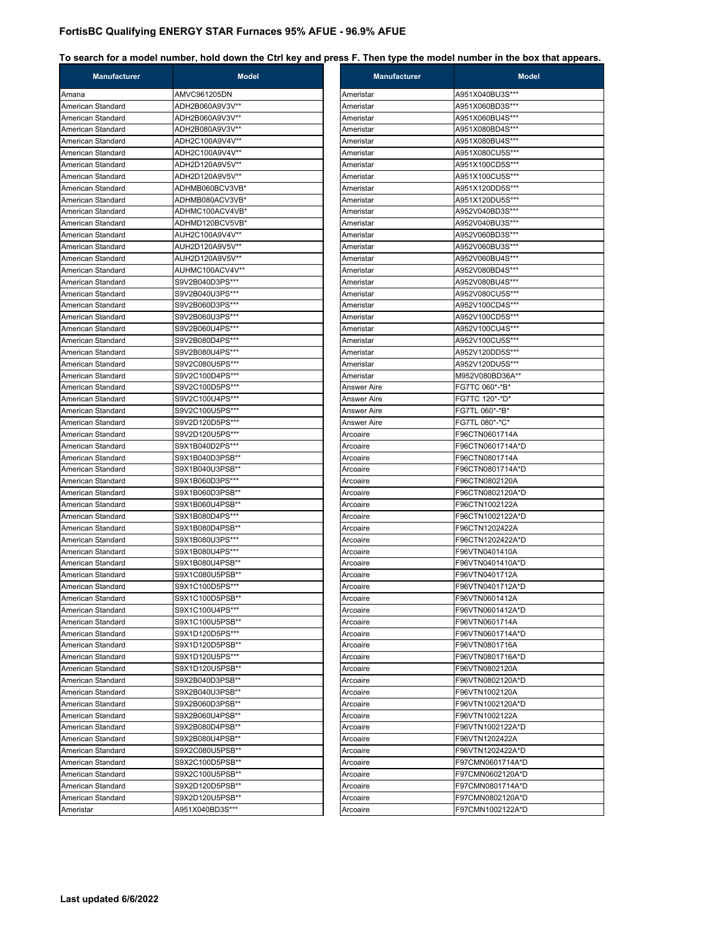| <b>Manufacturer</b> | <b>Model</b>    | <b>Manufacturer</b> | <b>Model</b>     |
|---------------------|-----------------|---------------------|------------------|
| Amana               | AMVC961205DN    | Ameristar           | A951X040BU3S***  |
| American Standard   | ADH2B060A9V3V** | Ameristar           | A951X060BD3S***  |
| American Standard   | ADH2B060A9V3V** | Ameristar           | A951X060BU4S***  |
| American Standard   | ADH2B080A9V3V** | Ameristar           | A951X080BD4S***  |
| American Standard   | ADH2C100A9V4V** | Ameristar           | A951X080BU4S***  |
| American Standard   | ADH2C100A9V4V** | Ameristar           | A951X080CU5S***  |
| American Standard   | ADH2D120A9V5V** | Ameristar           | A951X100CD5S***  |
| American Standard   | ADH2D120A9V5V** | Ameristar           | A951X100CU5S***  |
| American Standard   | ADHMB060BCV3VB* | Ameristar           | A951X120DD5S***  |
| American Standard   | ADHMB080ACV3VB* | Ameristar           | A951X120DU5S***  |
| American Standard   | ADHMC100ACV4VB* | Ameristar           | A952V040BD3S***  |
| American Standard   | ADHMD120BCV5VB* | Ameristar           | A952V040BU3S***  |
| American Standard   | AUH2C100A9V4V** | Ameristar           | A952V060BD3S***  |
| American Standard   | AUH2D120A9V5V** | Ameristar           | A952V060BU3S***  |
| American Standard   | AUH2D120A9V5V** | Ameristar           | A952V060BU4S***  |
| American Standard   | AUHMC100ACV4V** | Ameristar           | A952V080BD4S***  |
| American Standard   | S9V2B040D3PS*** | Ameristar           | A952V080BU4S***  |
| American Standard   | S9V2B040U3PS*** | Ameristar           | A952V080CU5S***  |
| American Standard   | S9V2B060D3PS*** | Ameristar           | A952V100CD4S***  |
| American Standard   | S9V2B060U3PS*** | Ameristar           | A952V100CD5S***  |
| American Standard   | S9V2B060U4PS*** | Ameristar           | A952V100CU4S***  |
| American Standard   | S9V2B080D4PS*** | Ameristar           | A952V100CU5S***  |
| American Standard   | S9V2B080U4PS*** | Ameristar           | A952V120DD5S***  |
| American Standard   | S9V2C080U5PS*** | Ameristar           | A952V120DU5S***  |
| American Standard   | S9V2C100D4PS*** | Ameristar           | M952V080BD36A**  |
| American Standard   | S9V2C100D5PS*** | Answer Aire         | FG7TC 060*-*B*   |
| American Standard   | S9V2C100U4PS*** | <b>Answer Aire</b>  | FG7TC 120*-*D*   |
| American Standard   | S9V2C100U5PS*** | Answer Aire         | FG7TL 060*-*B*   |
| American Standard   | S9V2D120D5PS*** | Answer Aire         | FG7TL 080*-*C*   |
| American Standard   | S9V2D120U5PS*** | Arcoaire            | F96CTN0601714A   |
| American Standard   | S9X1B040D2PS*** | Arcoaire            | F96CTN0601714A*D |
| American Standard   | S9X1B040D3PSB** | Arcoaire            | F96CTN0801714A   |
| American Standard   | S9X1B040U3PSB** | Arcoaire            | F96CTN0801714A*D |
| American Standard   | S9X1B060D3PS*** | Arcoaire            | F96CTN0802120A   |
| American Standard   | S9X1B060D3PSB** | Arcoaire            | F96CTN0802120A*D |
| American Standard   | S9X1B060U4PSB** | Arcoaire            | F96CTN1002122A   |
| American Standard   | S9X1B080D4PS*** | Arcoaire            | F96CTN1002122A*D |
| American Standard   | S9X1B080D4PSB** | Arcoaire            | F96CTN1202422A   |
| American Standard   | S9X1B080U3PS*** | Arcoaire            | F96CTN1202422A*D |
| American Standard   | S9X1B080U4PS*** | Arcoaire            | F96VTN0401410A   |
| American Standard   | S9X1B080U4PSB** | Arcoaire            | F96VTN0401410A*D |
| American Standard   | S9X1C080U5PSB** | Arcoaire            | F96VTN0401712A   |
| American Standard   | S9X1C100D5PS*** | Arcoaire            | F96VTN0401712A*D |
| American Standard   | S9X1C100D5PSB** | Arcoaire            | F96VTN0601412A   |
| American Standard   | S9X1C100U4PS*** | Arcoaire            | F96VTN0601412A*D |
| American Standard   | S9X1C100U5PSB** | Arcoaire            | F96VTN0601714A   |
| American Standard   | S9X1D120D5PS*** | Arcoaire            | F96VTN0601714A*D |
| American Standard   | S9X1D120D5PSB** | Arcoaire            | F96VTN0801716A   |
| American Standard   | S9X1D120U5PS*** | Arcoaire            | F96VTN0801716A*D |
| American Standard   | S9X1D120U5PSB** | Arcoaire            | F96VTN0802120A   |
| American Standard   | S9X2B040D3PSB** | Arcoaire            | F96VTN0802120A*D |
| American Standard   | S9X2B040U3PSB** | Arcoaire            | F96VTN1002120A   |
| American Standard   | S9X2B060D3PSB** | Arcoaire            | F96VTN1002120A*D |
| American Standard   | S9X2B060U4PSB** | Arcoaire            | F96VTN1002122A   |
| American Standard   | S9X2B080D4PSB** | Arcoaire            | F96VTN1002122A*D |
| American Standard   | S9X2B080U4PSB** | Arcoaire            | F96VTN1202422A   |
| American Standard   | S9X2C080U5PSB** | Arcoaire            | F96VTN1202422A*D |
| American Standard   | S9X2C100D5PSB** | Arcoaire            | F97CMN0601714A*D |
| American Standard   | S9X2C100U5PSB** | Arcoaire            | F97CMN0602120A*D |
| American Standard   | S9X2D120D5PSB** | Arcoaire            | F97CMN0801714A*D |
| American Standard   | S9X2D120U5PSB** | Arcoaire            | F97CMN0802120A*D |
| Ameristar           | A951X040BD3S*** | Arcoaire            | F97CMN1002122A*D |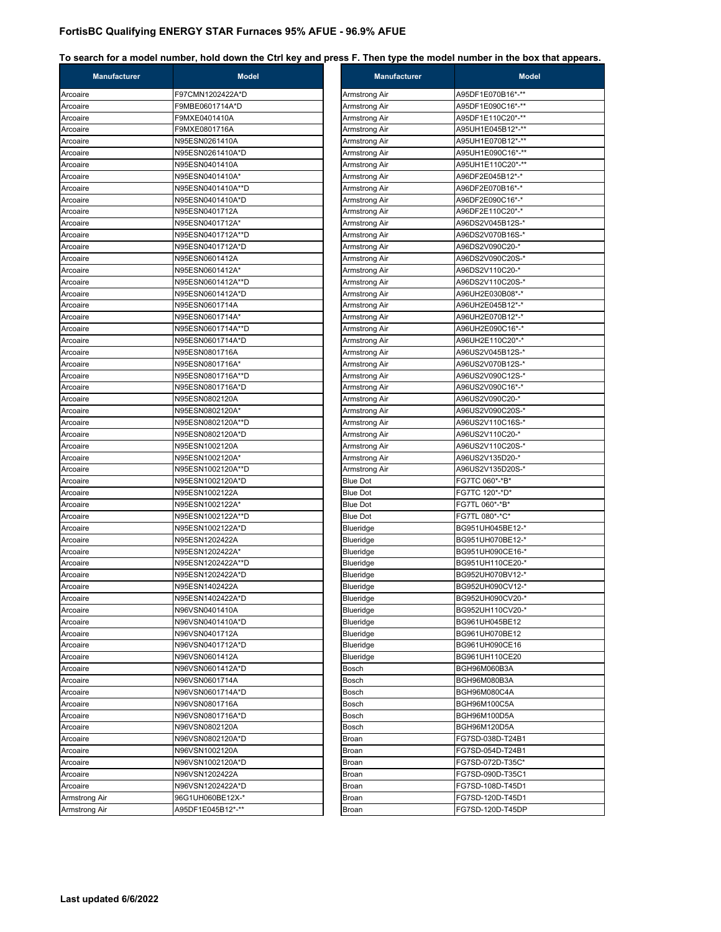| <b>Manufacturer</b>  | <b>Model</b>      | <b>Manufacturer</b>            | <b>Model</b>      |
|----------------------|-------------------|--------------------------------|-------------------|
| Arcoaire             | F97CMN1202422A*D  | Armstrong Air                  | A95DF1E070B16*-** |
| Arcoaire             | F9MBE0601714A*D   | Armstrong Air                  | A95DF1E090C16*-** |
| Arcoaire             | F9MXE0401410A     | Armstrong Air                  | A95DF1E110C20*-** |
| Arcoaire             | F9MXE0801716A     | Armstrong Air                  | A95UH1E045B12*-** |
| Arcoaire             | N95ESN0261410A    | Armstrong Air                  | A95UH1E070B12*-** |
| Arcoaire             | N95ESN0261410A*D  | Armstrong Air                  | A95UH1E090C16*-** |
| Arcoaire             | N95ESN0401410A    | Armstrong Air                  | A95UH1E110C20*-** |
| Arcoaire             | N95ESN0401410A*   | Armstrong Air                  | A96DF2E045B12*-*  |
| Arcoaire             | N95ESN0401410A**D | Armstrong Air                  | A96DF2E070B16*-*  |
| Arcoaire             | N95ESN0401410A*D  | Armstrong Air                  | A96DF2E090C16*-*  |
| Arcoaire             | N95ESN0401712A    | Armstrong Air                  | A96DF2E110C20*-*  |
| Arcoaire             | N95ESN0401712A*   | Armstrong Air                  | A96DS2V045B12S-*  |
| Arcoaire             | N95ESN0401712A**D | Armstrong Air                  | A96DS2V070B16S-*  |
| Arcoaire             | N95ESN0401712A*D  | Armstrong Air                  | A96DS2V090C20-*   |
| Arcoaire             | N95ESN0601412A    | Armstrong Air                  | A96DS2V090C20S-*  |
| Arcoaire             | N95ESN0601412A*   | Armstrong Air                  | A96DS2V110C20-*   |
| Arcoaire             | N95ESN0601412A**D | Armstrong Air                  | A96DS2V110C20S-*  |
| Arcoaire             | N95ESN0601412A*D  | Armstrong Air                  | A96UH2E030B08*-*  |
| Arcoaire             | N95ESN0601714A    | Armstrong Air                  | A96UH2E045B12*-*  |
|                      | N95ESN0601714A*   |                                | A96UH2E070B12*-*  |
| Arcoaire<br>Arcoaire | N95ESN0601714A**D | Armstrong Air<br>Armstrong Air | A96UH2E090C16*-*  |
|                      |                   |                                |                   |
| Arcoaire             | N95ESN0601714A*D  | Armstrong Air                  | A96UH2E110C20*-*  |
| Arcoaire             | N95ESN0801716A    | Armstrong Air                  | A96US2V045B12S-*  |
| Arcoaire             | N95ESN0801716A*   | Armstrong Air                  | A96US2V070B12S-*  |
| Arcoaire             | N95ESN0801716A**D | Armstrong Air                  | A96US2V090C12S-*  |
| Arcoaire             | N95ESN0801716A*D  | Armstrong Air                  | A96US2V090C16*-*  |
| Arcoaire             | N95ESN0802120A    | Armstrong Air                  | A96US2V090C20-*   |
| Arcoaire             | N95ESN0802120A*   | Armstrong Air                  | A96US2V090C20S-*  |
| Arcoaire             | N95ESN0802120A**D | Armstrong Air                  | A96US2V110C16S-*  |
| Arcoaire             | N95ESN0802120A*D  | Armstrong Air                  | A96US2V110C20-*   |
| Arcoaire             | N95ESN1002120A    | Armstrong Air                  | A96US2V110C20S-*  |
| Arcoaire             | N95ESN1002120A*   | Armstrong Air                  | A96US2V135D20-*   |
| Arcoaire             | N95ESN1002120A**D | Armstrong Air                  | A96US2V135D20S-*  |
| Arcoaire             | N95ESN1002120A*D  | <b>Blue Dot</b>                | FG7TC 060*-*B*    |
| Arcoaire             | N95ESN1002122A    | <b>Blue Dot</b>                | FG7TC 120*-*D*    |
| Arcoaire             | N95ESN1002122A*   | <b>Blue Dot</b>                | FG7TL 060*-*B*    |
| Arcoaire             | N95ESN1002122A**D | <b>Blue Dot</b>                | FG7TL 080*-*C*    |
| Arcoaire             | N95ESN1002122A*D  | Blueridge                      | BG951UH045BE12-*  |
| Arcoaire             | N95ESN1202422A    | Blueridge                      | BG951UH070BE12-*  |
| Arcoaire             | N95ESN1202422A*   | Blueridge                      | BG951UH090CE16-*  |
| Arcoaire             | N95ESN1202422A**D | Blueridge                      | BG951UH110CE20-*  |
| Arcoaire             | N95ESN1202422A*D  | Blueridge                      | BG952UH070BV12-*  |
| Arcoaire             | N95ESN1402422A    | Blueridge                      | BG952UH090CV12-*  |
| Arcoaire             | N95ESN1402422A*D  | Blueridge                      | BG952UH090CV20-*  |
| Arcoaire             | N96VSN0401410A    | Blueridge                      | BG952UH110CV20-*  |
| Arcoaire             | N96VSN0401410A*D  | Blueridge                      | BG961UH045BE12    |
| Arcoaire             | N96VSN0401712A    | Blueridge                      | BG961UH070BE12    |
| Arcoaire             | N96VSN0401712A*D  | Blueridge                      | BG961UH090CE16    |
| Arcoaire             | N96VSN0601412A    | Blueridge                      | BG961UH110CE20    |
| Arcoaire             | N96VSN0601412A*D  | Bosch                          | BGH96M060B3A      |
|                      | N96VSN0601714A    |                                | BGH96M080B3A      |
| Arcoaire             |                   | Bosch                          |                   |
| Arcoaire             | N96VSN0601714A*D  | Bosch                          | BGH96M080C4A      |
| Arcoaire             | N96VSN0801716A    | Bosch                          | BGH96M100C5A      |
| Arcoaire             | N96VSN0801716A*D  | Bosch                          | BGH96M100D5A      |
| Arcoaire             | N96VSN0802120A    | Bosch                          | BGH96M120D5A      |
| Arcoaire             | N96VSN0802120A*D  | Broan                          | FG7SD-038D-T24B1  |
| Arcoaire             | N96VSN1002120A    | Broan                          | FG7SD-054D-T24B1  |
| Arcoaire             | N96VSN1002120A*D  | Broan                          | FG7SD-072D-T35C*  |
| Arcoaire             | N96VSN1202422A    | Broan                          | FG7SD-090D-T35C1  |
| Arcoaire             | N96VSN1202422A*D  | Broan                          | FG7SD-108D-T45D1  |
| Armstrong Air        | 96G1UH060BE12X-*  | Broan                          | FG7SD-120D-T45D1  |
|                      |                   |                                |                   |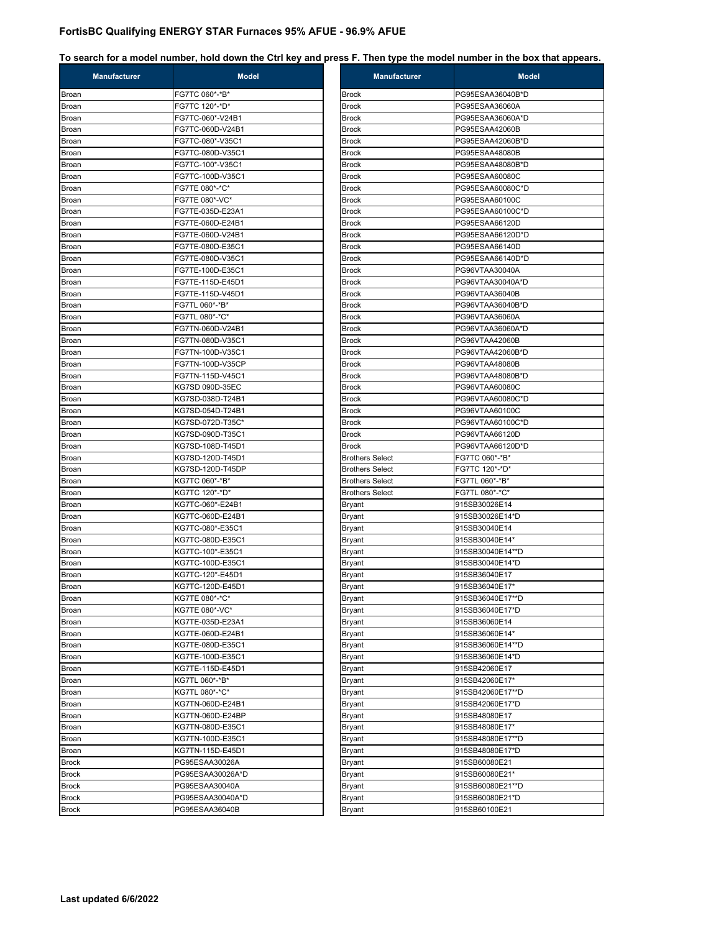| Manufacturer   | <b>Model</b>                         | Manufacturer           | <b>Model</b>                     |
|----------------|--------------------------------------|------------------------|----------------------------------|
| Broan          | FG7TC 060*-*B*                       | Brock                  | PG95ESAA36040B*D                 |
| Broan          | FG7TC 120*-*D*                       | <b>Brock</b>           | PG95ESAA36060A                   |
| Broan          | FG7TC-060*-V24B1                     | Brock                  | PG95ESAA36060A*D                 |
| Broan          | FG7TC-060D-V24B1                     | Brock                  | PG95ESAA42060B                   |
| Broan          | FG7TC-080*-V35C1                     | <b>Brock</b>           | PG95ESAA42060B*D                 |
| Broan          | FG7TC-080D-V35C1                     | Brock                  | PG95ESAA48080B                   |
| Broan          | FG7TC-100*-V35C1                     | Brock                  | PG95ESAA48080B*D                 |
| Broan          | FG7TC-100D-V35C1                     | <b>Brock</b>           | PG95ESAA60080C                   |
| Broan          | FG7TE 080*-*C*                       | Brock                  | PG95ESAA60080C*D                 |
| Broan          | FG7TE 080*-VC*                       | Brock                  | PG95ESAA60100C                   |
| Broan          | FG7TE-035D-E23A1                     | <b>Brock</b>           | PG95ESAA60100C*D                 |
| Broan          | FG7TE-060D-E24B1                     | <b>Brock</b>           | PG95ESAA66120D                   |
| Broan          | FG7TE-060D-V24B1                     | Brock                  | PG95ESAA66120D*D                 |
| Broan          | FG7TE-080D-E35C1                     | Brock                  | PG95ESAA66140D                   |
| Broan          | FG7TE-080D-V35C1                     | Brock                  | PG95ESAA66140D*D                 |
| Broan          | FG7TE-100D-E35C1                     | <b>Brock</b>           | PG96VTAA30040A                   |
| Broan          | FG7TE-115D-E45D1                     | Brock                  | PG96VTAA30040A*D                 |
| Broan          | FG7TE-115D-V45D1                     | Brock                  | PG96VTAA36040B                   |
| Broan          | FG7TL 060*-*B*                       | <b>Brock</b>           | PG96VTAA36040B*D                 |
| Broan          | FG7TL 080*-*C*                       | Brock                  | PG96VTAA36060A                   |
| Broan          | FG7TN-060D-V24B1                     | Brock                  | PG96VTAA36060A*D                 |
| Broan          | FG7TN-080D-V35C1                     | <b>Brock</b>           | PG96VTAA42060B                   |
| Broan          | FG7TN-100D-V35C1                     | <b>Brock</b>           | PG96VTAA42060B*D                 |
| Broan          | FG7TN-100D-V35CP                     | Brock                  | PG96VTAA48080B                   |
| Broan          | FG7TN-115D-V45C1                     | Brock                  | PG96VTAA48080B*D                 |
| Broan          | KG7SD 090D-35EC                      | <b>Brock</b>           | PG96VTAA60080C                   |
| Broan          | KG7SD-038D-T24B1                     | Brock                  | PG96VTAA60080C*D                 |
| Broan          | KG7SD-054D-T24B1                     | Brock                  | PG96VTAA60100C                   |
| Broan          | KG7SD-072D-T35C*                     | <b>Brock</b>           | PG96VTAA60100C*D                 |
| Broan          | KG7SD-090D-T35C1                     | <b>Brock</b>           | PG96VTAA66120D                   |
| Broan          | KG7SD-108D-T45D1                     | Brock                  | PG96VTAA66120D*D                 |
| Broan          | KG7SD-120D-T45D1                     | <b>Brothers Select</b> | FG7TC 060*-*B*                   |
| Broan          | KG7SD-120D-T45DP                     | <b>Brothers Select</b> | FG7TC 120*-*D*                   |
| Broan          | KG7TC 060*-*B*                       | <b>Brothers Select</b> | FG7TL 060*-*B*                   |
| Broan          | KG7TC 120*-*D*                       | <b>Brothers Select</b> | FG7TL 080*-*C*                   |
| Broan          | KG7TC-060*-E24B1<br>KG7TC-060D-E24B1 | Bryant                 | 915SB30026E14<br>915SB30026E14*D |
| Broan          | KG7TC-080*-E35C1                     | Bryant                 | 915SB30040E14                    |
| Broan<br>Broan | KG7TC-080D-E35C1                     | Bryant                 | 915SB30040E14*                   |
| Broan          | KG7TC-100*-E35C1                     | Bryant<br>Bryant       | 915SB30040E14**D                 |
| Broan          | KG7TC-100D-E35C1                     | Bryant                 | 915SB30040E14*D                  |
| Broan          | KG7TC-120*-E45D1                     | Bryant                 | 915SB36040E17                    |
| Broan          | KG7TC-120D-E45D1                     | Bryant                 | 915SB36040E17*                   |
| Broan          | KG7TE 080*-*C*                       | Bryant                 | 915SB36040E17**D                 |
| Broan          | KG7TE 080*-VC*                       | <b>Bryant</b>          | 915SB36040E17*D                  |
| Broan          | KG7TE-035D-E23A1                     | <b>Bryant</b>          | 915SB36060E14                    |
| Broan          | KG7TE-060D-E24B1                     | <b>Bryant</b>          | 915SB36060E14*                   |
| Broan          | KG7TE-080D-E35C1                     | Bryant                 | 915SB36060E14**D                 |
| Broan          | KG7TE-100D-E35C1                     | <b>Bryant</b>          | 915SB36060E14*D                  |
| Broan          | KG7TE-115D-E45D1                     | <b>Bryant</b>          | 915SB42060E17                    |
| Broan          | KG7TL 060*-*B*                       | Bryant                 | 915SB42060E17*                   |
| Broan          | KG7TL 080*-*C*                       | Bryant                 | 915SB42060E17**D                 |
| Broan          | KG7TN-060D-E24B1                     | <b>Bryant</b>          | 915SB42060E17*D                  |
| Broan          | KG7TN-060D-E24BP                     | Bryant                 | 915SB48080E17                    |
| Broan          | KG7TN-080D-E35C1                     | Bryant                 | 915SB48080E17*                   |
| Broan          | KG7TN-100D-E35C1                     | <b>Bryant</b>          | 915SB48080E17**D                 |
| Broan          | KG7TN-115D-E45D1                     | Bryant                 | 915SB48080E17*D                  |
| <b>Brock</b>   | PG95ESAA30026A                       | Bryant                 | 915SB60080E21                    |
| <b>Brock</b>   | PG95ESAA30026A*D                     | <b>Bryant</b>          | 915SB60080E21*                   |
| <b>Brock</b>   | PG95ESAA30040A                       | Bryant                 | 915SB60080E21**D                 |
| <b>Brock</b>   | PG95ESAA30040A*D                     | <b>Bryant</b>          | 915SB60080E21*D                  |
| <b>Brock</b>   | PG95ESAA36040B                       | Bryant                 | 915SB60100E21                    |
|                |                                      |                        |                                  |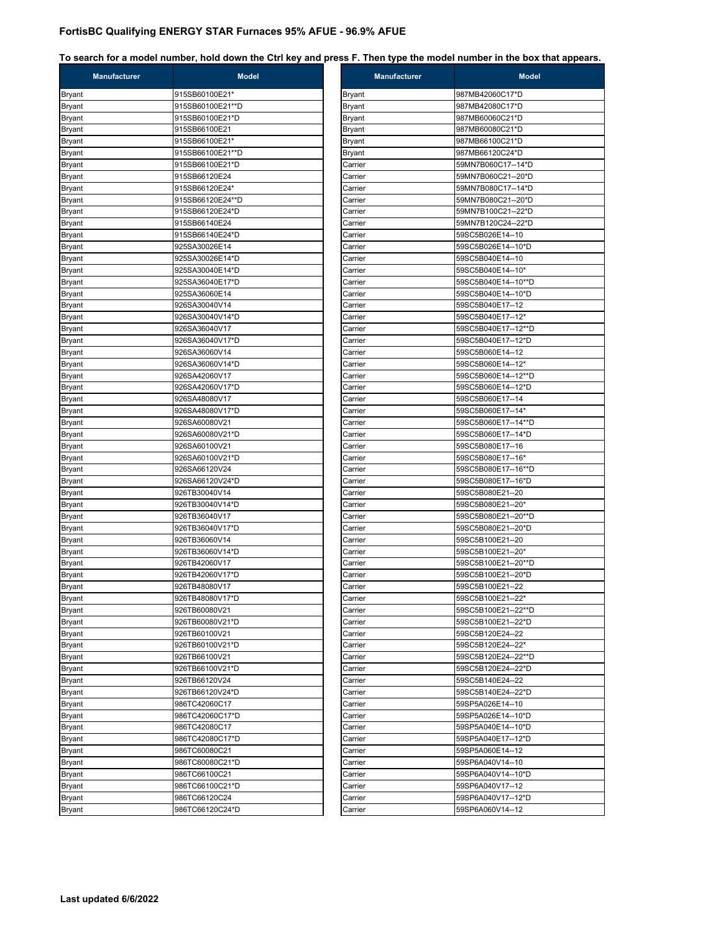| <b>Manufacturer</b> | <b>Model</b>     | <b>Manufacturer</b> | <b>Model</b>        |
|---------------------|------------------|---------------------|---------------------|
| Bryant              | 915SB60100E21*   | <b>Bryant</b>       | 987MB42060C17*D     |
| Bryant              | 915SB60100E21**D | <b>Bryant</b>       | 987MB42080C17*D     |
| Bryant              | 915SB60100E21*D  | <b>Bryant</b>       | 987MB60060C21*D     |
| Bryant              | 915SB66100E21    | <b>Bryant</b>       | 987MB60080C21*D     |
| Bryant              | 915SB66100E21*   | <b>Bryant</b>       | 987MB66100C21*D     |
| Bryant              | 915SB66100E21**D | <b>Bryant</b>       | 987MB66120C24*D     |
| Bryant              | 915SB66100E21*D  | Carrier             | 59MN7B060C17--14*D  |
| Bryant              | 915SB66120E24    | Carrier             | 59MN7B060C21--20*D  |
| Bryant              | 915SB66120E24*   | Carrier             | 59MN7B080C17--14*D  |
| Bryant              | 915SB66120E24**D | Carrier             | 59MN7B080C21--20*D  |
| Bryant              | 915SB66120E24*D  | Carrier             | 59MN7B100C21--22*D  |
| Bryant              | 915SB66140E24    | Carrier             | 59MN7B120C24--22*D  |
| Bryant              | 915SB66140E24*D  | Carrier             | 59SC5B026E14--10    |
| Bryant              | 925SA30026E14    | Carrier             | 59SC5B026E14--10*D  |
| <b>Bryant</b>       | 925SA30026E14*D  | Carrier             | 59SC5B040E14--10    |
| Bryant              | 925SA30040E14*D  | Carrier             | 59SC5B040E14--10*   |
| Bryant              | 925SA36040E17*D  | Carrier             | 59SC5B040E14--10**D |
| Bryant              | 925SA36060E14    | Carrier             | 59SC5B040E14--10*D  |
| Bryant              | 926SA30040V14    | Carrier             | 59SC5B040E17--12    |
| Bryant              | 926SA30040V14*D  | Carrier             | 59SC5B040E17--12*   |
| Bryant              | 926SA36040V17    | Carrier             | 59SC5B040E17--12**D |
| Bryant              | 926SA36040V17*D  | Carrier             | 59SC5B040E17--12*D  |
| Bryant              | 926SA36060V14    | Carrier             | 59SC5B060E14--12    |
| Bryant              | 926SA36060V14*D  | Carrier             | 59SC5B060E14--12*   |
| Bryant              | 926SA42060V17    | Carrier             | 59SC5B060E14--12**D |
| Bryant              | 926SA42060V17*D  | Carrier             | 59SC5B060E14--12*D  |
| Bryant              | 926SA48080V17    | Carrier             | 59SC5B060E17--14    |
| Bryant              | 926SA48080V17*D  | Carrier             | 59SC5B060E17--14*   |
| Bryant              | 926SA60080V21    | Carrier             | 59SC5B060E17--14**D |
| Bryant              | 926SA60080V21*D  | Carrier             | 59SC5B060E17--14*D  |
| Bryant              | 926SA60100V21    | Carrier             | 59SC5B080E17--16    |
| Bryant              | 926SA60100V21*D  | Carrier             | 59SC5B080E17--16*   |
| Bryant              | 926SA66120V24    | Carrier             | 59SC5B080E17--16**D |
| Bryant              | 926SA66120V24*D  | Carrier             | 59SC5B080E17--16*D  |
| Bryant              | 926TB30040V14    | Carrier             | 59SC5B080E21--20    |
| Bryant              | 926TB30040V14*D  | Carrier             | 59SC5B080E21--20*   |
| Bryant              | 926TB36040V17    | Carrier             | 59SC5B080E21--20**D |
| Bryant              | 926TB36040V17*D  | Carrier             | 59SC5B080E21--20*D  |
| Bryant              | 926TB36060V14    | Carrier             | 59SC5B100E21--20    |
| Bryant              | 926TB36060V14*D  | Carrier             | 59SC5B100E21--20*   |
| Bryant              | 926TB42060V17    | Carrier             | 59SC5B100E21--20**D |
| Bryant              | 926TB42060V17*D  | Carrier             | 59SC5B100E21--20*D  |
| Bryant              | 926TB48080V17    | Carrier             | 59SC5B100E21--22    |
| Bryant              | 926TB48080V17*D  | Carrier             | 59SC5B100E21--22*   |
| Bryant              | 926TB60080V21    | Carrier             | 59SC5B100E21--22**D |
| <b>Bryant</b>       | 926TB60080V21*D  | Carrier             | 59SC5B100E21--22*D  |
| Bryant              | 926TB60100V21    | Carrier             | 59SC5B120E24--22    |
| Bryant              | 926TB60100V21*D  | Carrier             | 59SC5B120E24--22*   |
| <b>Bryant</b>       | 926TB66100V21    | Carrier             | 59SC5B120E24--22**D |
| Bryant              | 926TB66100V21*D  | Carrier             | 59SC5B120E24--22*D  |
| Bryant              | 926TB66120V24    | Carrier             | 59SC5B140E24--22    |
| Bryant              | 926TB66120V24*D  | Carrier             | 59SC5B140E24--22*D  |
| Bryant              | 986TC42060C17    | Carrier             | 59SP5A026E14--10    |
| Bryant              | 986TC42060C17*D  | Carrier             | 59SP5A026E14--10*D  |
| Bryant              | 986TC42080C17    | Carrier             | 59SP5A040E14--10*D  |
| Bryant              | 986TC42080C17*D  | Carrier             | 59SP5A040E17--12*D  |
| Bryant              | 986TC60080C21    | Carrier             | 59SP5A060E14--12    |
| Bryant              | 986TC60080C21*D  | Carrier             | 59SP6A040V14--10    |
| Bryant              | 986TC66100C21    | Carrier             | 59SP6A040V14--10*D  |
| Bryant              | 986TC66100C21*D  | Carrier             | 59SP6A040V17--12    |
| Bryant              | 986TC66120C24    | Carrier             | 59SP6A040V17--12*D  |
| Bryant              | 986TC66120C24*D  | Carrier             | 59SP6A060V14--12    |

| <b>Manufacturer</b> | <b>MOGGI</b>        |
|---------------------|---------------------|
| Bryant              | 987MB42060C17*D     |
| Bryant              | 987MB42080C17*D     |
| Bryant              | 987MB60060C21*D     |
| Bryant              | 987MB60080C21*D     |
| Bryant              | 987MB66100C21*D     |
| Bryant              | 987MB66120C24*D     |
| Carrier             | 59MN7B060C17--14*D  |
| Carrier             | 59MN7B060C21--20*D  |
| Carrier             | 59MN7B080C17--14*D  |
| Carrier             | 59MN7B080C21--20*D  |
| Carrier             | 59MN7B100C21--22*D  |
| Carrier             | 59MN7B120C24--22*D  |
| Carrier             | 59SC5B026E14--10    |
| Carrier             | 59SC5B026E14--10*D  |
| Carrier             | 59SC5B040E14--10    |
| Carrier             | 59SC5B040E14--10*   |
| Carrier             | 59SC5B040E14--10**D |
| Carrier             | 59SC5B040E14--10*D  |
| Carrier             | 59SC5B040E17--12    |
| Carrier             | 59SC5B040E17--12*   |
| Carrier             | 59SC5B040E17--12**D |
| Carrier             | 59SC5B040E17--12*D  |
| Carrier             | 59SC5B060E14--12    |
| Carrier             | 59SC5B060E14--12*   |
| Carrier             | 59SC5B060E14--12**D |
| Carrier             | 59SC5B060E14--12*D  |
| Carrier             | 59SC5B060E17--14    |
| Carrier             | 59SC5B060E17--14*   |
| Carrier             | 59SC5B060E17--14**D |
| Carrier             | 59SC5B060E17--14*D  |
| Carrier             | 59SC5B080E17--16    |
| Carrier             | 59SC5B080E17--16*   |
| Carrier             | 59SC5B080E17--16**D |
| Carrier             | 59SC5B080E17--16*D  |
| Carrier             | 59SC5B080E21--20    |
| Carrier             | 59SC5B080E21--20*   |
| Carrier             | 59SC5B080E21--20**D |
| Carrier             | 59SC5B080E21--20*D  |
| Carrier             | 59SC5B100E21--20    |
| Carrier             | 59SC5B100E21--20*   |
| Carrier             | 59SC5B100E21--20**D |
| Carrier             | 59SC5B100E21--20*D  |
| Carrier             | 59SC5B100E21--22    |
| Carrier             | 59SC5B100E21--22*   |
| Carrier             | 59SC5B100E21--22**D |
| Carrier             | 59SC5B100E21--22*D  |
| Carrier             | 59SC5B120E24--22    |
| Carrier             | 59SC5B120E24--22*   |
| Carrier             | 59SC5B120E24--22**D |
| Carrier             | 59SC5B120E24--22*D  |
| Carrier             | 59SC5B140E24--22    |
| Carrier             | 59SC5B140E24--22*D  |
| Carrier             | 59SP5A026E14--10    |
| Carrier             | 59SP5A026E14--10*D  |
| Carrier             | 59SP5A040E14--10*D  |
| Carrier             | 59SP5A040E17--12*D  |
| Carrier             | 59SP5A060E14--12    |
| Carrier             | 59SP6A040V14--10    |
| Carrier             | 59SP6A040V14--10*D  |
| Carrier             | 59SP6A040V17--12    |
| Carrier             | 59SP6A040V17--12*D  |
| Carrier             | 59SP6A060V14--12    |
|                     |                     |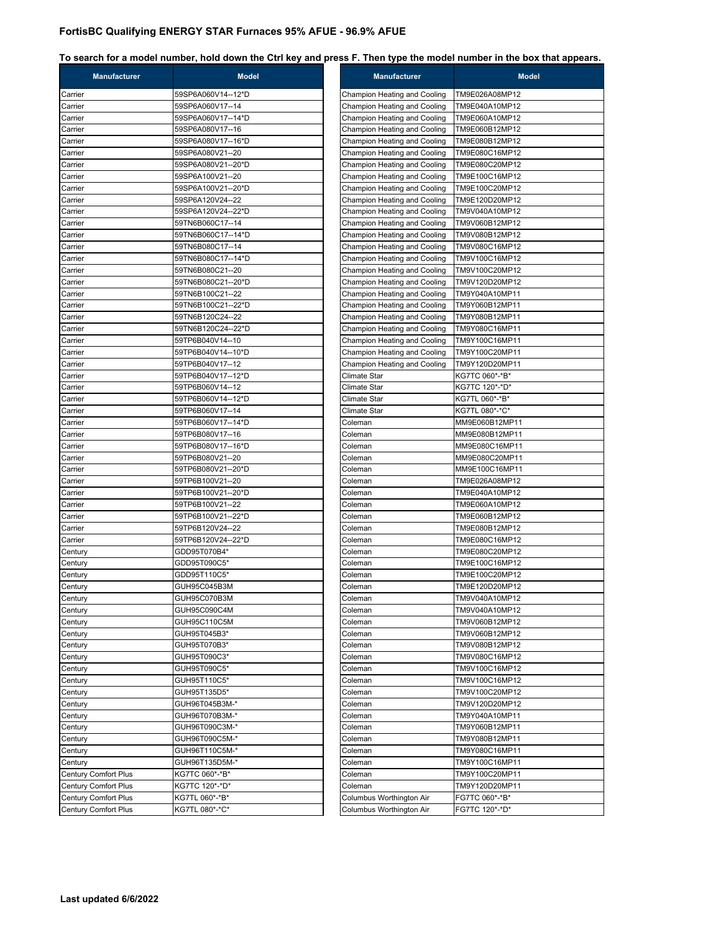| <b>Manufacturer</b>  | <b>Model</b>       | <b>Manufacturer</b>          | <b>Model</b>   |
|----------------------|--------------------|------------------------------|----------------|
| Carrier              | 59SP6A060V14--12*D | Champion Heating and Cooling | TM9E026A08MP12 |
| Carrier              | 59SP6A060V17--14   | Champion Heating and Cooling | TM9E040A10MP12 |
| Carrier              | 59SP6A060V17--14*D | Champion Heating and Cooling | TM9E060A10MP12 |
| Carrier              | 59SP6A080V17--16   | Champion Heating and Cooling | TM9E060B12MP12 |
| Carrier              | 59SP6A080V17--16*D | Champion Heating and Cooling | TM9E080B12MP12 |
| Carrier              | 59SP6A080V21--20   | Champion Heating and Cooling | TM9E080C16MP12 |
| Carrier              | 59SP6A080V21--20*D | Champion Heating and Cooling | TM9E080C20MP12 |
| Carrier              | 59SP6A100V21--20   | Champion Heating and Cooling | TM9E100C16MP12 |
| Carrier              | 59SP6A100V21--20*D | Champion Heating and Cooling | TM9E100C20MP12 |
| Carrier              | 59SP6A120V24--22   | Champion Heating and Cooling | TM9E120D20MP12 |
| Carrier              | 59SP6A120V24--22*D | Champion Heating and Cooling | TM9V040A10MP12 |
| Carrier              | 59TN6B060C17--14   | Champion Heating and Cooling | TM9V060B12MP12 |
| Carrier              | 59TN6B060C17--14*D | Champion Heating and Cooling | TM9V080B12MP12 |
| Carrier              | 59TN6B080C17--14   | Champion Heating and Cooling | TM9V080C16MP12 |
| Carrier              | 59TN6B080C17--14*D | Champion Heating and Cooling | TM9V100C16MP12 |
| Carrier              | 59TN6B080C21--20   | Champion Heating and Cooling | TM9V100C20MP12 |
| Carrier              | 59TN6B080C21--20*D | Champion Heating and Cooling | TM9V120D20MP12 |
| Carrier              | 59TN6B100C21--22   | Champion Heating and Cooling | TM9Y040A10MP11 |
| Carrier              | 59TN6B100C21--22*D | Champion Heating and Cooling | TM9Y060B12MP11 |
| Carrier              | 59TN6B120C24--22   | Champion Heating and Cooling | TM9Y080B12MP11 |
| Carrier              | 59TN6B120C24--22*D | Champion Heating and Cooling | TM9Y080C16MP11 |
| Carrier              | 59TP6B040V14--10   | Champion Heating and Cooling | TM9Y100C16MP11 |
| Carrier              | 59TP6B040V14--10*D | Champion Heating and Cooling | TM9Y100C20MP11 |
| Carrier              | 59TP6B040V17--12   | Champion Heating and Cooling | TM9Y120D20MP11 |
| Carrier              | 59TP6B040V17--12*D | Climate Star                 | KG7TC 060*-*B* |
| Carrier              | 59TP6B060V14--12   | <b>Climate Star</b>          | KG7TC 120*-*D* |
| Carrier              | 59TP6B060V14--12*D | Climate Star                 | KG7TL 060*-*B* |
| Carrier              | 59TP6B060V17--14   | <b>Climate Star</b>          | KG7TL 080*-*C* |
| Carrier              | 59TP6B060V17--14*D | Coleman                      | MM9E060B12MP11 |
| Carrier              | 59TP6B080V17--16   | Coleman                      | MM9E080B12MP11 |
| Carrier              | 59TP6B080V17--16*D | Coleman                      | MM9E080C16MP11 |
| Carrier              | 59TP6B080V21--20   | Coleman                      | MM9E080C20MP11 |
| Carrier              | 59TP6B080V21--20*D | Coleman                      | MM9E100C16MP11 |
| Carrier              | 59TP6B100V21--20   | Coleman                      | TM9E026A08MP12 |
| Carrier              | 59TP6B100V21--20*D | Coleman                      | TM9E040A10MP12 |
| Carrier              | 59TP6B100V21--22   | Coleman                      | TM9E060A10MP12 |
| Carrier              | 59TP6B100V21--22*D | Coleman                      | TM9E060B12MP12 |
| Carrier              | 59TP6B120V24--22   | Coleman                      | TM9E080B12MP12 |
| Carrier              | 59TP6B120V24--22*D | Coleman                      | TM9E080C16MP12 |
| Century              | GDD95T070B4*       | Coleman                      | TM9E080C20MP12 |
| Century              | GDD95T090C5*       | Coleman                      | TM9E100C16MP12 |
| Century              | GDD95T110C5*       | Coleman                      | TM9E100C20MP12 |
| Century              | GUH95C045B3M       | Coleman                      | TM9E120D20MP12 |
| Century              | GUH95C070B3M       | Coleman                      | TM9V040A10MP12 |
| Century              | GUH95C090C4M       | Coleman                      | TM9V040A10MP12 |
| Century              | GUH95C110C5M       | Coleman                      | TM9V060B12MP12 |
| Century              | GUH95T045B3*       | Coleman                      | TM9V060B12MP12 |
| Century              | GUH95T070B3*       | Coleman                      | TM9V080B12MP12 |
| Century              | GUH95T090C3*       | Coleman                      | TM9V080C16MP12 |
| Century              | GUH95T090C5*       | Coleman                      | TM9V100C16MP12 |
| Century              | GUH95T110C5*       | Coleman                      | TM9V100C16MP12 |
| Century              | GUH95T135D5*       | Coleman                      | TM9V100C20MP12 |
| Century              | GUH96T045B3M-*     | Coleman                      | TM9V120D20MP12 |
| Century              | GUH96T070B3M-*     | Coleman                      | TM9Y040A10MP11 |
| Century              | GUH96T090C3M-*     | Coleman                      | TM9Y060B12MP11 |
| Century              | GUH96T090C5M-*     | Coleman                      | TM9Y080B12MP11 |
| Century              | GUH96T110C5M-*     | Coleman                      | TM9Y080C16MP11 |
| Century              | GUH96T135D5M-*     | Coleman                      | TM9Y100C16MP11 |
| Century Comfort Plus | KG7TC 060*-*B*     | Coleman                      | TM9Y100C20MP11 |
| Century Comfort Plus | KG7TC 120*-*D*     | Coleman                      | TM9Y120D20MP11 |
| Century Comfort Plus | KG7TL 060*-*B*     | Columbus Worthington Air     | FG7TC 060*-*B* |
| Century Comfort Plus | KG7TL 080*-*C*     | Columbus Worthington Air     | FG7TC 120*-*D* |
|                      |                    |                              |                |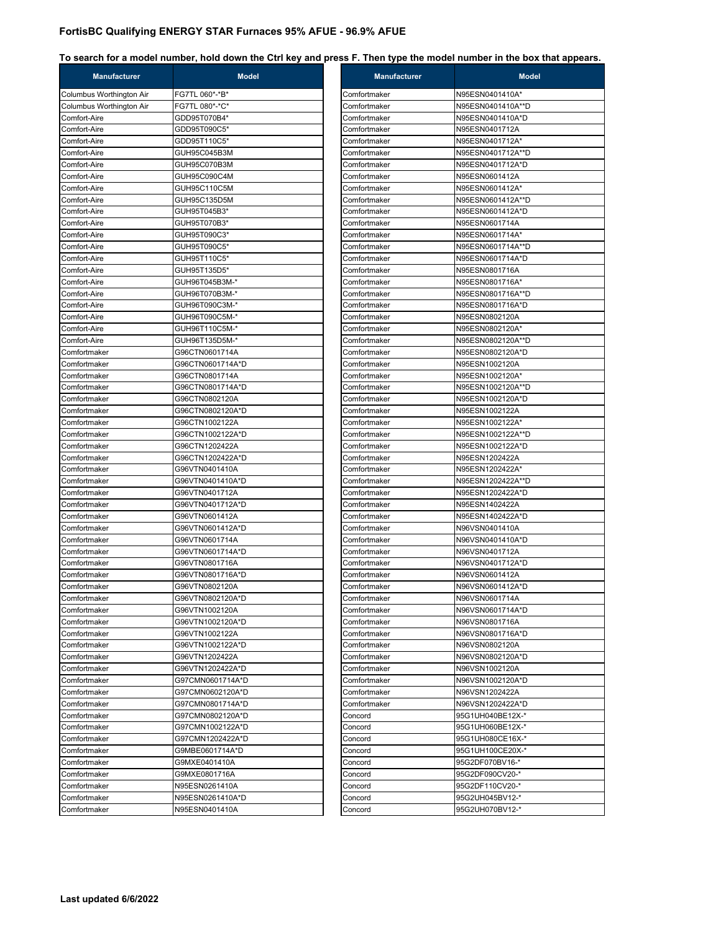| <b>Manufacturer</b>      | <b>Model</b>     | <b>Manufacturer</b> | <b>Model</b>      |
|--------------------------|------------------|---------------------|-------------------|
| Columbus Worthington Air | FG7TL 060*-*B*   | Comfortmaker        | N95ESN0401410A*   |
| Columbus Worthington Air | FG7TL 080*-*C*   | Comfortmaker        | N95ESN0401410A**D |
| Comfort-Aire             | GDD95T070B4*     | Comfortmaker        | N95ESN0401410A*D  |
| Comfort-Aire             | GDD95T090C5*     | Comfortmaker        | N95ESN0401712A    |
| Comfort-Aire             | GDD95T110C5*     | Comfortmaker        | N95ESN0401712A*   |
| Comfort-Aire             | GUH95C045B3M     | Comfortmaker        | N95ESN0401712A**D |
| Comfort-Aire             | GUH95C070B3M     | Comfortmaker        | N95ESN0401712A*D  |
| Comfort-Aire             | GUH95C090C4M     | Comfortmaker        | N95ESN0601412A    |
| Comfort-Aire             | GUH95C110C5M     | Comfortmaker        | N95ESN0601412A*   |
| Comfort-Aire             | GUH95C135D5M     | Comfortmaker        | N95ESN0601412A**D |
| Comfort-Aire             | GUH95T045B3*     | Comfortmaker        | N95ESN0601412A*D  |
| Comfort-Aire             | GUH95T070B3*     | Comfortmaker        | N95ESN0601714A    |
| Comfort-Aire             | GUH95T090C3*     | Comfortmaker        | N95ESN0601714A*   |
| Comfort-Aire             | GUH95T090C5*     | Comfortmaker        | N95ESN0601714A**D |
| Comfort-Aire             | GUH95T110C5*     | Comfortmaker        | N95ESN0601714A*D  |
| Comfort-Aire             | GUH95T135D5*     | Comfortmaker        | N95ESN0801716A    |
| Comfort-Aire             | GUH96T045B3M-*   | Comfortmaker        | N95ESN0801716A*   |
| Comfort-Aire             | GUH96T070B3M-*   | Comfortmaker        | N95ESN0801716A**D |
| Comfort-Aire             | GUH96T090C3M-*   | Comfortmaker        | N95ESN0801716A*D  |
| Comfort-Aire             | GUH96T090C5M-*   | Comfortmaker        | N95ESN0802120A    |
| Comfort-Aire             | GUH96T110C5M-*   | Comfortmaker        | N95ESN0802120A*   |
| Comfort-Aire             | GUH96T135D5M-*   | Comfortmaker        | N95ESN0802120A**D |
| Comfortmaker             | G96CTN0601714A   | Comfortmaker        | N95ESN0802120A*D  |
| Comfortmaker             | G96CTN0601714A*D | Comfortmaker        | N95ESN1002120A    |
| Comfortmaker             | G96CTN0801714A   | Comfortmaker        | N95ESN1002120A*   |
| Comfortmaker             | G96CTN0801714A*D | Comfortmaker        | N95ESN1002120A**D |
| Comfortmaker             | G96CTN0802120A   | Comfortmaker        | N95ESN1002120A*D  |
| Comfortmaker             | G96CTN0802120A*D | Comfortmaker        | N95ESN1002122A    |
| Comfortmaker             | G96CTN1002122A   | Comfortmaker        | N95ESN1002122A*   |
| Comfortmaker             | G96CTN1002122A*D | Comfortmaker        | N95ESN1002122A**D |
| Comfortmaker             | G96CTN1202422A   | Comfortmaker        | N95ESN1002122A*D  |
| Comfortmaker             | G96CTN1202422A*D | Comfortmaker        | N95ESN1202422A    |
| Comfortmaker             | G96VTN0401410A   | Comfortmaker        | N95ESN1202422A*   |
| Comfortmaker             | G96VTN0401410A*D | Comfortmaker        | N95ESN1202422A**D |
| Comfortmaker             | G96VTN0401712A   | Comfortmaker        | N95ESN1202422A*D  |
| Comfortmaker             | G96VTN0401712A*D | Comfortmaker        | N95ESN1402422A    |
| Comfortmaker             | G96VTN0601412A   | Comfortmaker        | N95ESN1402422A*D  |
| Comfortmaker             | G96VTN0601412A*D | Comfortmaker        | N96VSN0401410A    |
| Comfortmaker             | G96VTN0601714A   | Comfortmaker        | N96VSN0401410A*D  |
| Comfortmaker             | G96VTN0601714A*D | Comfortmaker        | N96VSN0401712A    |
| Comfortmaker             | G96VTN0801716A   | Comfortmaker        | N96VSN0401712A*D  |
| Comfortmaker             | G96VTN0801716A*D | Comfortmaker        | N96VSN0601412A    |
| Comfortmaker             | G96VTN0802120A   | Comfortmaker        | N96VSN0601412A*D  |
| Comfortmaker             | G96VTN0802120A*D | Comfortmaker        | N96VSN0601714A    |
| Comfortmaker             | G96VTN1002120A   | Comfortmaker        | N96VSN0601714A*D  |
| Comfortmaker             | G96VTN1002120A*D | Comfortmaker        | N96VSN0801716A    |
| Comfortmaker             | G96VTN1002122A   | Comfortmaker        | N96VSN0801716A*D  |
| Comfortmaker             | G96VTN1002122A*D | Comfortmaker        | N96VSN0802120A    |
| Comfortmaker             | G96VTN1202422A   | Comfortmaker        | N96VSN0802120A*D  |
| Comfortmaker             | G96VTN1202422A*D | Comfortmaker        | N96VSN1002120A    |
| Comfortmaker             | G97CMN0601714A*D | Comfortmaker        | N96VSN1002120A*D  |
| Comfortmaker             | G97CMN0602120A*D | Comfortmaker        | N96VSN1202422A    |
| Comfortmaker             | G97CMN0801714A*D | Comfortmaker        | N96VSN1202422A*D  |
| Comfortmaker             | G97CMN0802120A*D | Concord             | 95G1UH040BE12X-*  |
| Comfortmaker             | G97CMN1002122A*D | Concord             | 95G1UH060BE12X-*  |
| Comfortmaker             | G97CMN1202422A*D | Concord             | 95G1UH080CE16X-*  |
| Comfortmaker             | G9MBE0601714A*D  | Concord             | 95G1UH100CE20X-*  |
| Comfortmaker             | G9MXE0401410A    | Concord             | 95G2DF070BV16-*   |
| Comfortmaker             | G9MXE0801716A    | Concord             | 95G2DF090CV20-*   |
| Comfortmaker             | N95ESN0261410A   | Concord             | 95G2DF110CV20-*   |
| Comfortmaker             | N95ESN0261410A*D | Concord             | 95G2UH045BV12-*   |
| Comfortmaker             | N95ESN0401410A   | Concord             | 95G2UH070BV12-*   |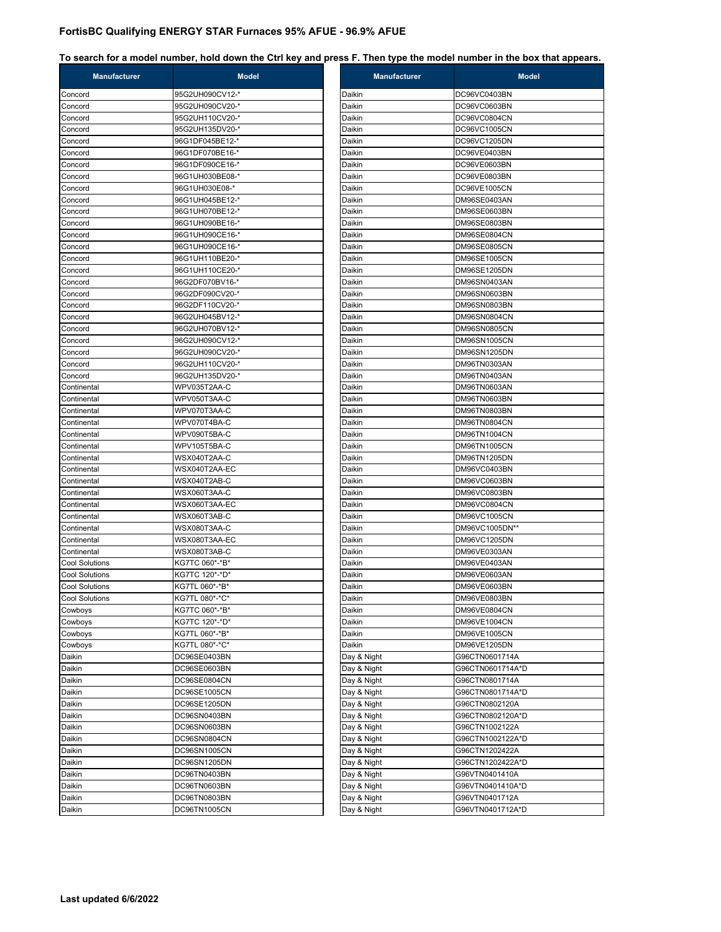#### **To search for a model number, hold down the Ctrl key and press F. Then type the model number in the box that appears.**

| <b>Manufacturer</b>   | <b>Model</b>    | <b>Manufacturer</b> | <b>Model</b>     |
|-----------------------|-----------------|---------------------|------------------|
| Concord               | 95G2UH090CV12-* | Daikin              | DC96VC0403BN     |
| Concord               | 95G2UH090CV20-* | Daikin              | DC96VC0603BN     |
| Concord               | 95G2UH110CV20-* | Daikin              | DC96VC0804CN     |
| Concord               | 95G2UH135DV20-* | Daikin              | DC96VC1005CN     |
| Concord               | 96G1DF045BE12-* | Daikin              | DC96VC1205DN     |
| Concord               | 96G1DF070BE16-* | Daikin              | DC96VE0403BN     |
| Concord               | 96G1DF090CE16-* | Daikin              | DC96VE0603BN     |
| Concord               | 96G1UH030BE08-* | Daikin              | DC96VE0803BN     |
| Concord               | 96G1UH030E08-*  | Daikin              | DC96VE1005CN     |
| Concord               | 96G1UH045BE12-* | Daikin              | DM96SE0403AN     |
| Concord               | 96G1UH070BE12-* | Daikin              | DM96SE0603BN     |
| Concord               | 96G1UH090BE16-* | Daikin              | DM96SE0803BN     |
| Concord               | 96G1UH090CE16-* | Daikin              | DM96SE0804CN     |
| Concord               | 96G1UH090CE16-* | Daikin              | DM96SE0805CN     |
| Concord               | 96G1UH110BE20-* | Daikin              | DM96SE1005CN     |
| Concord               | 96G1UH110CE20-* | Daikin              | DM96SE1205DN     |
| Concord               | 96G2DF070BV16-* | Daikin              | DM96SN0403AN     |
| Concord               | 96G2DF090CV20-* | Daikin              | DM96SN0603BN     |
| Concord               | 96G2DF110CV20-* | Daikin              | DM96SN0803BN     |
| Concord               | 96G2UH045BV12-* | Daikin              | DM96SN0804CN     |
| Concord               | 96G2UH070BV12-* | Daikin              | DM96SN0805CN     |
| Concord               | 96G2UH090CV12-* | Daikin              | DM96SN1005CN     |
| Concord               | 96G2UH090CV20-* | Daikin              | DM96SN1205DN     |
| Concord               | 96G2UH110CV20-* | Daikin              | DM96TN0303AN     |
| Concord               | 96G2UH135DV20-* | Daikin              | DM96TN0403AN     |
| Continental           | WPV035T2AA-C    | Daikin              | DM96TN0603AN     |
| Continental           | WPV050T3AA-C    | Daikin              | DM96TN0603BN     |
| Continental           | WPV070T3AA-C    | Daikin              | DM96TN0803BN     |
| Continental           | WPV070T4BA-C    | Daikin              | DM96TN0804CN     |
| Continental           | WPV090T5BA-C    | Daikin              | DM96TN1004CN     |
| Continental           | WPV105T5BA-C    | Daikin              | DM96TN1005CN     |
| Continental           | WSX040T2AA-C    | Daikin              | DM96TN1205DN     |
| Continental           | WSX040T2AA-EC   | Daikin              | DM96VC0403BN     |
| Continental           | WSX040T2AB-C    | Daikin              | DM96VC0603BN     |
| Continental           | WSX060T3AA-C    | Daikin              | DM96VC0803BN     |
| Continental           | WSX060T3AA-EC   | Daikin              | DM96VC0804CN     |
| Continental           | WSX060T3AB-C    | Daikin              | DM96VC1005CN     |
| Continental           | WSX080T3AA-C    | Daikin              | DM96VC1005DN**   |
| Continental           | WSX080T3AA-EC   | Daikin              | DM96VC1205DN     |
| Continental           | WSX080T3AB-C    | Daikin              | DM96VE0303AN     |
| <b>Cool Solutions</b> | KG7TC 060*-*B*  | Daikin              | DM96VE0403AN     |
| Cool Solutions        | KG7TC 120*-*D*  | Daikin              | DM96VE0603AN     |
| <b>Cool Solutions</b> | KG7TL 060*-*B*  | Daikin              | DM96VE0603BN     |
| <b>Cool Solutions</b> | KG7TL 080*-*C*  | Daikin              | DM96VE0803BN     |
| Cowboys               | KG7TC 060*-*B*  | Daikin              | DM96VE0804CN     |
| Cowboys               | KG7TC 120*-*D*  | Daikin              | DM96VE1004CN     |
| Cowboys               | KG7TL 060*-*B*  | Daikin              | DM96VE1005CN     |
| Cowboys               | KG7TL 080*-*C*  | Daikin              | DM96VE1205DN     |
| Daikin                | DC96SE0403BN    | Day & Night         | G96CTN0601714A   |
| Daikin                | DC96SE0603BN    | Day & Night         | G96CTN0601714A*D |
| Daikin                | DC96SE0804CN    | Day & Night         | G96CTN0801714A   |
| Daikin                | DC96SE1005CN    | Day & Night         | G96CTN0801714A*D |
| Daikin                | DC96SE1205DN    | Day & Night         | G96CTN0802120A   |
| Daikin                | DC96SN0403BN    | Day & Night         | G96CTN0802120A*D |
| Daikin                | DC96SN0603BN    | Day & Night         | G96CTN1002122A   |
| Daikin                | DC96SN0804CN    | Day & Night         | G96CTN1002122A*D |
| Daikin                | DC96SN1005CN    | Day & Night         | G96CTN1202422A   |
| Daikin                | DC96SN1205DN    | Day & Night         | G96CTN1202422A*D |
| Daikin                | DC96TN0403BN    | Day & Night         | G96VTN0401410A   |
| Daikin                | DC96TN0603BN    | Day & Night         | G96VTN0401410A*D |
| Daikin                | DC96TN0803BN    | Day & Night         | G96VTN0401712A   |
| Daikin                | DC96TN1005CN    | Day & Night         | G96VTN0401712A*D |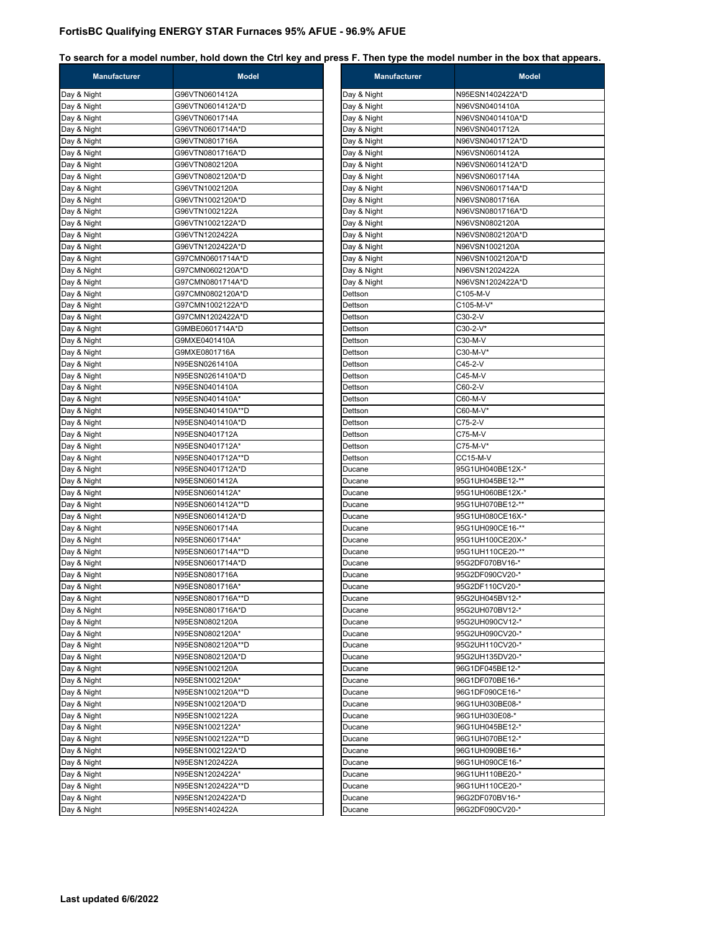**To search for a model number, hold down the Ctrl key and press F. Then type the model number in the box that appears.**

| <b>Manufacturer</b>        | <b>Model</b>                      | <b>Manufacturer</b> | <b>Model</b>                         |
|----------------------------|-----------------------------------|---------------------|--------------------------------------|
| Day & Night                | G96VTN0601412A                    | Day & Night         | N95ESN1402422A*D                     |
| Day & Night                | G96VTN0601412A*D                  | Day & Night         | N96VSN0401410A                       |
| Day & Night                | G96VTN0601714A                    | Day & Night         | N96VSN0401410A*D                     |
| Day & Night                | G96VTN0601714A*D                  | Day & Night         | N96VSN0401712A                       |
| Day & Night                | G96VTN0801716A                    | Day & Night         | N96VSN0401712A*D                     |
| Day & Night                | G96VTN0801716A*D                  | Day & Night         | N96VSN0601412A                       |
| Day & Night                | G96VTN0802120A                    | Day & Night         | N96VSN0601412A*D                     |
| Day & Night                | G96VTN0802120A*D                  | Day & Night         | N96VSN0601714A                       |
| Day & Night                | G96VTN1002120A                    | Day & Night         | N96VSN0601714A*D                     |
| Day & Night                | G96VTN1002120A*D                  | Day & Night         | N96VSN0801716A                       |
| Day & Night                | G96VTN1002122A                    | Day & Night         | N96VSN0801716A*D                     |
| Day & Night                | G96VTN1002122A*D                  | Day & Night         | N96VSN0802120A                       |
| Day & Night                | G96VTN1202422A                    | Day & Night         | N96VSN0802120A*D                     |
| Day & Night                | G96VTN1202422A*D                  | Day & Night         | N96VSN1002120A                       |
| Day & Night                | G97CMN0601714A*D                  | Day & Night         | N96VSN1002120A*D                     |
| Day & Night                | G97CMN0602120A*D                  | Day & Night         | N96VSN1202422A                       |
| Day & Night                | G97CMN0801714A*D                  | Day & Night         | N96VSN1202422A*D                     |
| Day & Night                | G97CMN0802120A*D                  | Dettson             | C105-M-V                             |
| Day & Night                | G97CMN1002122A*D                  | Dettson             | C105-M-V*                            |
| Day & Night                | G97CMN1202422A*D                  | Dettson             | C30-2-V                              |
| Day & Night                | G9MBE0601714A*D                   | Dettson             | C30-2-V*                             |
| Day & Night                | G9MXE0401410A                     | Dettson             | C30-M-V                              |
| Day & Night                | G9MXE0801716A                     | Dettson             | C30-M-V*                             |
| Day & Night                | N95ESN0261410A                    | Dettson             | C45-2-V                              |
| Day & Night                | N95ESN0261410A*D                  | Dettson             | C45-M-V                              |
| Day & Night                | N95ESN0401410A                    | Dettson             | C60-2-V                              |
| Day & Night                | N95ESN0401410A*                   | Dettson             | C60-M-V                              |
| Day & Night                | N95ESN0401410A**D                 | Dettson             | C60-M-V*                             |
| Day & Night                | N95ESN0401410A*D                  | Dettson             | C75-2-V                              |
| Day & Night                | N95ESN0401712A                    | Dettson             | C75-M-V                              |
| Day & Night                | N95ESN0401712A*                   | Dettson             | C75-M-V*                             |
| Day & Night                | N95ESN0401712A**D                 | Dettson             | <b>CC15-M-V</b>                      |
| Day & Night                | N95ESN0401712A*D                  | Ducane              | 95G1UH040BE12X-*                     |
| Day & Night                | N95ESN0601412A<br>N95ESN0601412A* | Ducane              | 95G1UH045BE12-**<br>95G1UH060BE12X-* |
| Day & Night                | N95ESN0601412A**D                 | Ducane<br>Ducane    | 95G1UH070BE12-**                     |
| Day & Night<br>Day & Night | N95ESN0601412A*D                  | Ducane              | 95G1UH080CE16X-*                     |
| Day & Night                | N95ESN0601714A                    | Ducane              | 95G1UH090CE16-**                     |
| Day & Night                | N95ESN0601714A*                   | Ducane              | 95G1UH100CE20X-*                     |
| Day & Night                | N95ESN0601714A**D                 | Ducane              | 95G1UH110CE20-**                     |
| Day & Night                | N95ESN0601714A*D                  | Ducane              | 95G2DF070BV16-*                      |
| Day & Night                | N95ESN0801716A                    | Ducane              | 95G2DF090CV20-*                      |
| Day & Night                | N95ESN0801716A*                   | Ducane              | 95G2DF110CV20-*                      |
| Day & Night                | N95ESN0801716A**D                 | Ducane              | 95G2UH045BV12-*                      |
| Day & Night                | N95ESN0801716A*D                  | Ducane              | 95G2UH070BV12-*                      |
| Day & Night                | N95ESN0802120A                    | Ducane              | 95G2UH090CV12-*                      |
| Day & Night                | N95ESN0802120A*                   | Ducane              | 95G2UH090CV20-*                      |
| Day & Night                | N95ESN0802120A**D                 | Ducane              | 95G2UH110CV20-*                      |
| Day & Night                | N95ESN0802120A*D                  | Ducane              | 95G2UH135DV20-*                      |
| Day & Night                | N95ESN1002120A                    | Ducane              | 96G1DF045BE12-*                      |
| Day & Night                | N95ESN1002120A*                   | Ducane              | 96G1DF070BE16-*                      |
| Day & Night                | N95ESN1002120A**D                 | Ducane              | 96G1DF090CE16-*                      |
| Day & Night                | N95ESN1002120A*D                  | Ducane              | 96G1UH030BE08-*                      |
| Day & Night                | N95ESN1002122A                    | Ducane              | 96G1UH030E08-*                       |
| Day & Night                | N95ESN1002122A*                   | Ducane              | 96G1UH045BE12-*                      |
| Day & Night                | N95ESN1002122A**D                 | Ducane              | 96G1UH070BE12-*                      |
| Day & Night                | N95ESN1002122A*D                  | Ducane              | 96G1UH090BE16-*                      |
| Day & Night                | N95ESN1202422A                    | Ducane              | 96G1UH090CE16-*                      |
| Day & Night                | N95ESN1202422A*                   | Ducane              | 96G1UH110BE20-*                      |
| Day & Night                | N95ESN1202422A**D                 | Ducane              | 96G1UH110CE20-*                      |
| Day & Night                | N95ESN1202422A*D                  | Ducane              | 96G2DF070BV16-*                      |
| Day & Night                | N95ESN1402422A                    | Ducane              | 96G2DF090CV20-*                      |
|                            |                                   |                     |                                      |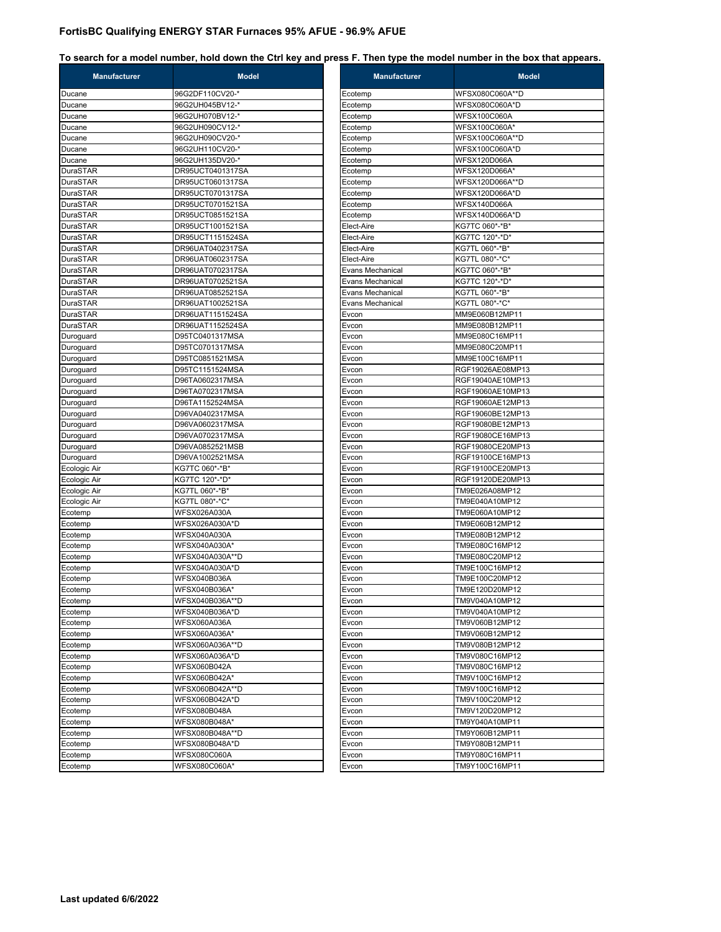| <b>Manufacturer</b> | <b>Model</b>        | <b>Manufacturer</b>     | <b>Model</b>        |
|---------------------|---------------------|-------------------------|---------------------|
| Ducane              | 96G2DF110CV20-*     | Ecotemp                 | WFSX080C060A**D     |
| Ducane              | 96G2UH045BV12-*     | Ecotemp                 | WFSX080C060A*D      |
| Ducane              | 96G2UH070BV12-*     | Ecotemp                 | <b>WFSX100C060A</b> |
| Ducane              | 96G2UH090CV12-*     | Ecotemp                 | WFSX100C060A*       |
| Ducane              | 96G2UH090CV20-*     | Ecotemp                 | WFSX100C060A**D     |
| Ducane              | 96G2UH110CV20-*     | Ecotemp                 | WFSX100C060A*D      |
| Ducane              | 96G2UH135DV20-*     | Ecotemp                 | <b>WFSX120D066A</b> |
| DuraSTAR            | DR95UCT0401317SA    | Ecotemp                 | WFSX120D066A*       |
| DuraSTAR            | DR95UCT0601317SA    | Ecotemp                 | WFSX120D066A**D     |
| <b>DuraSTAR</b>     | DR95UCT0701317SA    | Ecotemp                 | WFSX120D066A*D      |
| DuraSTAR            | DR95UCT0701521SA    | Ecotemp                 | <b>WFSX140D066A</b> |
| DuraSTAR            | DR95UCT0851521SA    | Ecotemp                 | WFSX140D066A*D      |
| DuraSTAR            | DR95UCT1001521SA    | Elect-Aire              | KG7TC 060*-*B*      |
| DuraSTAR            | DR95UCT1151524SA    | Elect-Aire              | KG7TC 120*-*D*      |
| DuraSTAR            | DR96UAT0402317SA    | Elect-Aire              | KG7TL 060*-*B*      |
| DuraSTAR            | DR96UAT0602317SA    | Elect-Aire              | KG7TL 080*-*C*      |
| DuraSTAR            | DR96UAT0702317SA    | Evans Mechanical        | KG7TC 060*-*B*      |
| DuraSTAR            | DR96UAT0702521SA    | <b>Evans Mechanical</b> | KG7TC 120*-*D*      |
| DuraSTAR            | DR96UAT0852521SA    | <b>Evans Mechanical</b> | KG7TL 060*-*B*      |
| DuraSTAR            | DR96UAT1002521SA    | Evans Mechanical        | KG7TL 080*-*C*      |
| DuraSTAR            | DR96UAT1151524SA    | Evcon                   | MM9E060B12MP11      |
| DuraSTAR            | DR96UAT1152524SA    | Evcon                   | MM9E080B12MP11      |
| Duroquard           | D95TC0401317MSA     | Evcon                   | MM9E080C16MP11      |
| Duroguard           | D95TC0701317MSA     | Evcon                   | MM9E080C20MP11      |
| Duroguard           | D95TC0851521MSA     | Evcon                   | MM9E100C16MP11      |
| Duroguard           | D95TC1151524MSA     | Evcon                   | RGF19026AE08MP13    |
| Duroguard           | D96TA0602317MSA     | Evcon                   | RGF19040AE10MP13    |
| Duroguard           | D96TA0702317MSA     | Evcon                   | RGF19060AE10MP13    |
| Duroguard           | D96TA1152524MSA     | Evcon                   | RGF19060AE12MP13    |
| Duroguard           | D96VA0402317MSA     | Evcon                   | RGF19060BE12MP13    |
| Duroguard           | D96VA0602317MSA     | Evcon                   | RGF19080BE12MP13    |
| Duroguard           | D96VA0702317MSA     | Evcon                   | RGF19080CE16MP13    |
| Duroguard           | D96VA0852521MSB     | Evcon                   | RGF19080CE20MP13    |
| Duroguard           | D96VA1002521MSA     | Evcon                   | RGF19100CE16MP13    |
| Ecologic Air        | KG7TC 060*-*B*      | Evcon                   | RGF19100CE20MP13    |
| Ecologic Air        | KG7TC 120*-*D*      | Evcon                   | RGF19120DE20MP13    |
| Ecologic Air        | KG7TL 060*-*B*      | Evcon                   | TM9E026A08MP12      |
| Ecologic Air        | KG7TL 080*-*C*      | Evcon                   | TM9E040A10MP12      |
| Ecotemp             | WFSX026A030A        | Evcon                   | TM9E060A10MP12      |
| Ecotemp             | WFSX026A030A*D      | Evcon                   | TM9E060B12MP12      |
| Ecotemp             | <b>WFSX040A030A</b> | Evcon                   | TM9E080B12MP12      |
| Ecotemp             | WFSX040A030A*       | Evcon                   | TM9E080C16MP12      |
| Ecotemp             | WFSX040A030A**D     | Evcon                   | TM9E080C20MP12      |
| Ecotemp             | WFSX040A030A*D      | Evcon                   | TM9E100C16MP12      |
| Ecotemp             | <b>WFSX040B036A</b> | Evcon                   | TM9E100C20MP12      |
| Ecotemp             | WFSX040B036A*       | Evcon                   | TM9E120D20MP12      |
| Ecotemp             | WFSX040B036A**D     | Evcon                   | TM9V040A10MP12      |
| Ecotemp             | WFSX040B036A*D      | Evcon                   | TM9V040A10MP12      |
| Ecotemp             | WFSX060A036A        | Evcon                   | TM9V060B12MP12      |
| Ecotemp             | WFSX060A036A*       | Evcon                   | TM9V060B12MP12      |
| Ecotemp             | WFSX060A036A**D     | Evcon                   | TM9V080B12MP12      |
| Ecotemp             | WFSX060A036A*D      | Evcon                   | TM9V080C16MP12      |
| Ecotemp             | WFSX060B042A        | Evcon                   | TM9V080C16MP12      |
| Ecotemp             | WFSX060B042A*       | Evcon                   | TM9V100C16MP12      |
| Ecotemp             | WFSX060B042A**D     | Evcon                   | TM9V100C16MP12      |
| Ecotemp             | WFSX060B042A*D      | Evcon                   | TM9V100C20MP12      |
| Ecotemp             | <b>WFSX080B048A</b> | Evcon                   | TM9V120D20MP12      |
| Ecotemp             | WFSX080B048A*       | Evcon                   | TM9Y040A10MP11      |
| Ecotemp             | WFSX080B048A**D     | Evcon                   | TM9Y060B12MP11      |
| Ecotemp             | WFSX080B048A*D      | Evcon                   | TM9Y080B12MP11      |
| Ecotemp             | <b>WFSX080C060A</b> | Evcon                   | TM9Y080C16MP11      |
| Ecotemp             | WFSX080C060A*       | Evcon                   | TM9Y100C16MP11      |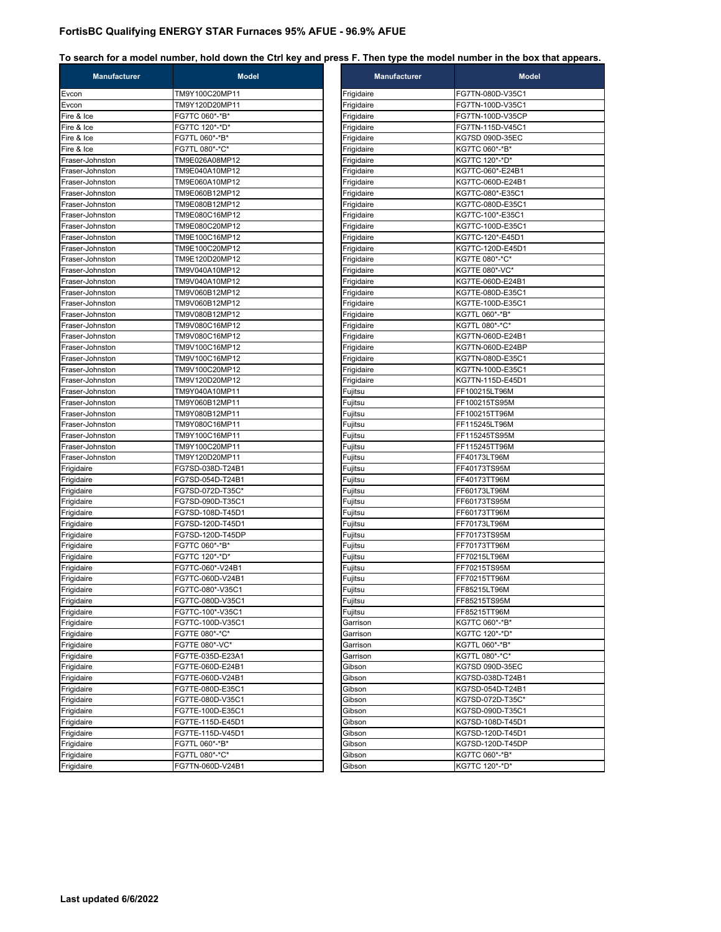| <b>Manufacturer</b> | <b>Model</b>                     | <b>Manufacturer</b> | <b>Model</b>                         |
|---------------------|----------------------------------|---------------------|--------------------------------------|
| Evcon               | TM9Y100C20MP11                   | Frigidaire          | FG7TN-080D-V35C1                     |
| Evcon               | TM9Y120D20MP11                   | Frigidaire          | FG7TN-100D-V35C1                     |
| Fire & Ice          | FG7TC 060*-*B*                   | Frigidaire          | FG7TN-100D-V35CP                     |
| Fire & Ice          | FG7TC 120*-*D*                   | Frigidaire          | FG7TN-115D-V45C1                     |
| Fire & Ice          | FG7TL 060*-*B*                   | Frigidaire          | KG7SD 090D-35EC                      |
| Fire & Ice          | FG7TL 080*-*C*                   | Frigidaire          | KG7TC 060*-*B*                       |
| Fraser-Johnston     | TM9E026A08MP12                   | Frigidaire          | KG7TC 120*-*D*                       |
| Fraser-Johnston     | TM9E040A10MP12                   | Frigidaire          | KG7TC-060*-E24B1                     |
| Fraser-Johnston     | TM9E060A10MP12                   | Frigidaire          | KG7TC-060D-E24B1                     |
| Fraser-Johnston     | TM9E060B12MP12                   | Frigidaire          | KG7TC-080*-E35C1                     |
| Fraser-Johnston     | TM9E080B12MP12                   | Frigidaire          | KG7TC-080D-E35C1                     |
| Fraser-Johnston     | TM9E080C16MP12                   | Frigidaire          | KG7TC-100*-E35C1                     |
| Fraser-Johnston     | TM9E080C20MP12                   | Frigidaire          | KG7TC-100D-E35C1                     |
| Fraser-Johnston     | TM9E100C16MP12                   | Frigidaire          | KG7TC-120*-E45D1                     |
| Fraser-Johnston     | TM9E100C20MP12                   | Frigidaire          | KG7TC-120D-E45D1                     |
| Fraser-Johnston     | TM9E120D20MP12                   | Frigidaire          | KG7TE 080*-*C*                       |
| Fraser-Johnston     | TM9V040A10MP12                   | Frigidaire          | KG7TE 080*-VC*                       |
| Fraser-Johnston     | TM9V040A10MP12                   | Frigidaire          | KG7TE-060D-E24B1                     |
| Fraser-Johnston     | TM9V060B12MP12                   | Frigidaire          | KG7TE-080D-E35C1                     |
| Fraser-Johnston     | TM9V060B12MP12                   | Frigidaire          | KG7TE-100D-E35C1                     |
| Fraser-Johnston     | TM9V080B12MP12                   | Frigidaire          | KG7TL 060*-*B*                       |
| Fraser-Johnston     | TM9V080C16MP12                   | Frigidaire          | KG7TL 080*-*C*                       |
| Fraser-Johnston     | TM9V080C16MP12                   | Frigidaire          | KG7TN-060D-E24B1                     |
| Fraser-Johnston     | TM9V100C16MP12                   | Frigidaire          | KG7TN-060D-E24BP                     |
| Fraser-Johnston     | TM9V100C16MP12                   | Frigidaire          | KG7TN-080D-E35C1                     |
| Fraser-Johnston     |                                  | Frigidaire          |                                      |
| Fraser-Johnston     | TM9V100C20MP12<br>TM9V120D20MP12 | Frigidaire          | KG7TN-100D-E35C1<br>KG7TN-115D-E45D1 |
| Fraser-Johnston     | TM9Y040A10MP11                   |                     | FF100215LT96M                        |
|                     | TM9Y060B12MP11                   | Fujitsu             | FF100215TS95M                        |
| Fraser-Johnston     |                                  | Fujitsu             |                                      |
| Fraser-Johnston     | TM9Y080B12MP11                   | Fujitsu             | FF100215TT96M                        |
| Fraser-Johnston     | TM9Y080C16MP11                   | Fujitsu             | FF115245LT96M                        |
| Fraser-Johnston     | TM9Y100C16MP11                   | Fujitsu             | FF115245TS95M                        |
| Fraser-Johnston     | TM9Y100C20MP11                   | Fujitsu             | FF115245TT96M                        |
| Fraser-Johnston     | TM9Y120D20MP11                   | Fujitsu             | FF40173LT96M                         |
| Frigidaire          | FG7SD-038D-T24B1                 | Fujitsu             | FF40173TS95M                         |
| Frigidaire          | FG7SD-054D-T24B1                 | Fujitsu             | FF40173TT96M                         |
| Frigidaire          | FG7SD-072D-T35C*                 | Fujitsu             | FF60173LT96M                         |
| Frigidaire          | FG7SD-090D-T35C1                 | Fujitsu             | FF60173TS95M                         |
| Frigidaire          | FG7SD-108D-T45D1                 | Fujitsu             | FF60173TT96M                         |
| Frigidaire          | FG7SD-120D-T45D1                 | Fujitsu             | FF70173LT96M                         |
| Frigidaire          | FG7SD-120D-T45DP                 | Fujitsu             | FF70173TS95M                         |
| Frigidaire          | FG7TC 060*-*B*                   | Fujitsu             | FF70173TT96M                         |
| Frigidaire          | FG7TC 120*-*D*                   | Fujitsu             | FF70215LT96M                         |
| Frigidaire          | FG7TC-060*-V24B1                 | Fujitsu             | FF70215TS95M                         |
| Frigidaire          | FG7TC-060D-V24B1                 | Fujitsu             | FF70215TT96M                         |
| Frigidaire          | FG7TC-080*-V35C1                 | Fujitsu             | FF85215LT96M                         |
| Frigidaire          | FG7TC-080D-V35C1                 | Fujitsu             | FF85215TS95M                         |
| Frigidaire          | FG7TC-100*-V35C1                 | Fujitsu             | FF85215TT96M                         |
| Frigidaire          | FG7TC-100D-V35C1                 | Garrison            | KG7TC 060*-*B*                       |
| Frigidaire          | FG7TE 080*-*C*                   | Garrison            | KG7TC 120*-*D*                       |
| Frigidaire          | FG7TE 080*-VC*                   | Garrison            | KG7TL 060*-*B*                       |
| Frigidaire          | FG7TE-035D-E23A1                 | Garrison            | KG7TL 080*-*C*                       |
| Frigidaire          | FG7TE-060D-E24B1                 | Gibson              | KG7SD 090D-35EC                      |
| Frigidaire          | FG7TE-060D-V24B1                 | Gibson              | KG7SD-038D-T24B1                     |
| Frigidaire          | FG7TE-080D-E35C1                 | Gibson              | KG7SD-054D-T24B1                     |
| Frigidaire          | FG7TE-080D-V35C1                 | Gibson              | KG7SD-072D-T35C*                     |
| Frigidaire          | FG7TE-100D-E35C1                 | Gibson              | KG7SD-090D-T35C1                     |
| Frigidaire          | FG7TE-115D-E45D1                 | Gibson              | KG7SD-108D-T45D1                     |
| Frigidaire          | FG7TE-115D-V45D1                 | Gibson              | KG7SD-120D-T45D1                     |
| Frigidaire          | FG7TL 060*-*B*                   | Gibson              | KG7SD-120D-T45DP                     |
| Frigidaire          | FG7TL 080*-*C*                   | Gibson              | KG7TC 060*-*B*                       |
| Frigidaire          | FG7TN-060D-V24B1                 | Gibson              | KG7TC 120*-*D*                       |
|                     |                                  |                     |                                      |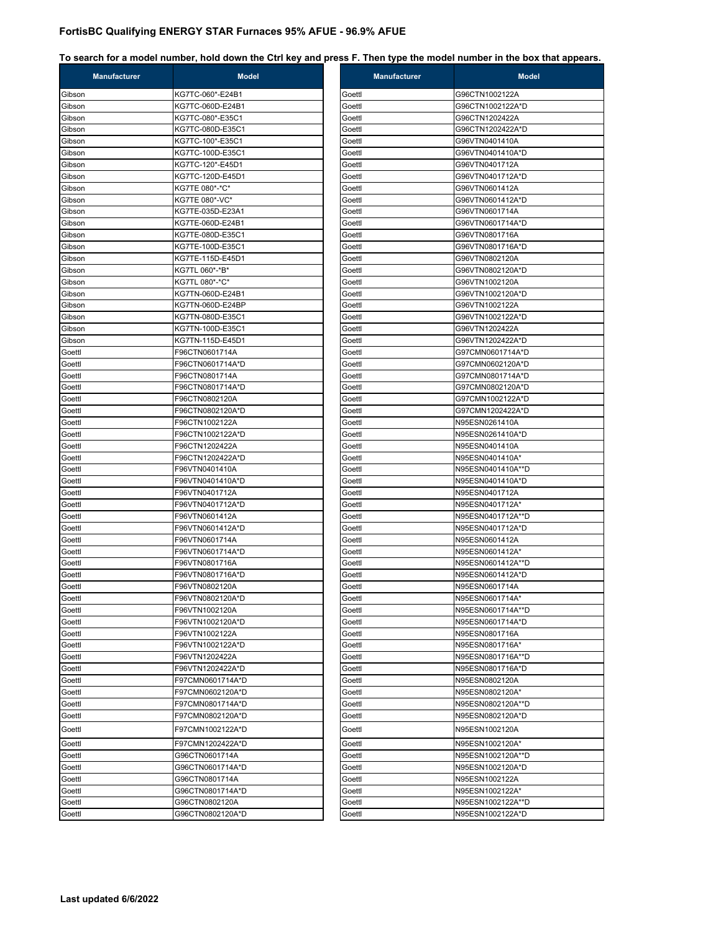| <b>Manufacturer</b> | <b>Model</b>                       | Manufacturer     | <b>Model</b>                       |
|---------------------|------------------------------------|------------------|------------------------------------|
| Gibson              | KG7TC-060*-E24B1                   | Goettl           | G96CTN1002122A                     |
| Gibson              | KG7TC-060D-E24B1                   | Goettl           | G96CTN1002122A*D                   |
| Gibson              | KG7TC-080*-E35C1                   | Goettl           | G96CTN1202422A                     |
| Gibson              | KG7TC-080D-E35C1                   | Goettl           | G96CTN1202422A*D                   |
| Gibson              | KG7TC-100*-E35C1                   | Goettl           | G96VTN0401410A                     |
| Gibson              | KG7TC-100D-E35C1                   | Goettl           | G96VTN0401410A*D                   |
| Gibson              | KG7TC-120*-E45D1                   | Goettl           | G96VTN0401712A                     |
| Gibson              | KG7TC-120D-E45D1                   | Goettl           | G96VTN0401712A*D                   |
| Gibson              | KG7TE 080*-*C*                     | Goettl           | G96VTN0601412A                     |
| Gibson              | KG7TE 080*-VC*                     | Goettl           | G96VTN0601412A*D                   |
| Gibson              | KG7TE-035D-E23A1                   | Goettl           | G96VTN0601714A                     |
| Gibson              | KG7TE-060D-E24B1                   | Goettl           | G96VTN0601714A*D                   |
| Gibson              | KG7TE-080D-E35C1                   | Goettl           | G96VTN0801716A                     |
| Gibson              | KG7TE-100D-E35C1                   | Goettl           | G96VTN0801716A*D                   |
| Gibson              | KG7TE-115D-E45D1                   | Goettl           | G96VTN0802120A                     |
| Gibson              | KG7TL 060*-*B*                     | Goettl           | G96VTN0802120A*D                   |
| Gibson              | KG7TL 080*-*C*                     | Goettl           | G96VTN1002120A                     |
| Gibson              | KG7TN-060D-E24B1                   | Goettl           | G96VTN1002120A*D                   |
| Gibson              | KG7TN-060D-E24BP                   | Goettl           | G96VTN1002122A                     |
| Gibson              | KG7TN-080D-E35C1                   | Goettl           | G96VTN1002122A*D                   |
| Gibson              | KG7TN-100D-E35C1                   | Goettl           | G96VTN1202422A                     |
| Gibson              | KG7TN-115D-E45D1                   | Goettl           | G96VTN1202422A*D                   |
| Goettl              | F96CTN0601714A                     | Goettl           | G97CMN0601714A*D                   |
| Goettl              | F96CTN0601714A*D                   | Goettl           | G97CMN0602120A*D                   |
| Goettl              | F96CTN0801714A                     | Goettl           | G97CMN0801714A*D                   |
| Goettl              | F96CTN0801714A*D                   | Goettl           | G97CMN0802120A*D                   |
| Goettl<br>Goettl    | F96CTN0802120A<br>F96CTN0802120A*D | Goettl<br>Goettl | G97CMN1002122A*D                   |
|                     |                                    |                  | G97CMN1202422A*D                   |
| Goettl<br>Goettl    | F96CTN1002122A<br>F96CTN1002122A*D | Goettl<br>Goettl | N95ESN0261410A<br>N95ESN0261410A*D |
| Goettl              | F96CTN1202422A                     | Goettl           | N95ESN0401410A                     |
| Goettl              | F96CTN1202422A*D                   | Goettl           | N95ESN0401410A*                    |
| Goettl              | F96VTN0401410A                     | Goettl           | N95ESN0401410A**D                  |
| Goettl              | F96VTN0401410A*D                   | Goettl           | N95ESN0401410A*D                   |
| Goettl              | F96VTN0401712A                     | Goettl           | N95ESN0401712A                     |
| Goettl              | F96VTN0401712A*D                   | Goettl           | N95ESN0401712A*                    |
| Goettl              | F96VTN0601412A                     | Goettl           | N95ESN0401712A**D                  |
| Goettl              | F96VTN0601412A*D                   | Goettl           | N95ESN0401712A*D                   |
| Goettl              | F96VTN0601714A                     | Goettl           | N95ESN0601412A                     |
| Goettl              | F96VTN0601714A*D                   | Goettl           | N95ESN0601412A*                    |
| Goettl              | F96VTN0801716A                     | Goettl           | N95ESN0601412A**D                  |
| Goettl              | F96VTN0801716A*D                   | Goettl           | N95ESN0601412A*D                   |
| Goettl              | F96VTN0802120A                     | Goettl           | N95ESN0601714A                     |
| Goettl              | F96VTN0802120A*D                   | Goettl           | N95ESN0601714A*                    |
| Goettl              | F96VTN1002120A                     | Goettl           | N95ESN0601714A**D                  |
| Goettl              | F96VTN1002120A*D                   | Goettl           | N95ESN0601714A*D                   |
| Goettl              | F96VTN1002122A                     | Goettl           | N95ESN0801716A                     |
| Goettl              | F96VTN1002122A*D                   | Goettl           | N95ESN0801716A*                    |
| Goettl              | F96VTN1202422A                     | Goettl           | N95ESN0801716A**D                  |
| Goettl              | F96VTN1202422A*D                   | Goettl           | N95ESN0801716A*D                   |
| Goettl              | F97CMN0601714A*D                   | Goettl           | N95ESN0802120A                     |
| Goettl              | F97CMN0602120A*D                   | Goettl           | N95ESN0802120A*                    |
| Goettl              | F97CMN0801714A*D                   | Goettl           | N95ESN0802120A**D                  |
| Goettl              | F97CMN0802120A*D                   | Goettl           | N95ESN0802120A*D                   |
| Goettl              | F97CMN1002122A*D                   | Goettl           | N95ESN1002120A                     |
| Goettl              | F97CMN1202422A*D                   | Goettl           | N95ESN1002120A*                    |
| Goettl              | G96CTN0601714A                     | Goettl           | N95ESN1002120A**D                  |
| Goettl              | G96CTN0601714A*D                   | Goettl           | N95ESN1002120A*D                   |
| Goettl              | G96CTN0801714A                     | Goettl           | N95ESN1002122A                     |
| Goettl              | G96CTN0801714A*D                   | Goettl           | N95ESN1002122A*                    |
| Goettl              | G96CTN0802120A                     | Goettl           | N95ESN1002122A**D                  |
| Goettl              | G96CTN0802120A*D                   | Goettl           | N95ESN1002122A*D                   |
|                     |                                    |                  |                                    |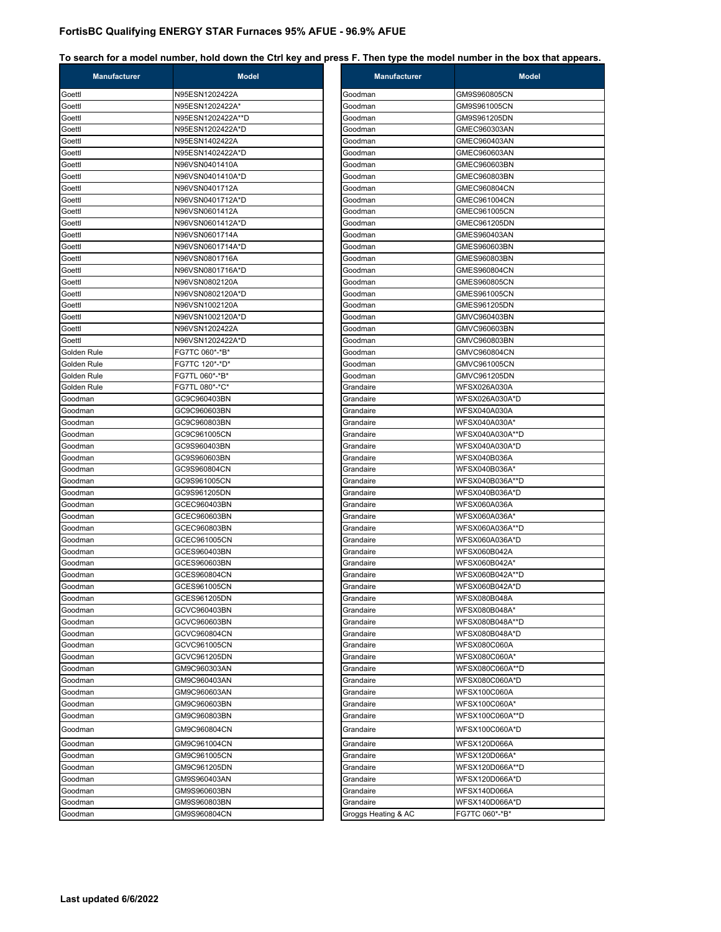| Goettl<br>N95ESN1202422A<br>Goodman<br>GM9S960805CN<br>N95ESN1202422A*<br>Goettl<br>Goodman<br>GM9S961005CN<br>N95ESN1202422A**D<br>Goettl<br>Goodman<br>GM9S961205DN<br>N95ESN1202422A*D<br>Goettl<br>Goodman<br>GMEC960303AN<br>N95ESN1402422A<br>GMEC960403AN<br>Goettl<br>Goodman<br>N95ESN1402422A*D<br>Goettl<br>Goodman<br>GMEC960603AN<br>Goettl<br>N96VSN0401410A<br>Goodman<br>GMEC960603BN<br>Goettl<br>N96VSN0401410A*D<br>GMEC960803BN<br>Goodman<br>N96VSN0401712A<br>GMEC960804CN<br>Goettl<br>Goodman<br>N96VSN0401712A*D<br>Goettl<br>Goodman<br>GMEC961004CN<br>N96VSN0601412A<br>GMEC961005CN<br>Goettl<br>Goodman<br>Goettl<br>N96VSN0601412A*D<br>Goodman<br>GMEC961205DN<br>Goettl<br>N96VSN0601714A<br>Goodman<br>GMES960403AN<br>N96VSN0601714A*D<br>Goettl<br>GMES960603BN<br>Goodman<br>Goettl<br>N96VSN0801716A<br>GMES960803BN<br>Goodman<br>Goettl<br>N96VSN0801716A*D<br>Goodman<br>GMES960804CN<br>N96VSN0802120A<br>GMES960805CN<br>Goettl<br>Goodman<br>Goettl<br>N96VSN0802120A*D<br>Goodman<br>GMES961005CN<br>Goettl<br>N96VSN1002120A<br>GMES961205DN<br>Goodman<br>N96VSN1002120A*D<br>Goettl<br>GMVC960403BN<br>Goodman<br>Goettl<br>N96VSN1202422A<br>Goodman<br>GMVC960603BN<br>Goettl<br>N96VSN1202422A*D<br>GMVC960803BN<br>Goodman<br>Golden Rule<br>FG7TC 060*-*B*<br>Goodman<br>GMVC960804CN<br>Golden Rule<br>FG7TC 120*-*D*<br>Goodman<br>GMVC961005CN<br>Golden Rule<br>FG7TL 060*-*B*<br>GMVC961205DN<br>Goodman<br>Golden Rule<br>FG7TL 080*-*C*<br>Grandaire<br>WFSX026A030A<br>Goodman<br>GC9C960403BN<br>Grandaire<br>WFSX026A030A*D<br>GC9C960603BN<br>Grandaire<br><b>WFSX040A030A</b><br>Goodman<br>Goodman<br>GC9C960803BN<br>WFSX040A030A*<br>Grandaire<br>Goodman<br>GC9C961005CN<br>Grandaire<br>GC9S960403BN<br>WFSX040A030A*D<br>Goodman<br>Grandaire<br>GC9S960603BN<br><b>WFSX040B036A</b><br>Goodman<br>Grandaire<br>WFSX040B036A*<br>Goodman<br>GC9S960804CN<br>Grandaire<br>GC9S961005CN<br>Goodman<br>Grandaire<br>Goodman<br>GC9S961205DN<br>Grandaire<br>WFSX040B036A*D<br>Goodman<br>GCEC960403BN<br>Grandaire<br>WFSX060A036A<br>Goodman<br>GCEC960603BN<br>Grandaire<br>WFSX060A036A*<br>Goodman<br>GCEC960803BN<br>Grandaire<br>GCEC961005CN<br>WFSX060A036A*D<br>Goodman<br>Grandaire<br>GCES960403BN<br>WFSX060B042A<br>Goodman<br>Grandaire<br>Goodman<br>GCES960603BN<br>Grandaire<br>WFSX060B042A*<br>GCES960804CN<br>Goodman<br>Grandaire<br>WFSX060B042A*D<br>Goodman<br>GCES961005CN<br>Grandaire<br>WFSX080B048A<br>GCES961205DN<br>Goodman<br>Grandaire<br>WFSX080B048A*<br>Goodman<br>GCVC960403BN<br>Grandaire<br>WFSX080B048A**D<br>Goodman<br>GCVC960603BN<br>Grandaire<br>GCVC960804CN<br>WFSX080B048A*D<br>Goodman<br>Grandaire<br>GCVC961005CN<br><b>WFSX080C060A</b><br>Goodman<br>Grandaire<br>GCVC961205DN<br>WFSX080C060A*<br>Goodman<br>Grandaire<br>WFSX080C060A**D<br>Goodman<br>GM9C960303AN<br>Grandaire<br>WFSX080C060A*D<br>Goodman<br>GM9C960403AN<br>Grandaire<br><b>WFSX100C060A</b><br>Goodman<br>GM9C960603AN<br>Grandaire<br>GM9C960603BN<br>WFSX100C060A*<br>Goodman<br>Grandaire<br>WFSX100C060A**D<br>Goodman<br>GM9C960803BN<br>Grandaire<br>WFSX100C060A*D<br>Goodman<br>GM9C960804CN<br>Grandaire<br>GM9C961004CN<br><b>WFSX120D066A</b><br>Goodman<br>Grandaire<br>GM9C961005CN<br>WFSX120D066A*<br>Grandaire<br>Goodman<br>GM9C961205DN<br>Goodman<br>Grandaire<br>Goodman<br>GM9S960403AN<br>Grandaire<br><b>WFSX140D066A</b><br>GM9S960603BN<br>Grandaire<br>Goodman<br>Goodman<br>GM9S960803BN<br>Grandaire<br>FG7TC 060*-*B*<br>Goodman<br>GM9S960804CN<br>Groggs Heating & AC | <b>Manufacturer</b> | <b>Model</b> | <b>Manufacturer</b> | M               |
|---------------------------------------------------------------------------------------------------------------------------------------------------------------------------------------------------------------------------------------------------------------------------------------------------------------------------------------------------------------------------------------------------------------------------------------------------------------------------------------------------------------------------------------------------------------------------------------------------------------------------------------------------------------------------------------------------------------------------------------------------------------------------------------------------------------------------------------------------------------------------------------------------------------------------------------------------------------------------------------------------------------------------------------------------------------------------------------------------------------------------------------------------------------------------------------------------------------------------------------------------------------------------------------------------------------------------------------------------------------------------------------------------------------------------------------------------------------------------------------------------------------------------------------------------------------------------------------------------------------------------------------------------------------------------------------------------------------------------------------------------------------------------------------------------------------------------------------------------------------------------------------------------------------------------------------------------------------------------------------------------------------------------------------------------------------------------------------------------------------------------------------------------------------------------------------------------------------------------------------------------------------------------------------------------------------------------------------------------------------------------------------------------------------------------------------------------------------------------------------------------------------------------------------------------------------------------------------------------------------------------------------------------------------------------------------------------------------------------------------------------------------------------------------------------------------------------------------------------------------------------------------------------------------------------------------------------------------------------------------------------------------------------------------------------------------------------------------------------------------------------------------------------------------------------------------------------------------------------------------------------------------------------------------------------------------------------------------------------------------------------------------------------------------------------------------------------------------------------------------------------------------------------------------------------------------------------------------------------------|---------------------|--------------|---------------------|-----------------|
|                                                                                                                                                                                                                                                                                                                                                                                                                                                                                                                                                                                                                                                                                                                                                                                                                                                                                                                                                                                                                                                                                                                                                                                                                                                                                                                                                                                                                                                                                                                                                                                                                                                                                                                                                                                                                                                                                                                                                                                                                                                                                                                                                                                                                                                                                                                                                                                                                                                                                                                                                                                                                                                                                                                                                                                                                                                                                                                                                                                                                                                                                                                                                                                                                                                                                                                                                                                                                                                                                                                                                                                                         |                     |              |                     |                 |
|                                                                                                                                                                                                                                                                                                                                                                                                                                                                                                                                                                                                                                                                                                                                                                                                                                                                                                                                                                                                                                                                                                                                                                                                                                                                                                                                                                                                                                                                                                                                                                                                                                                                                                                                                                                                                                                                                                                                                                                                                                                                                                                                                                                                                                                                                                                                                                                                                                                                                                                                                                                                                                                                                                                                                                                                                                                                                                                                                                                                                                                                                                                                                                                                                                                                                                                                                                                                                                                                                                                                                                                                         |                     |              |                     |                 |
|                                                                                                                                                                                                                                                                                                                                                                                                                                                                                                                                                                                                                                                                                                                                                                                                                                                                                                                                                                                                                                                                                                                                                                                                                                                                                                                                                                                                                                                                                                                                                                                                                                                                                                                                                                                                                                                                                                                                                                                                                                                                                                                                                                                                                                                                                                                                                                                                                                                                                                                                                                                                                                                                                                                                                                                                                                                                                                                                                                                                                                                                                                                                                                                                                                                                                                                                                                                                                                                                                                                                                                                                         |                     |              |                     |                 |
|                                                                                                                                                                                                                                                                                                                                                                                                                                                                                                                                                                                                                                                                                                                                                                                                                                                                                                                                                                                                                                                                                                                                                                                                                                                                                                                                                                                                                                                                                                                                                                                                                                                                                                                                                                                                                                                                                                                                                                                                                                                                                                                                                                                                                                                                                                                                                                                                                                                                                                                                                                                                                                                                                                                                                                                                                                                                                                                                                                                                                                                                                                                                                                                                                                                                                                                                                                                                                                                                                                                                                                                                         |                     |              |                     |                 |
|                                                                                                                                                                                                                                                                                                                                                                                                                                                                                                                                                                                                                                                                                                                                                                                                                                                                                                                                                                                                                                                                                                                                                                                                                                                                                                                                                                                                                                                                                                                                                                                                                                                                                                                                                                                                                                                                                                                                                                                                                                                                                                                                                                                                                                                                                                                                                                                                                                                                                                                                                                                                                                                                                                                                                                                                                                                                                                                                                                                                                                                                                                                                                                                                                                                                                                                                                                                                                                                                                                                                                                                                         |                     |              |                     |                 |
|                                                                                                                                                                                                                                                                                                                                                                                                                                                                                                                                                                                                                                                                                                                                                                                                                                                                                                                                                                                                                                                                                                                                                                                                                                                                                                                                                                                                                                                                                                                                                                                                                                                                                                                                                                                                                                                                                                                                                                                                                                                                                                                                                                                                                                                                                                                                                                                                                                                                                                                                                                                                                                                                                                                                                                                                                                                                                                                                                                                                                                                                                                                                                                                                                                                                                                                                                                                                                                                                                                                                                                                                         |                     |              |                     |                 |
|                                                                                                                                                                                                                                                                                                                                                                                                                                                                                                                                                                                                                                                                                                                                                                                                                                                                                                                                                                                                                                                                                                                                                                                                                                                                                                                                                                                                                                                                                                                                                                                                                                                                                                                                                                                                                                                                                                                                                                                                                                                                                                                                                                                                                                                                                                                                                                                                                                                                                                                                                                                                                                                                                                                                                                                                                                                                                                                                                                                                                                                                                                                                                                                                                                                                                                                                                                                                                                                                                                                                                                                                         |                     |              |                     |                 |
|                                                                                                                                                                                                                                                                                                                                                                                                                                                                                                                                                                                                                                                                                                                                                                                                                                                                                                                                                                                                                                                                                                                                                                                                                                                                                                                                                                                                                                                                                                                                                                                                                                                                                                                                                                                                                                                                                                                                                                                                                                                                                                                                                                                                                                                                                                                                                                                                                                                                                                                                                                                                                                                                                                                                                                                                                                                                                                                                                                                                                                                                                                                                                                                                                                                                                                                                                                                                                                                                                                                                                                                                         |                     |              |                     |                 |
|                                                                                                                                                                                                                                                                                                                                                                                                                                                                                                                                                                                                                                                                                                                                                                                                                                                                                                                                                                                                                                                                                                                                                                                                                                                                                                                                                                                                                                                                                                                                                                                                                                                                                                                                                                                                                                                                                                                                                                                                                                                                                                                                                                                                                                                                                                                                                                                                                                                                                                                                                                                                                                                                                                                                                                                                                                                                                                                                                                                                                                                                                                                                                                                                                                                                                                                                                                                                                                                                                                                                                                                                         |                     |              |                     |                 |
|                                                                                                                                                                                                                                                                                                                                                                                                                                                                                                                                                                                                                                                                                                                                                                                                                                                                                                                                                                                                                                                                                                                                                                                                                                                                                                                                                                                                                                                                                                                                                                                                                                                                                                                                                                                                                                                                                                                                                                                                                                                                                                                                                                                                                                                                                                                                                                                                                                                                                                                                                                                                                                                                                                                                                                                                                                                                                                                                                                                                                                                                                                                                                                                                                                                                                                                                                                                                                                                                                                                                                                                                         |                     |              |                     |                 |
|                                                                                                                                                                                                                                                                                                                                                                                                                                                                                                                                                                                                                                                                                                                                                                                                                                                                                                                                                                                                                                                                                                                                                                                                                                                                                                                                                                                                                                                                                                                                                                                                                                                                                                                                                                                                                                                                                                                                                                                                                                                                                                                                                                                                                                                                                                                                                                                                                                                                                                                                                                                                                                                                                                                                                                                                                                                                                                                                                                                                                                                                                                                                                                                                                                                                                                                                                                                                                                                                                                                                                                                                         |                     |              |                     |                 |
|                                                                                                                                                                                                                                                                                                                                                                                                                                                                                                                                                                                                                                                                                                                                                                                                                                                                                                                                                                                                                                                                                                                                                                                                                                                                                                                                                                                                                                                                                                                                                                                                                                                                                                                                                                                                                                                                                                                                                                                                                                                                                                                                                                                                                                                                                                                                                                                                                                                                                                                                                                                                                                                                                                                                                                                                                                                                                                                                                                                                                                                                                                                                                                                                                                                                                                                                                                                                                                                                                                                                                                                                         |                     |              |                     |                 |
|                                                                                                                                                                                                                                                                                                                                                                                                                                                                                                                                                                                                                                                                                                                                                                                                                                                                                                                                                                                                                                                                                                                                                                                                                                                                                                                                                                                                                                                                                                                                                                                                                                                                                                                                                                                                                                                                                                                                                                                                                                                                                                                                                                                                                                                                                                                                                                                                                                                                                                                                                                                                                                                                                                                                                                                                                                                                                                                                                                                                                                                                                                                                                                                                                                                                                                                                                                                                                                                                                                                                                                                                         |                     |              |                     |                 |
|                                                                                                                                                                                                                                                                                                                                                                                                                                                                                                                                                                                                                                                                                                                                                                                                                                                                                                                                                                                                                                                                                                                                                                                                                                                                                                                                                                                                                                                                                                                                                                                                                                                                                                                                                                                                                                                                                                                                                                                                                                                                                                                                                                                                                                                                                                                                                                                                                                                                                                                                                                                                                                                                                                                                                                                                                                                                                                                                                                                                                                                                                                                                                                                                                                                                                                                                                                                                                                                                                                                                                                                                         |                     |              |                     |                 |
|                                                                                                                                                                                                                                                                                                                                                                                                                                                                                                                                                                                                                                                                                                                                                                                                                                                                                                                                                                                                                                                                                                                                                                                                                                                                                                                                                                                                                                                                                                                                                                                                                                                                                                                                                                                                                                                                                                                                                                                                                                                                                                                                                                                                                                                                                                                                                                                                                                                                                                                                                                                                                                                                                                                                                                                                                                                                                                                                                                                                                                                                                                                                                                                                                                                                                                                                                                                                                                                                                                                                                                                                         |                     |              |                     |                 |
|                                                                                                                                                                                                                                                                                                                                                                                                                                                                                                                                                                                                                                                                                                                                                                                                                                                                                                                                                                                                                                                                                                                                                                                                                                                                                                                                                                                                                                                                                                                                                                                                                                                                                                                                                                                                                                                                                                                                                                                                                                                                                                                                                                                                                                                                                                                                                                                                                                                                                                                                                                                                                                                                                                                                                                                                                                                                                                                                                                                                                                                                                                                                                                                                                                                                                                                                                                                                                                                                                                                                                                                                         |                     |              |                     |                 |
|                                                                                                                                                                                                                                                                                                                                                                                                                                                                                                                                                                                                                                                                                                                                                                                                                                                                                                                                                                                                                                                                                                                                                                                                                                                                                                                                                                                                                                                                                                                                                                                                                                                                                                                                                                                                                                                                                                                                                                                                                                                                                                                                                                                                                                                                                                                                                                                                                                                                                                                                                                                                                                                                                                                                                                                                                                                                                                                                                                                                                                                                                                                                                                                                                                                                                                                                                                                                                                                                                                                                                                                                         |                     |              |                     |                 |
|                                                                                                                                                                                                                                                                                                                                                                                                                                                                                                                                                                                                                                                                                                                                                                                                                                                                                                                                                                                                                                                                                                                                                                                                                                                                                                                                                                                                                                                                                                                                                                                                                                                                                                                                                                                                                                                                                                                                                                                                                                                                                                                                                                                                                                                                                                                                                                                                                                                                                                                                                                                                                                                                                                                                                                                                                                                                                                                                                                                                                                                                                                                                                                                                                                                                                                                                                                                                                                                                                                                                                                                                         |                     |              |                     |                 |
|                                                                                                                                                                                                                                                                                                                                                                                                                                                                                                                                                                                                                                                                                                                                                                                                                                                                                                                                                                                                                                                                                                                                                                                                                                                                                                                                                                                                                                                                                                                                                                                                                                                                                                                                                                                                                                                                                                                                                                                                                                                                                                                                                                                                                                                                                                                                                                                                                                                                                                                                                                                                                                                                                                                                                                                                                                                                                                                                                                                                                                                                                                                                                                                                                                                                                                                                                                                                                                                                                                                                                                                                         |                     |              |                     |                 |
|                                                                                                                                                                                                                                                                                                                                                                                                                                                                                                                                                                                                                                                                                                                                                                                                                                                                                                                                                                                                                                                                                                                                                                                                                                                                                                                                                                                                                                                                                                                                                                                                                                                                                                                                                                                                                                                                                                                                                                                                                                                                                                                                                                                                                                                                                                                                                                                                                                                                                                                                                                                                                                                                                                                                                                                                                                                                                                                                                                                                                                                                                                                                                                                                                                                                                                                                                                                                                                                                                                                                                                                                         |                     |              |                     |                 |
|                                                                                                                                                                                                                                                                                                                                                                                                                                                                                                                                                                                                                                                                                                                                                                                                                                                                                                                                                                                                                                                                                                                                                                                                                                                                                                                                                                                                                                                                                                                                                                                                                                                                                                                                                                                                                                                                                                                                                                                                                                                                                                                                                                                                                                                                                                                                                                                                                                                                                                                                                                                                                                                                                                                                                                                                                                                                                                                                                                                                                                                                                                                                                                                                                                                                                                                                                                                                                                                                                                                                                                                                         |                     |              |                     |                 |
|                                                                                                                                                                                                                                                                                                                                                                                                                                                                                                                                                                                                                                                                                                                                                                                                                                                                                                                                                                                                                                                                                                                                                                                                                                                                                                                                                                                                                                                                                                                                                                                                                                                                                                                                                                                                                                                                                                                                                                                                                                                                                                                                                                                                                                                                                                                                                                                                                                                                                                                                                                                                                                                                                                                                                                                                                                                                                                                                                                                                                                                                                                                                                                                                                                                                                                                                                                                                                                                                                                                                                                                                         |                     |              |                     |                 |
|                                                                                                                                                                                                                                                                                                                                                                                                                                                                                                                                                                                                                                                                                                                                                                                                                                                                                                                                                                                                                                                                                                                                                                                                                                                                                                                                                                                                                                                                                                                                                                                                                                                                                                                                                                                                                                                                                                                                                                                                                                                                                                                                                                                                                                                                                                                                                                                                                                                                                                                                                                                                                                                                                                                                                                                                                                                                                                                                                                                                                                                                                                                                                                                                                                                                                                                                                                                                                                                                                                                                                                                                         |                     |              |                     |                 |
|                                                                                                                                                                                                                                                                                                                                                                                                                                                                                                                                                                                                                                                                                                                                                                                                                                                                                                                                                                                                                                                                                                                                                                                                                                                                                                                                                                                                                                                                                                                                                                                                                                                                                                                                                                                                                                                                                                                                                                                                                                                                                                                                                                                                                                                                                                                                                                                                                                                                                                                                                                                                                                                                                                                                                                                                                                                                                                                                                                                                                                                                                                                                                                                                                                                                                                                                                                                                                                                                                                                                                                                                         |                     |              |                     |                 |
|                                                                                                                                                                                                                                                                                                                                                                                                                                                                                                                                                                                                                                                                                                                                                                                                                                                                                                                                                                                                                                                                                                                                                                                                                                                                                                                                                                                                                                                                                                                                                                                                                                                                                                                                                                                                                                                                                                                                                                                                                                                                                                                                                                                                                                                                                                                                                                                                                                                                                                                                                                                                                                                                                                                                                                                                                                                                                                                                                                                                                                                                                                                                                                                                                                                                                                                                                                                                                                                                                                                                                                                                         |                     |              |                     |                 |
|                                                                                                                                                                                                                                                                                                                                                                                                                                                                                                                                                                                                                                                                                                                                                                                                                                                                                                                                                                                                                                                                                                                                                                                                                                                                                                                                                                                                                                                                                                                                                                                                                                                                                                                                                                                                                                                                                                                                                                                                                                                                                                                                                                                                                                                                                                                                                                                                                                                                                                                                                                                                                                                                                                                                                                                                                                                                                                                                                                                                                                                                                                                                                                                                                                                                                                                                                                                                                                                                                                                                                                                                         |                     |              |                     |                 |
|                                                                                                                                                                                                                                                                                                                                                                                                                                                                                                                                                                                                                                                                                                                                                                                                                                                                                                                                                                                                                                                                                                                                                                                                                                                                                                                                                                                                                                                                                                                                                                                                                                                                                                                                                                                                                                                                                                                                                                                                                                                                                                                                                                                                                                                                                                                                                                                                                                                                                                                                                                                                                                                                                                                                                                                                                                                                                                                                                                                                                                                                                                                                                                                                                                                                                                                                                                                                                                                                                                                                                                                                         |                     |              |                     |                 |
|                                                                                                                                                                                                                                                                                                                                                                                                                                                                                                                                                                                                                                                                                                                                                                                                                                                                                                                                                                                                                                                                                                                                                                                                                                                                                                                                                                                                                                                                                                                                                                                                                                                                                                                                                                                                                                                                                                                                                                                                                                                                                                                                                                                                                                                                                                                                                                                                                                                                                                                                                                                                                                                                                                                                                                                                                                                                                                                                                                                                                                                                                                                                                                                                                                                                                                                                                                                                                                                                                                                                                                                                         |                     |              |                     |                 |
|                                                                                                                                                                                                                                                                                                                                                                                                                                                                                                                                                                                                                                                                                                                                                                                                                                                                                                                                                                                                                                                                                                                                                                                                                                                                                                                                                                                                                                                                                                                                                                                                                                                                                                                                                                                                                                                                                                                                                                                                                                                                                                                                                                                                                                                                                                                                                                                                                                                                                                                                                                                                                                                                                                                                                                                                                                                                                                                                                                                                                                                                                                                                                                                                                                                                                                                                                                                                                                                                                                                                                                                                         |                     |              |                     |                 |
|                                                                                                                                                                                                                                                                                                                                                                                                                                                                                                                                                                                                                                                                                                                                                                                                                                                                                                                                                                                                                                                                                                                                                                                                                                                                                                                                                                                                                                                                                                                                                                                                                                                                                                                                                                                                                                                                                                                                                                                                                                                                                                                                                                                                                                                                                                                                                                                                                                                                                                                                                                                                                                                                                                                                                                                                                                                                                                                                                                                                                                                                                                                                                                                                                                                                                                                                                                                                                                                                                                                                                                                                         |                     |              |                     |                 |
|                                                                                                                                                                                                                                                                                                                                                                                                                                                                                                                                                                                                                                                                                                                                                                                                                                                                                                                                                                                                                                                                                                                                                                                                                                                                                                                                                                                                                                                                                                                                                                                                                                                                                                                                                                                                                                                                                                                                                                                                                                                                                                                                                                                                                                                                                                                                                                                                                                                                                                                                                                                                                                                                                                                                                                                                                                                                                                                                                                                                                                                                                                                                                                                                                                                                                                                                                                                                                                                                                                                                                                                                         |                     |              |                     | WFSX040A030A**D |
|                                                                                                                                                                                                                                                                                                                                                                                                                                                                                                                                                                                                                                                                                                                                                                                                                                                                                                                                                                                                                                                                                                                                                                                                                                                                                                                                                                                                                                                                                                                                                                                                                                                                                                                                                                                                                                                                                                                                                                                                                                                                                                                                                                                                                                                                                                                                                                                                                                                                                                                                                                                                                                                                                                                                                                                                                                                                                                                                                                                                                                                                                                                                                                                                                                                                                                                                                                                                                                                                                                                                                                                                         |                     |              |                     |                 |
|                                                                                                                                                                                                                                                                                                                                                                                                                                                                                                                                                                                                                                                                                                                                                                                                                                                                                                                                                                                                                                                                                                                                                                                                                                                                                                                                                                                                                                                                                                                                                                                                                                                                                                                                                                                                                                                                                                                                                                                                                                                                                                                                                                                                                                                                                                                                                                                                                                                                                                                                                                                                                                                                                                                                                                                                                                                                                                                                                                                                                                                                                                                                                                                                                                                                                                                                                                                                                                                                                                                                                                                                         |                     |              |                     |                 |
|                                                                                                                                                                                                                                                                                                                                                                                                                                                                                                                                                                                                                                                                                                                                                                                                                                                                                                                                                                                                                                                                                                                                                                                                                                                                                                                                                                                                                                                                                                                                                                                                                                                                                                                                                                                                                                                                                                                                                                                                                                                                                                                                                                                                                                                                                                                                                                                                                                                                                                                                                                                                                                                                                                                                                                                                                                                                                                                                                                                                                                                                                                                                                                                                                                                                                                                                                                                                                                                                                                                                                                                                         |                     |              |                     |                 |
|                                                                                                                                                                                                                                                                                                                                                                                                                                                                                                                                                                                                                                                                                                                                                                                                                                                                                                                                                                                                                                                                                                                                                                                                                                                                                                                                                                                                                                                                                                                                                                                                                                                                                                                                                                                                                                                                                                                                                                                                                                                                                                                                                                                                                                                                                                                                                                                                                                                                                                                                                                                                                                                                                                                                                                                                                                                                                                                                                                                                                                                                                                                                                                                                                                                                                                                                                                                                                                                                                                                                                                                                         |                     |              |                     | WFSX040B036A**D |
|                                                                                                                                                                                                                                                                                                                                                                                                                                                                                                                                                                                                                                                                                                                                                                                                                                                                                                                                                                                                                                                                                                                                                                                                                                                                                                                                                                                                                                                                                                                                                                                                                                                                                                                                                                                                                                                                                                                                                                                                                                                                                                                                                                                                                                                                                                                                                                                                                                                                                                                                                                                                                                                                                                                                                                                                                                                                                                                                                                                                                                                                                                                                                                                                                                                                                                                                                                                                                                                                                                                                                                                                         |                     |              |                     |                 |
|                                                                                                                                                                                                                                                                                                                                                                                                                                                                                                                                                                                                                                                                                                                                                                                                                                                                                                                                                                                                                                                                                                                                                                                                                                                                                                                                                                                                                                                                                                                                                                                                                                                                                                                                                                                                                                                                                                                                                                                                                                                                                                                                                                                                                                                                                                                                                                                                                                                                                                                                                                                                                                                                                                                                                                                                                                                                                                                                                                                                                                                                                                                                                                                                                                                                                                                                                                                                                                                                                                                                                                                                         |                     |              |                     |                 |
|                                                                                                                                                                                                                                                                                                                                                                                                                                                                                                                                                                                                                                                                                                                                                                                                                                                                                                                                                                                                                                                                                                                                                                                                                                                                                                                                                                                                                                                                                                                                                                                                                                                                                                                                                                                                                                                                                                                                                                                                                                                                                                                                                                                                                                                                                                                                                                                                                                                                                                                                                                                                                                                                                                                                                                                                                                                                                                                                                                                                                                                                                                                                                                                                                                                                                                                                                                                                                                                                                                                                                                                                         |                     |              |                     |                 |
|                                                                                                                                                                                                                                                                                                                                                                                                                                                                                                                                                                                                                                                                                                                                                                                                                                                                                                                                                                                                                                                                                                                                                                                                                                                                                                                                                                                                                                                                                                                                                                                                                                                                                                                                                                                                                                                                                                                                                                                                                                                                                                                                                                                                                                                                                                                                                                                                                                                                                                                                                                                                                                                                                                                                                                                                                                                                                                                                                                                                                                                                                                                                                                                                                                                                                                                                                                                                                                                                                                                                                                                                         |                     |              |                     | WFSX060A036A**D |
|                                                                                                                                                                                                                                                                                                                                                                                                                                                                                                                                                                                                                                                                                                                                                                                                                                                                                                                                                                                                                                                                                                                                                                                                                                                                                                                                                                                                                                                                                                                                                                                                                                                                                                                                                                                                                                                                                                                                                                                                                                                                                                                                                                                                                                                                                                                                                                                                                                                                                                                                                                                                                                                                                                                                                                                                                                                                                                                                                                                                                                                                                                                                                                                                                                                                                                                                                                                                                                                                                                                                                                                                         |                     |              |                     |                 |
|                                                                                                                                                                                                                                                                                                                                                                                                                                                                                                                                                                                                                                                                                                                                                                                                                                                                                                                                                                                                                                                                                                                                                                                                                                                                                                                                                                                                                                                                                                                                                                                                                                                                                                                                                                                                                                                                                                                                                                                                                                                                                                                                                                                                                                                                                                                                                                                                                                                                                                                                                                                                                                                                                                                                                                                                                                                                                                                                                                                                                                                                                                                                                                                                                                                                                                                                                                                                                                                                                                                                                                                                         |                     |              |                     |                 |
|                                                                                                                                                                                                                                                                                                                                                                                                                                                                                                                                                                                                                                                                                                                                                                                                                                                                                                                                                                                                                                                                                                                                                                                                                                                                                                                                                                                                                                                                                                                                                                                                                                                                                                                                                                                                                                                                                                                                                                                                                                                                                                                                                                                                                                                                                                                                                                                                                                                                                                                                                                                                                                                                                                                                                                                                                                                                                                                                                                                                                                                                                                                                                                                                                                                                                                                                                                                                                                                                                                                                                                                                         |                     |              |                     |                 |
|                                                                                                                                                                                                                                                                                                                                                                                                                                                                                                                                                                                                                                                                                                                                                                                                                                                                                                                                                                                                                                                                                                                                                                                                                                                                                                                                                                                                                                                                                                                                                                                                                                                                                                                                                                                                                                                                                                                                                                                                                                                                                                                                                                                                                                                                                                                                                                                                                                                                                                                                                                                                                                                                                                                                                                                                                                                                                                                                                                                                                                                                                                                                                                                                                                                                                                                                                                                                                                                                                                                                                                                                         |                     |              |                     | WFSX060B042A**D |
|                                                                                                                                                                                                                                                                                                                                                                                                                                                                                                                                                                                                                                                                                                                                                                                                                                                                                                                                                                                                                                                                                                                                                                                                                                                                                                                                                                                                                                                                                                                                                                                                                                                                                                                                                                                                                                                                                                                                                                                                                                                                                                                                                                                                                                                                                                                                                                                                                                                                                                                                                                                                                                                                                                                                                                                                                                                                                                                                                                                                                                                                                                                                                                                                                                                                                                                                                                                                                                                                                                                                                                                                         |                     |              |                     |                 |
|                                                                                                                                                                                                                                                                                                                                                                                                                                                                                                                                                                                                                                                                                                                                                                                                                                                                                                                                                                                                                                                                                                                                                                                                                                                                                                                                                                                                                                                                                                                                                                                                                                                                                                                                                                                                                                                                                                                                                                                                                                                                                                                                                                                                                                                                                                                                                                                                                                                                                                                                                                                                                                                                                                                                                                                                                                                                                                                                                                                                                                                                                                                                                                                                                                                                                                                                                                                                                                                                                                                                                                                                         |                     |              |                     |                 |
|                                                                                                                                                                                                                                                                                                                                                                                                                                                                                                                                                                                                                                                                                                                                                                                                                                                                                                                                                                                                                                                                                                                                                                                                                                                                                                                                                                                                                                                                                                                                                                                                                                                                                                                                                                                                                                                                                                                                                                                                                                                                                                                                                                                                                                                                                                                                                                                                                                                                                                                                                                                                                                                                                                                                                                                                                                                                                                                                                                                                                                                                                                                                                                                                                                                                                                                                                                                                                                                                                                                                                                                                         |                     |              |                     |                 |
|                                                                                                                                                                                                                                                                                                                                                                                                                                                                                                                                                                                                                                                                                                                                                                                                                                                                                                                                                                                                                                                                                                                                                                                                                                                                                                                                                                                                                                                                                                                                                                                                                                                                                                                                                                                                                                                                                                                                                                                                                                                                                                                                                                                                                                                                                                                                                                                                                                                                                                                                                                                                                                                                                                                                                                                                                                                                                                                                                                                                                                                                                                                                                                                                                                                                                                                                                                                                                                                                                                                                                                                                         |                     |              |                     |                 |
|                                                                                                                                                                                                                                                                                                                                                                                                                                                                                                                                                                                                                                                                                                                                                                                                                                                                                                                                                                                                                                                                                                                                                                                                                                                                                                                                                                                                                                                                                                                                                                                                                                                                                                                                                                                                                                                                                                                                                                                                                                                                                                                                                                                                                                                                                                                                                                                                                                                                                                                                                                                                                                                                                                                                                                                                                                                                                                                                                                                                                                                                                                                                                                                                                                                                                                                                                                                                                                                                                                                                                                                                         |                     |              |                     |                 |
|                                                                                                                                                                                                                                                                                                                                                                                                                                                                                                                                                                                                                                                                                                                                                                                                                                                                                                                                                                                                                                                                                                                                                                                                                                                                                                                                                                                                                                                                                                                                                                                                                                                                                                                                                                                                                                                                                                                                                                                                                                                                                                                                                                                                                                                                                                                                                                                                                                                                                                                                                                                                                                                                                                                                                                                                                                                                                                                                                                                                                                                                                                                                                                                                                                                                                                                                                                                                                                                                                                                                                                                                         |                     |              |                     |                 |
|                                                                                                                                                                                                                                                                                                                                                                                                                                                                                                                                                                                                                                                                                                                                                                                                                                                                                                                                                                                                                                                                                                                                                                                                                                                                                                                                                                                                                                                                                                                                                                                                                                                                                                                                                                                                                                                                                                                                                                                                                                                                                                                                                                                                                                                                                                                                                                                                                                                                                                                                                                                                                                                                                                                                                                                                                                                                                                                                                                                                                                                                                                                                                                                                                                                                                                                                                                                                                                                                                                                                                                                                         |                     |              |                     |                 |
|                                                                                                                                                                                                                                                                                                                                                                                                                                                                                                                                                                                                                                                                                                                                                                                                                                                                                                                                                                                                                                                                                                                                                                                                                                                                                                                                                                                                                                                                                                                                                                                                                                                                                                                                                                                                                                                                                                                                                                                                                                                                                                                                                                                                                                                                                                                                                                                                                                                                                                                                                                                                                                                                                                                                                                                                                                                                                                                                                                                                                                                                                                                                                                                                                                                                                                                                                                                                                                                                                                                                                                                                         |                     |              |                     |                 |
|                                                                                                                                                                                                                                                                                                                                                                                                                                                                                                                                                                                                                                                                                                                                                                                                                                                                                                                                                                                                                                                                                                                                                                                                                                                                                                                                                                                                                                                                                                                                                                                                                                                                                                                                                                                                                                                                                                                                                                                                                                                                                                                                                                                                                                                                                                                                                                                                                                                                                                                                                                                                                                                                                                                                                                                                                                                                                                                                                                                                                                                                                                                                                                                                                                                                                                                                                                                                                                                                                                                                                                                                         |                     |              |                     |                 |
|                                                                                                                                                                                                                                                                                                                                                                                                                                                                                                                                                                                                                                                                                                                                                                                                                                                                                                                                                                                                                                                                                                                                                                                                                                                                                                                                                                                                                                                                                                                                                                                                                                                                                                                                                                                                                                                                                                                                                                                                                                                                                                                                                                                                                                                                                                                                                                                                                                                                                                                                                                                                                                                                                                                                                                                                                                                                                                                                                                                                                                                                                                                                                                                                                                                                                                                                                                                                                                                                                                                                                                                                         |                     |              |                     |                 |
|                                                                                                                                                                                                                                                                                                                                                                                                                                                                                                                                                                                                                                                                                                                                                                                                                                                                                                                                                                                                                                                                                                                                                                                                                                                                                                                                                                                                                                                                                                                                                                                                                                                                                                                                                                                                                                                                                                                                                                                                                                                                                                                                                                                                                                                                                                                                                                                                                                                                                                                                                                                                                                                                                                                                                                                                                                                                                                                                                                                                                                                                                                                                                                                                                                                                                                                                                                                                                                                                                                                                                                                                         |                     |              |                     |                 |
|                                                                                                                                                                                                                                                                                                                                                                                                                                                                                                                                                                                                                                                                                                                                                                                                                                                                                                                                                                                                                                                                                                                                                                                                                                                                                                                                                                                                                                                                                                                                                                                                                                                                                                                                                                                                                                                                                                                                                                                                                                                                                                                                                                                                                                                                                                                                                                                                                                                                                                                                                                                                                                                                                                                                                                                                                                                                                                                                                                                                                                                                                                                                                                                                                                                                                                                                                                                                                                                                                                                                                                                                         |                     |              |                     |                 |
|                                                                                                                                                                                                                                                                                                                                                                                                                                                                                                                                                                                                                                                                                                                                                                                                                                                                                                                                                                                                                                                                                                                                                                                                                                                                                                                                                                                                                                                                                                                                                                                                                                                                                                                                                                                                                                                                                                                                                                                                                                                                                                                                                                                                                                                                                                                                                                                                                                                                                                                                                                                                                                                                                                                                                                                                                                                                                                                                                                                                                                                                                                                                                                                                                                                                                                                                                                                                                                                                                                                                                                                                         |                     |              |                     |                 |
|                                                                                                                                                                                                                                                                                                                                                                                                                                                                                                                                                                                                                                                                                                                                                                                                                                                                                                                                                                                                                                                                                                                                                                                                                                                                                                                                                                                                                                                                                                                                                                                                                                                                                                                                                                                                                                                                                                                                                                                                                                                                                                                                                                                                                                                                                                                                                                                                                                                                                                                                                                                                                                                                                                                                                                                                                                                                                                                                                                                                                                                                                                                                                                                                                                                                                                                                                                                                                                                                                                                                                                                                         |                     |              |                     |                 |
|                                                                                                                                                                                                                                                                                                                                                                                                                                                                                                                                                                                                                                                                                                                                                                                                                                                                                                                                                                                                                                                                                                                                                                                                                                                                                                                                                                                                                                                                                                                                                                                                                                                                                                                                                                                                                                                                                                                                                                                                                                                                                                                                                                                                                                                                                                                                                                                                                                                                                                                                                                                                                                                                                                                                                                                                                                                                                                                                                                                                                                                                                                                                                                                                                                                                                                                                                                                                                                                                                                                                                                                                         |                     |              |                     |                 |
|                                                                                                                                                                                                                                                                                                                                                                                                                                                                                                                                                                                                                                                                                                                                                                                                                                                                                                                                                                                                                                                                                                                                                                                                                                                                                                                                                                                                                                                                                                                                                                                                                                                                                                                                                                                                                                                                                                                                                                                                                                                                                                                                                                                                                                                                                                                                                                                                                                                                                                                                                                                                                                                                                                                                                                                                                                                                                                                                                                                                                                                                                                                                                                                                                                                                                                                                                                                                                                                                                                                                                                                                         |                     |              |                     |                 |
|                                                                                                                                                                                                                                                                                                                                                                                                                                                                                                                                                                                                                                                                                                                                                                                                                                                                                                                                                                                                                                                                                                                                                                                                                                                                                                                                                                                                                                                                                                                                                                                                                                                                                                                                                                                                                                                                                                                                                                                                                                                                                                                                                                                                                                                                                                                                                                                                                                                                                                                                                                                                                                                                                                                                                                                                                                                                                                                                                                                                                                                                                                                                                                                                                                                                                                                                                                                                                                                                                                                                                                                                         |                     |              |                     | WFSX120D066A**D |
|                                                                                                                                                                                                                                                                                                                                                                                                                                                                                                                                                                                                                                                                                                                                                                                                                                                                                                                                                                                                                                                                                                                                                                                                                                                                                                                                                                                                                                                                                                                                                                                                                                                                                                                                                                                                                                                                                                                                                                                                                                                                                                                                                                                                                                                                                                                                                                                                                                                                                                                                                                                                                                                                                                                                                                                                                                                                                                                                                                                                                                                                                                                                                                                                                                                                                                                                                                                                                                                                                                                                                                                                         |                     |              |                     | WFSX120D066A*D  |
|                                                                                                                                                                                                                                                                                                                                                                                                                                                                                                                                                                                                                                                                                                                                                                                                                                                                                                                                                                                                                                                                                                                                                                                                                                                                                                                                                                                                                                                                                                                                                                                                                                                                                                                                                                                                                                                                                                                                                                                                                                                                                                                                                                                                                                                                                                                                                                                                                                                                                                                                                                                                                                                                                                                                                                                                                                                                                                                                                                                                                                                                                                                                                                                                                                                                                                                                                                                                                                                                                                                                                                                                         |                     |              |                     |                 |
|                                                                                                                                                                                                                                                                                                                                                                                                                                                                                                                                                                                                                                                                                                                                                                                                                                                                                                                                                                                                                                                                                                                                                                                                                                                                                                                                                                                                                                                                                                                                                                                                                                                                                                                                                                                                                                                                                                                                                                                                                                                                                                                                                                                                                                                                                                                                                                                                                                                                                                                                                                                                                                                                                                                                                                                                                                                                                                                                                                                                                                                                                                                                                                                                                                                                                                                                                                                                                                                                                                                                                                                                         |                     |              |                     | WFSX140D066A*D  |
|                                                                                                                                                                                                                                                                                                                                                                                                                                                                                                                                                                                                                                                                                                                                                                                                                                                                                                                                                                                                                                                                                                                                                                                                                                                                                                                                                                                                                                                                                                                                                                                                                                                                                                                                                                                                                                                                                                                                                                                                                                                                                                                                                                                                                                                                                                                                                                                                                                                                                                                                                                                                                                                                                                                                                                                                                                                                                                                                                                                                                                                                                                                                                                                                                                                                                                                                                                                                                                                                                                                                                                                                         |                     |              |                     |                 |

| <b>Manufacturer</b>    | Model                            |
|------------------------|----------------------------------|
| Goodman                | GM9S960805CN                     |
| Goodman                | GM9S961005CN                     |
| Goodman                | GM9S961205DN                     |
| Goodman                | GMEC960303AN                     |
| Goodman                | GMEC960403AN                     |
| Goodman                | GMEC960603AN                     |
| Goodman                | GMEC960603BN                     |
| Goodman                | GMEC960803BN                     |
| Goodman                | GMEC960804CN                     |
| Goodman                | GMEC961004CN                     |
| Goodman                | GMEC961005CN                     |
| Goodman                | GMEC961205DN                     |
| Goodman                | GMES960403AN                     |
| Goodman                | GMES960603BN                     |
| Goodman                | GMES960803BN                     |
| Goodman                | GMES960804CN                     |
| Goodman                | GMES960805CN                     |
| Goodman                | GMES961005CN                     |
| Goodman                | GMES961205DN                     |
| Goodman                | GMVC960403BN                     |
| Goodman                | GMVC960603BN                     |
| Goodman                | GMVC960803BN                     |
| Goodman                | GMVC960804CN                     |
| Goodman                | GMVC961005CN                     |
| Goodman                | GMVC961205DN                     |
| Grandaire              | WFSX026A030A                     |
| Grandaire              | WFSX026A030A*D                   |
| Grandaire              | WFSX040A030A                     |
| Grandaire              | WFSX040A030A*                    |
| Grandaire              | WFSX040A030A**D                  |
| Grandaire              | WFSX040A030A*D                   |
| Grandaire              | WFSX040B036A                     |
| Grandaire              | WFSX040B036A*                    |
| Grandaire              | WFSX040B036A**D                  |
| Grandaire              | WFSX040B036A*D                   |
| Grandaire              | WFSX060A036A                     |
| Grandaire              | WFSX060A036A*                    |
| Grandaire              | WFSX060A036A**D                  |
| Grandaire              | WFSX060A036A*D                   |
| Grandaire              | WFSX060B042A                     |
| Grandaire              | WFSX060B042A*                    |
| Grandaire              | WFSX060B042A**D                  |
| Grandaire              | WFSX060B042A*D                   |
| Grandaire              | WFSX080B048A                     |
| Grandaire              | WFSX080B048A*                    |
| Grandaire              | WFSX080B048A**D                  |
| Grandaire              | WFSX080B048A*D                   |
| Grandaire              | <b>WFSX080C060A</b>              |
| Grandaire              | WFSX080C060A*                    |
| Grandaire              | WFSX080C060A**D                  |
| Grandaire              | WFSX080C060A*D                   |
| Grandaire              | WFSX100C060A                     |
| Grandaire              | WFSX100C060A*<br>WFSX100C060A**D |
| Grandaire<br>Grandaire | WFSX100C060A*D                   |
| Grandaire              | <b>WFSX120D066A</b>              |
|                        | WFSX120D066A*                    |
| Grandaire<br>Grandaire | WFSX120D066A**D                  |
| Grandaire              | WFSX120D066A*D                   |
| Grandaire              | <b>WFSX140D066A</b>              |
| Grandaire              | WFSX140D066A*D                   |
| Groggs Heating & AC    | FG7TC 060*-*B*                   |
|                        |                                  |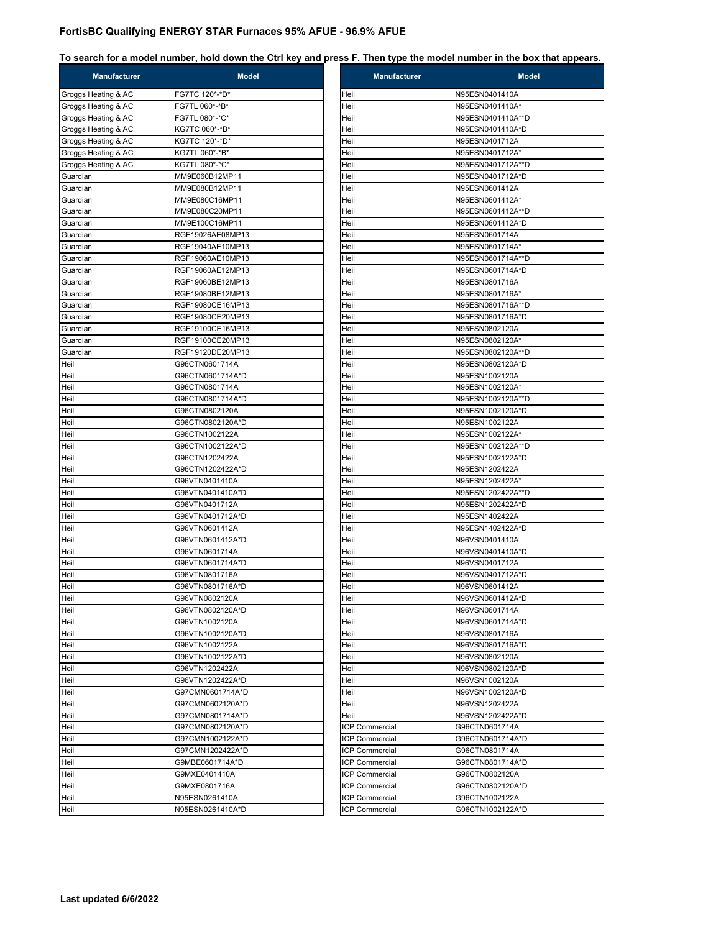| <b>Manufacturer</b> | <b>Model</b>     | <b>Manufacturer</b>   | <b>Model</b>      |
|---------------------|------------------|-----------------------|-------------------|
| Groggs Heating & AC | FG7TC 120*-*D*   | Heil                  | N95ESN0401410A    |
| Groggs Heating & AC | FG7TL 060*-*B*   | Heil                  | N95ESN0401410A*   |
| Groggs Heating & AC | FG7TL 080*-*C*   | Heil                  | N95ESN0401410A**D |
| Groggs Heating & AC | KG7TC 060*-*B*   | Heil                  | N95ESN0401410A*D  |
| Groggs Heating & AC | KG7TC 120*-*D*   | Heil                  | N95ESN0401712A    |
| Groggs Heating & AC | KG7TL 060*-*B*   | Heil                  | N95ESN0401712A*   |
| Groggs Heating & AC | KG7TL 080*-*C*   | Heil                  | N95ESN0401712A**D |
| Guardian            | MM9E060B12MP11   | Heil                  | N95ESN0401712A*D  |
| Guardian            | MM9E080B12MP11   | Heil                  | N95ESN0601412A    |
| Guardian            | MM9E080C16MP11   | Heil                  | N95ESN0601412A*   |
| Guardian            | MM9E080C20MP11   | Heil                  | N95ESN0601412A**D |
| Guardian            | MM9E100C16MP11   | Heil                  | N95ESN0601412A*D  |
| Guardian            | RGF19026AE08MP13 | Heil                  | N95ESN0601714A    |
| Guardian            | RGF19040AE10MP13 | Heil                  | N95ESN0601714A*   |
| Guardian            | RGF19060AE10MP13 | Heil                  | N95ESN0601714A**D |
| Guardian            | RGF19060AE12MP13 | Heil                  | N95ESN0601714A*D  |
| Guardian            | RGF19060BE12MP13 | Heil                  | N95ESN0801716A    |
| Guardian            | RGF19080BE12MP13 | Heil                  | N95ESN0801716A*   |
| Guardian            | RGF19080CE16MP13 | Heil                  | N95ESN0801716A**D |
| Guardian            | RGF19080CE20MP13 | Heil                  | N95ESN0801716A*D  |
| Guardian            | RGF19100CE16MP13 | Heil                  | N95ESN0802120A    |
| Guardian            | RGF19100CE20MP13 | Heil                  | N95ESN0802120A*   |
| Guardian            | RGF19120DE20MP13 | Heil                  | N95ESN0802120A**D |
| Heil                | G96CTN0601714A   | Heil                  | N95ESN0802120A*D  |
| Heil                | G96CTN0601714A*D | Heil                  | N95ESN1002120A    |
| Heil                | G96CTN0801714A   | Heil                  | N95ESN1002120A*   |
| Heil                | G96CTN0801714A*D | Heil                  | N95ESN1002120A**D |
| Heil                | G96CTN0802120A   | Heil                  | N95ESN1002120A*D  |
| Heil                | G96CTN0802120A*D | Heil                  | N95ESN1002122A    |
| Heil                | G96CTN1002122A   | Heil                  | N95ESN1002122A*   |
| Heil                | G96CTN1002122A*D | Heil                  | N95ESN1002122A**D |
| Heil                | G96CTN1202422A   | Heil                  | N95ESN1002122A*D  |
| Heil                | G96CTN1202422A*D | Heil                  | N95ESN1202422A    |
| Heil                | G96VTN0401410A   | Heil                  | N95ESN1202422A*   |
| Heil                | G96VTN0401410A*D | Heil                  | N95ESN1202422A**D |
| Heil                | G96VTN0401712A   | Heil                  | N95ESN1202422A*D  |
| Heil                | G96VTN0401712A*D | Heil                  | N95ESN1402422A    |
| Heil                | G96VTN0601412A   | Heil                  | N95ESN1402422A*D  |
| Heil                | G96VTN0601412A*D | Heil                  | N96VSN0401410A    |
| Heil                | G96VTN0601714A   | Heil                  | N96VSN0401410A*D  |
| Heil                | G96VTN0601714A*D | Heil                  | N96VSN0401712A    |
| Heil                | G96VTN0801716A   | Heil                  | N96VSN0401712A*D  |
| Heil                | G96VTN0801716A*D | Heil                  | N96VSN0601412A    |
| Heil                | G96VTN0802120A   | Heil                  | N96VSN0601412A*D  |
| Heil                | G96VTN0802120A*D | Heil                  | N96VSN0601714A    |
| Heil                | G96VTN1002120A   | Heil                  | N96VSN0601714A*D  |
| Heil                | G96VTN1002120A*D | Heil                  | N96VSN0801716A    |
| Heil                | G96VTN1002122A   | Heil                  | N96VSN0801716A*D  |
| Heil                | G96VTN1002122A*D | Heil                  | N96VSN0802120A    |
| Heil                | G96VTN1202422A   | Heil                  | N96VSN0802120A*D  |
| Heil                | G96VTN1202422A*D | Heil                  | N96VSN1002120A    |
| Heil                | G97CMN0601714A*D | Heil                  | N96VSN1002120A*D  |
| Heil                | G97CMN0602120A*D | Heil                  | N96VSN1202422A    |
| Heil                | G97CMN0801714A*D | Heil                  | N96VSN1202422A*D  |
| Heil                | G97CMN0802120A*D | <b>ICP Commercial</b> | G96CTN0601714A    |
| Heil                | G97CMN1002122A*D | <b>ICP Commercial</b> | G96CTN0601714A*D  |
| Heil                | G97CMN1202422A*D | <b>ICP Commercial</b> | G96CTN0801714A    |
| Heil                | G9MBE0601714A*D  | <b>ICP Commercial</b> | G96CTN0801714A*D  |
| Heil                | G9MXE0401410A    | <b>ICP Commercial</b> | G96CTN0802120A    |
| Heil                | G9MXE0801716A    | <b>ICP Commercial</b> | G96CTN0802120A*D  |
| Heil                | N95ESN0261410A   | <b>ICP Commercial</b> | G96CTN1002122A    |
| Heil                | N95ESN0261410A*D | <b>ICP Commercial</b> | G96CTN1002122A*D  |
|                     |                  |                       |                   |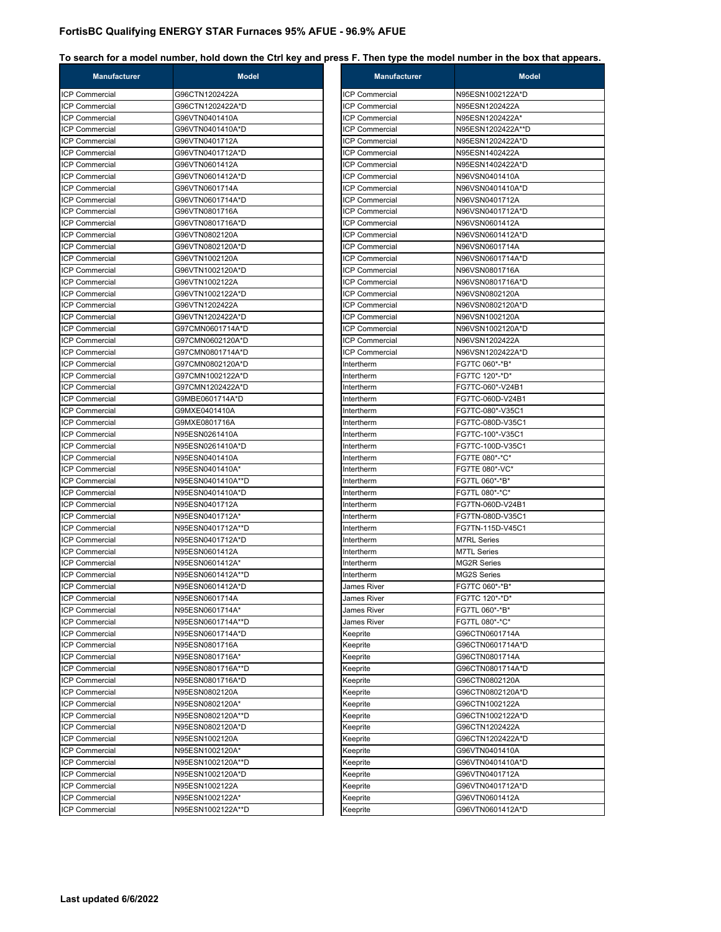| <b>Manufacturer</b>                     | <b>Model</b>      | <b>Manufacturer</b>   | <b>Model</b>       |
|-----------------------------------------|-------------------|-----------------------|--------------------|
| ICP Commercial                          | G96CTN1202422A    | ICP Commercial        | N95ESN1002122A*D   |
| <b>ICP Commercial</b>                   | G96CTN1202422A*D  | ICP Commercial        | N95ESN1202422A     |
| <b>ICP Commercial</b>                   | G96VTN0401410A    | <b>ICP Commercial</b> | N95ESN1202422A*    |
| <b>ICP Commercial</b>                   | G96VTN0401410A*D  | <b>ICP Commercial</b> | N95ESN1202422A**D  |
| <b>ICP Commercial</b>                   | G96VTN0401712A    | <b>ICP Commercial</b> | N95ESN1202422A*D   |
| <b>ICP Commercial</b>                   | G96VTN0401712A*D  | <b>ICP Commercial</b> | N95ESN1402422A     |
| ICP Commercial                          | G96VTN0601412A    | ICP Commercial        | N95ESN1402422A*D   |
| <b>ICP Commercial</b>                   | G96VTN0601412A*D  | <b>ICP Commercial</b> | N96VSN0401410A     |
| <b>ICP Commercial</b>                   | G96VTN0601714A    | <b>ICP Commercial</b> | N96VSN0401410A*D   |
| <b>ICP Commercial</b>                   | G96VTN0601714A*D  | ICP Commercial        | N96VSN0401712A     |
| <b>ICP Commercial</b>                   | G96VTN0801716A    | <b>ICP Commercial</b> | N96VSN0401712A*D   |
| <b>ICP Commercial</b>                   | G96VTN0801716A*D  | <b>ICP Commercial</b> | N96VSN0601412A     |
|                                         |                   | <b>ICP Commercial</b> | N96VSN0601412A*D   |
| ICP Commercial<br><b>ICP Commercial</b> | G96VTN0802120A    | <b>ICP Commercial</b> |                    |
|                                         | G96VTN0802120A*D  |                       | N96VSN0601714A     |
| <b>ICP Commercial</b>                   | G96VTN1002120A    | <b>ICP Commercial</b> | N96VSN0601714A*D   |
| <b>ICP Commercial</b>                   | G96VTN1002120A*D  | <b>ICP Commercial</b> | N96VSN0801716A     |
| <b>ICP Commercial</b>                   | G96VTN1002122A    | ICP Commercial        | N96VSN0801716A*D   |
| <b>ICP Commercial</b>                   | G96VTN1002122A*D  | <b>ICP Commercial</b> | N96VSN0802120A     |
| <b>ICP Commercial</b>                   | G96VTN1202422A    | <b>ICP Commercial</b> | N96VSN0802120A*D   |
| <b>ICP Commercial</b>                   | G96VTN1202422A*D  | <b>ICP Commercial</b> | N96VSN1002120A     |
| <b>ICP Commercial</b>                   | G97CMN0601714A*D  | <b>ICP Commercial</b> | N96VSN1002120A*D   |
| <b>ICP Commercial</b>                   | G97CMN0602120A*D  | <b>ICP Commercial</b> | N96VSN1202422A     |
| <b>ICP Commercial</b>                   | G97CMN0801714A*D  | ICP Commercial        | N96VSN1202422A*D   |
| <b>ICP Commercial</b>                   | G97CMN0802120A*D  | Intertherm            | FG7TC 060*-*B*     |
| <b>ICP Commercial</b>                   | G97CMN1002122A*D  | Intertherm            | FG7TC 120*-*D*     |
| <b>ICP Commercial</b>                   | G97CMN1202422A*D  | Intertherm            | FG7TC-060*-V24B1   |
| <b>ICP Commercial</b>                   | G9MBE0601714A*D   | Intertherm            | FG7TC-060D-V24B1   |
| <b>ICP Commercial</b>                   | G9MXE0401410A     | Intertherm            | FG7TC-080*-V35C1   |
| <b>ICP Commercial</b>                   | G9MXE0801716A     | Intertherm            | FG7TC-080D-V35C1   |
| <b>ICP Commercial</b>                   | N95ESN0261410A    | Intertherm            | FG7TC-100*-V35C1   |
| <b>ICP Commercial</b>                   | N95ESN0261410A*D  | Intertherm            | FG7TC-100D-V35C1   |
| ICP Commercial                          | N95ESN0401410A    | Intertherm            | FG7TE 080*-*C*     |
| <b>ICP Commercial</b>                   | N95ESN0401410A*   | Intertherm            | FG7TE 080*-VC*     |
| <b>ICP Commercial</b>                   |                   |                       |                    |
|                                         | N95ESN0401410A**D | Intertherm            | FG7TL 060*-*B*     |
| <b>ICP Commercial</b>                   | N95ESN0401410A*D  | Intertherm            | FG7TL 080*-*C*     |
| <b>ICP Commercial</b>                   | N95ESN0401712A    | Intertherm            | FG7TN-060D-V24B1   |
| <b>ICP Commercial</b>                   | N95ESN0401712A*   | Intertherm            | FG7TN-080D-V35C1   |
| <b>ICP Commercial</b>                   | N95ESN0401712A**D | Intertherm            | FG7TN-115D-V45C1   |
| ICP Commercial                          | N95ESN0401712A*D  | Intertherm            | <b>M7RL Series</b> |
| <b>ICP Commercial</b>                   | N95ESN0601412A    | Intertherm            | <b>M7TL Series</b> |
| <b>ICP Commercial</b>                   | N95ESN0601412A*   | Intertherm            | <b>MG2R Series</b> |
| <b>ICP Commercial</b>                   | N95ESN0601412A**D | Intertherm            | <b>MG2S Series</b> |
| <b>ICP Commercial</b>                   | N95ESN0601412A*D  | James River           | FG7TC 060*-*B*     |
| <b>ICP Commercial</b>                   | N95ESN0601714A    | James River           | FG7TC 120*-*D*     |
| ICP Commercial                          | N95ESN0601714A*   | James River           | FG7TL 060*-*B*     |
| <b>ICP Commercial</b>                   | N95ESN0601714A**D | James River           | FG7TL 080*-*C*     |
| <b>ICP Commercial</b>                   | N95ESN0601714A*D  | Keeprite              | G96CTN0601714A     |
| ICP Commercial                          | N95ESN0801716A    | Keeprite              | G96CTN0601714A*D   |
| ICP Commercial                          | N95ESN0801716A*   | Keeprite              | G96CTN0801714A     |
| <b>ICP Commercial</b>                   | N95ESN0801716A**D | Keeprite              | G96CTN0801714A*D   |
| <b>ICP Commercial</b>                   | N95ESN0801716A*D  | Keeprite              | G96CTN0802120A     |
| <b>ICP Commercial</b>                   | N95ESN0802120A    | Keeprite              | G96CTN0802120A*D   |
| ICP Commercial                          | N95ESN0802120A*   | Keeprite              | G96CTN1002122A     |
|                                         |                   |                       |                    |
| <b>ICP Commercial</b>                   | N95ESN0802120A**D | Keeprite              | G96CTN1002122A*D   |
| <b>ICP Commercial</b>                   | N95ESN0802120A*D  | Keeprite              | G96CTN1202422A     |
| ICP Commercial                          | N95ESN1002120A    | Keeprite              | G96CTN1202422A*D   |
| ICP Commercial                          | N95ESN1002120A*   | Keeprite              | G96VTN0401410A     |
| <b>ICP Commercial</b>                   | N95ESN1002120A**D | Keeprite              | G96VTN0401410A*D   |
| ICP Commercial                          | N95ESN1002120A*D  | Keeprite              | G96VTN0401712A     |
| ICP Commercial                          | N95ESN1002122A    | Keeprite              | G96VTN0401712A*D   |
| <b>ICP Commercial</b>                   | N95ESN1002122A*   | Keeprite              | G96VTN0601412A     |
|                                         | N95ESN1002122A**D | Keeprite              | G96VTN0601412A*D   |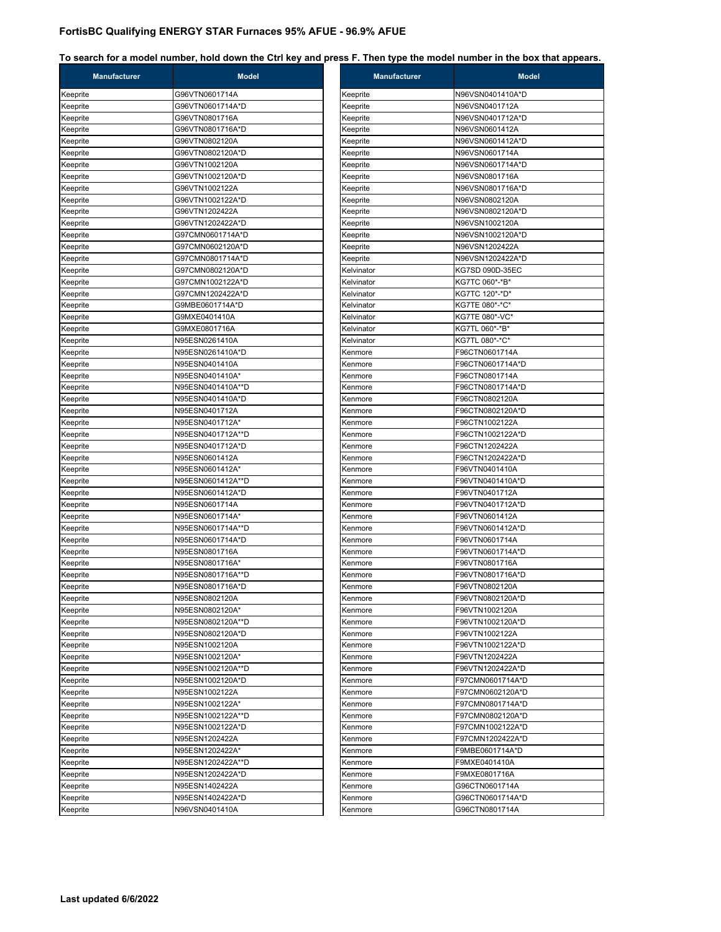| Manufacturer         | <b>Model</b>                         | Manufacturer       | <b>Model</b>                       |
|----------------------|--------------------------------------|--------------------|------------------------------------|
| Keeprite             | G96VTN0601714A                       | Keeprite           | N96VSN0401410A*D                   |
| Keeprite             | G96VTN0601714A*D                     | Keeprite           | N96VSN0401712A                     |
| Keeprite             | G96VTN0801716A                       | Keeprite           | N96VSN0401712A*D                   |
| Keeprite             | G96VTN0801716A*D                     | Keeprite           | N96VSN0601412A                     |
| Keeprite             | G96VTN0802120A                       | Keeprite           | N96VSN0601412A*D                   |
| Keeprite             | G96VTN0802120A*D                     | Keeprite           | N96VSN0601714A                     |
| Keeprite             | G96VTN1002120A                       | Keeprite           | N96VSN0601714A*D                   |
| Keeprite             | G96VTN1002120A*D                     | Keeprite           | N96VSN0801716A                     |
| Keeprite             | G96VTN1002122A                       | Keeprite           | N96VSN0801716A*D                   |
| Keeprite             | G96VTN1002122A*D                     | Keeprite           | N96VSN0802120A                     |
| Keeprite             | G96VTN1202422A                       | Keeprite           | N96VSN0802120A*D                   |
| Keeprite             | G96VTN1202422A*D                     | Keeprite           | N96VSN1002120A                     |
| Keeprite             | G97CMN0601714A*D                     | Keeprite           | N96VSN1002120A*D                   |
| Keeprite             | G97CMN0602120A*D                     | Keeprite           | N96VSN1202422A                     |
| Keeprite             | G97CMN0801714A*D                     | Keeprite           | N96VSN1202422A*D                   |
| Keeprite             | G97CMN0802120A*D                     | Kelvinator         | KG7SD 090D-35EC                    |
| Keeprite             | G97CMN1002122A*D                     | Kelvinator         | KG7TC 060*-*B*                     |
| Keeprite             | G97CMN1202422A*D                     | Kelvinator         | KG7TC 120*-*D*                     |
| Keeprite             | G9MBE0601714A*D                      | Kelvinator         | KG7TE 080*-*C*                     |
| Keeprite             | G9MXE0401410A                        | Kelvinator         | KG7TE 080*-VC*                     |
| Keeprite             | G9MXE0801716A                        | Kelvinator         | KG7TL 060*-*B*                     |
| Keeprite             | N95ESN0261410A                       | Kelvinator         | KG7TL 080*-*C*                     |
| Keeprite             | N95ESN0261410A*D                     | Kenmore            | F96CTN0601714A                     |
| Keeprite             | N95ESN0401410A                       | Kenmore            | F96CTN0601714A*D                   |
| Keeprite             | N95ESN0401410A*                      | Kenmore            | F96CTN0801714A                     |
| Keeprite             | N95ESN0401410A**D                    | Kenmore            | F96CTN0801714A*D                   |
| Keeprite             | N95ESN0401410A*D                     | Kenmore            | F96CTN0802120A                     |
| Keeprite             | N95ESN0401712A                       | Kenmore            | F96CTN0802120A*D                   |
| Keeprite             | N95ESN0401712A*                      | Kenmore            | F96CTN1002122A                     |
| Keeprite             | N95ESN0401712A**D                    | Kenmore            | F96CTN1002122A*D                   |
| Keeprite             | N95ESN0401712A*D                     | Kenmore            | F96CTN1202422A                     |
| Keeprite             | N95ESN0601412A                       | Kenmore            | F96CTN1202422A*D                   |
| Keeprite             | N95ESN0601412A*                      | Kenmore            | F96VTN0401410A                     |
| Keeprite             | N95ESN0601412A**D                    | Kenmore            | F96VTN0401410A*D                   |
| Keeprite             | N95ESN0601412A*D                     | Kenmore            | F96VTN0401712A                     |
| Keeprite             | N95ESN0601714A                       | Kenmore            | F96VTN0401712A*D                   |
| Keeprite             | N95ESN0601714A*                      | Kenmore            | F96VTN0601412A                     |
| Keeprite             | N95ESN0601714A**D                    | Kenmore            | F96VTN0601412A*D                   |
| Keeprite             | N95ESN0601714A*D<br>N95ESN0801716A   | Kenmore            | F96VTN0601714A<br>F96VTN0601714A*D |
| Keeprite             |                                      | Kenmore            |                                    |
| Keeprite             | N95ESN0801716A*                      | Kenmore<br>Kenmore | F96VTN0801716A                     |
| Keeprite             | N95ESN0801716A**D                    |                    | F96VTN0801716A*D                   |
| Keeprite<br>Keeprite | N95ESN0801716A*D                     | Kenmore            | F96VTN0802120A                     |
|                      | N95ESN0802120A                       | Kenmore            | F96VTN0802120A*D<br>F96VTN1002120A |
| Keeprite<br>Keeprite | N95ESN0802120A*<br>N95ESN0802120A**D | Kenmore<br>Kenmore | F96VTN1002120A*D                   |
| Keeprite             | N95ESN0802120A*D                     | Kenmore            | F96VTN1002122A                     |
| Keeprite             | N95ESN1002120A                       | Kenmore            | F96VTN1002122A*D                   |
| Keeprite             | N95ESN1002120A*                      | Kenmore            | F96VTN1202422A                     |
| Keeprite             | N95ESN1002120A**D                    | Kenmore            | F96VTN1202422A*D                   |
| Keeprite             | N95ESN1002120A*D                     | Kenmore            | F97CMN0601714A*D                   |
| Keeprite             | N95ESN1002122A                       | Kenmore            | F97CMN0602120A*D                   |
| Keeprite             | N95ESN1002122A*                      | Kenmore            | F97CMN0801714A*D                   |
| Keeprite             | N95ESN1002122A**D                    | Kenmore            | F97CMN0802120A*D                   |
| Keeprite             | N95ESN1002122A*D                     | Kenmore            | F97CMN1002122A*D                   |
| Keeprite             | N95ESN1202422A                       | Kenmore            | F97CMN1202422A*D                   |
| Keeprite             | N95ESN1202422A*                      | Kenmore            | F9MBE0601714A*D                    |
| Keeprite             | N95ESN1202422A**D                    | Kenmore            | F9MXE0401410A                      |
| Keeprite             | N95ESN1202422A*D                     | Kenmore            | F9MXE0801716A                      |
| Keeprite             | N95ESN1402422A                       | Kenmore            | G96CTN0601714A                     |
| Keeprite             | N95ESN1402422A*D                     | Kenmore            | G96CTN0601714A*D                   |
| Keeprite             | N96VSN0401410A                       | Kenmore            | G96CTN0801714A                     |
|                      |                                      |                    |                                    |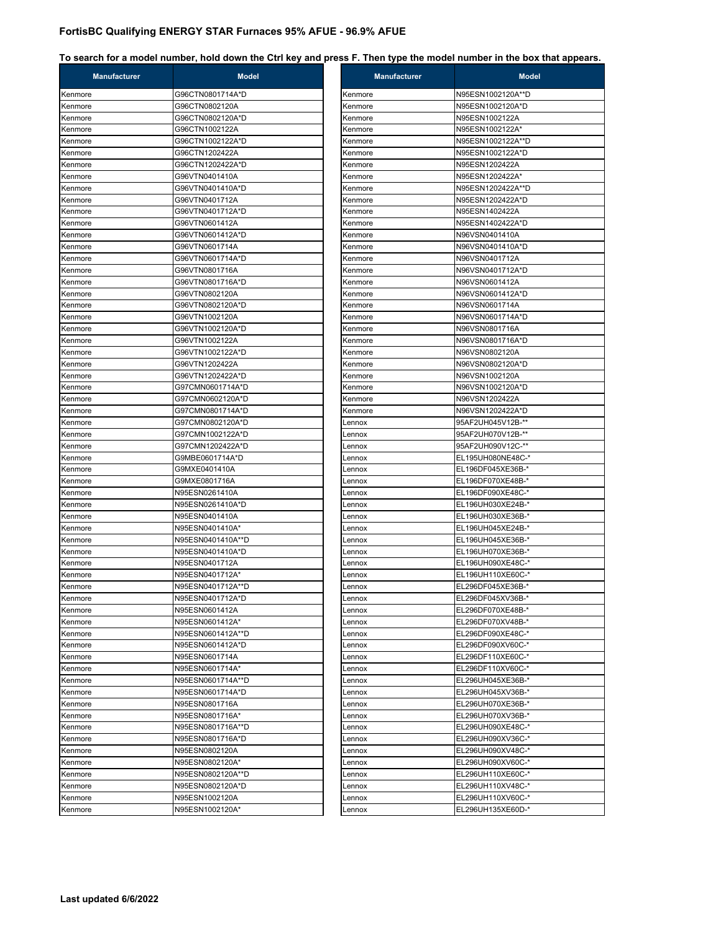| <b>Manufacturer</b> | <b>Model</b>      | <b>Manufacturer</b> | <b>Model</b>      |
|---------------------|-------------------|---------------------|-------------------|
| Kenmore             | G96CTN0801714A*D  | Kenmore             | N95ESN1002120A**D |
| Kenmore             | G96CTN0802120A    | Kenmore             | N95ESN1002120A*D  |
| Kenmore             | G96CTN0802120A*D  | Kenmore             | N95ESN1002122A    |
| Kenmore             | G96CTN1002122A    | Kenmore             | N95ESN1002122A*   |
| Kenmore             | G96CTN1002122A*D  | Kenmore             | N95ESN1002122A**D |
| Kenmore             | G96CTN1202422A    | Kenmore             | N95ESN1002122A*D  |
| Kenmore             | G96CTN1202422A*D  | Kenmore             | N95ESN1202422A    |
| Kenmore             | G96VTN0401410A    | Kenmore             | N95ESN1202422A*   |
| Kenmore             | G96VTN0401410A*D  | Kenmore             | N95ESN1202422A**D |
| Kenmore             | G96VTN0401712A    | Kenmore             | N95ESN1202422A*D  |
| Kenmore             | G96VTN0401712A*D  | Kenmore             | N95ESN1402422A    |
| Kenmore             | G96VTN0601412A    | Kenmore             | N95ESN1402422A*D  |
| Kenmore             | G96VTN0601412A*D  | Kenmore             | N96VSN0401410A    |
| Kenmore             | G96VTN0601714A    | Kenmore             | N96VSN0401410A*D  |
| Kenmore             | G96VTN0601714A*D  | Kenmore             | N96VSN0401712A    |
| Kenmore             | G96VTN0801716A    | Kenmore             | N96VSN0401712A*D  |
|                     | G96VTN0801716A*D  |                     | N96VSN0601412A    |
| Kenmore             |                   | Kenmore             |                   |
| Kenmore<br>Kenmore  | G96VTN0802120A    | Kenmore             | N96VSN0601412A*D  |
|                     | G96VTN0802120A*D  | Kenmore             | N96VSN0601714A    |
| Kenmore             | G96VTN1002120A    | Kenmore             | N96VSN0601714A*D  |
| Kenmore             | G96VTN1002120A*D  | Kenmore             | N96VSN0801716A    |
| Kenmore             | G96VTN1002122A    | Kenmore             | N96VSN0801716A*D  |
| Kenmore             | G96VTN1002122A*D  | Kenmore             | N96VSN0802120A    |
| Kenmore             | G96VTN1202422A    | Kenmore             | N96VSN0802120A*D  |
| Kenmore             | G96VTN1202422A*D  | Kenmore             | N96VSN1002120A    |
| Kenmore             | G97CMN0601714A*D  | Kenmore             | N96VSN1002120A*D  |
| Kenmore             | G97CMN0602120A*D  | Kenmore             | N96VSN1202422A    |
| Kenmore             | G97CMN0801714A*D  | Kenmore             | N96VSN1202422A*D  |
| Kenmore             | G97CMN0802120A*D  | Lennox              | 95AF2UH045V12B-** |
| Kenmore             | G97CMN1002122A*D  | Lennox              | 95AF2UH070V12B-** |
| Kenmore             | G97CMN1202422A*D  | Lennox              | 95AF2UH090V12C-** |
| Kenmore             | G9MBE0601714A*D   | Lennox              | EL195UH080NE48C-* |
| Kenmore             | G9MXE0401410A     | Lennox              | EL196DF045XE36B-* |
| Kenmore             | G9MXE0801716A     | Lennox              | EL196DF070XE48B-* |
| Kenmore             | N95ESN0261410A    | Lennox              | EL196DF090XE48C-* |
| Kenmore             | N95ESN0261410A*D  | Lennox              | EL196UH030XE24B-* |
| Kenmore             | N95ESN0401410A    | Lennox              | EL196UH030XE36B-* |
| Kenmore             | N95ESN0401410A*   | Lennox              | EL196UH045XE24B-* |
| Kenmore             | N95ESN0401410A**D | Lennox              | EL196UH045XE36B-* |
| Kenmore             | N95ESN0401410A*D  | _ennox              | EL196UH070XE36B-* |
| Kenmore             | N95ESN0401712A    | Lennox              | EL196UH090XE48C-* |
| Kenmore             | N95ESN0401712A*   | Lennox              | EL196UH110XE60C-* |
| Kenmore             | N95ESN0401712A**D | Lennox              | EL296DF045XE36B-* |
| Kenmore             | N95ESN0401712A*D  | Lennox              | EL296DF045XV36B-* |
| Kenmore             | N95ESN0601412A    | Lennox              | EL296DF070XE48B-* |
| Kenmore             | N95ESN0601412A*   | Lennox              | EL296DF070XV48B-* |
| Kenmore             | N95ESN0601412A**D | Lennox              | EL296DF090XE48C-* |
| Kenmore             | N95ESN0601412A*D  | Lennox              | EL296DF090XV60C-* |
| Kenmore             | N95ESN0601714A    | Lennox              | EL296DF110XE60C-* |
| Kenmore             | N95ESN0601714A*   | Lennox              | EL296DF110XV60C-* |
| Kenmore             | N95ESN0601714A**D | Lennox              | EL296UH045XE36B-* |
| Kenmore             | N95ESN0601714A*D  | Lennox              | EL296UH045XV36B-* |
| Kenmore             | N95ESN0801716A    | Lennox              | EL296UH070XE36B-* |
| Kenmore             | N95ESN0801716A*   | Lennox              | EL296UH070XV36B-* |
| Kenmore             | N95ESN0801716A**D | Lennox              | EL296UH090XE48C-* |
| Kenmore             | N95ESN0801716A*D  | Lennox              | EL296UH090XV36C-* |
| Kenmore             | N95ESN0802120A    | Lennox              | EL296UH090XV48C-* |
| Kenmore             | N95ESN0802120A*   |                     | EL296UH090XV60C-* |
|                     |                   | Lennox              |                   |
| Kenmore             | N95ESN0802120A**D | Lennox              | EL296UH110XE60C-* |
| Kenmore             | N95ESN0802120A*D  | Lennox              | EL296UH110XV48C-* |
| Kenmore             | N95ESN1002120A    | Lennox              | EL296UH110XV60C-* |
| Kenmore             | N95ESN1002120A*   | .ennox              | EL296UH135XE60D-* |

| Kenmore | N95ESN1002120A**D |
|---------|-------------------|
| Kenmore | N95ESN1002120A*D  |
| Kenmore | N95ESN1002122A    |
| Kenmore | N95ESN1002122A*   |
| Kenmore | N95ESN1002122A**D |
| Kenmore | N95ESN1002122A*D  |
| Kenmore | N95ESN1202422A    |
| Kenmore | N95ESN1202422A*   |
| Kenmore | N95ESN1202422A**D |
| Kenmore | N95ESN1202422A*D  |
| Kenmore | N95ESN1402422A    |
| Kenmore | N95ESN1402422A*D  |
| Kenmore | N96VSN0401410A    |
| Kenmore | N96VSN0401410A*D  |
| Kenmore | N96VSN0401712A    |
| Kenmore | N96VSN0401712A*D  |
| Kenmore | N96VSN0601412A    |
| Kenmore | N96VSN0601412A*D  |
| Kenmore | N96VSN0601714A    |
| Kenmore | N96VSN0601714A*D  |
| Kenmore | N96VSN0801716A    |
| Kenmore | N96VSN0801716A*D  |
| Kenmore | N96VSN0802120A    |
| Kenmore | N96VSN0802120A*D  |
| Kenmore | N96VSN1002120A    |
| Kenmore | N96VSN1002120A*D  |
| Kenmore | N96VSN1202422A    |
| Kenmore | N96VSN1202422A*D  |
| Lennox  | 95AF2UH045V12B-** |
| Lennox  | 95AF2UH070V12B-** |
| Lennox  | 95AF2UH090V12C-** |
| Lennox  | EL195UH080NE48C-* |
| Lennox  | EL196DF045XE36B-* |
| Lennox  | EL196DF070XE48B-* |
| Lennox  | EL196DF090XE48C-* |
| Lennox  | EL196UH030XE24B-* |
| Lennox  | EL196UH030XE36B-* |
| Lennox  | EL196UH045XE24B-* |
| Lennox  | EL196UH045XE36B-* |
| Lennox  | EL196UH070XE36B-* |
| Lennox  | EL196UH090XE48C-* |
| Lennox  | EL196UH110XE60C-* |
| Lennox  | EL296DF045XE36B-* |
| Lennox  | EL296DF045XV36B-* |
| Lennox  | EL296DF070XE48B-* |
| Lennox  | EL296DF070XV48B-* |
| Lennox  | EL296DF090XE48C-* |
| Lennox  | EL296DF090XV60C-* |
| Lennox  | EL296DF110XE60C-* |
| Lennox  | EL296DF110XV60C-* |
| Lennox  | EL296UH045XE36B-* |
| Lennox  | EL296UH045XV36B-* |
| Lennox  | EL296UH070XE36B-* |
| Lennox  | EL296UH070XV36B-* |
| Lennox  | EL296UH090XE48C-* |
| Lennox  | EL296UH090XV36C-* |
| Lennox  | EL296UH090XV48C-* |
| Lennox  | EL296UH090XV60C-* |
| Lennox  | EL296UH110XE60C-* |
| Lennox  | EL296UH110XV48C-* |
| Lennox  | EL296UH110XV60C-* |
| Lennox  | EL296UH135XE60D-* |
|         |                   |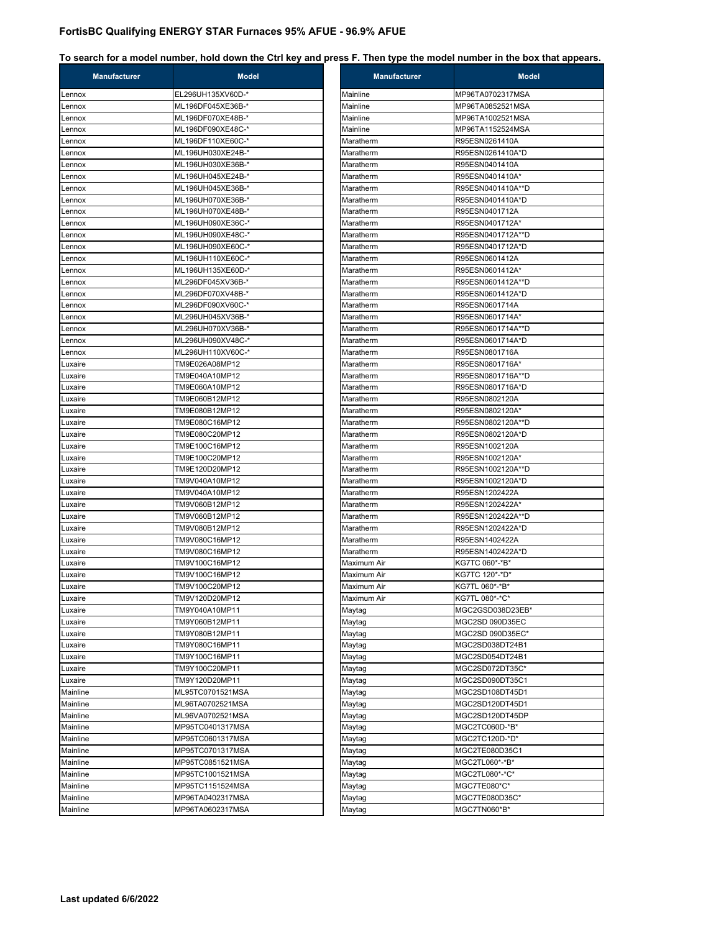| <b>Manufacturer</b> | <b>Model</b>      | <b>Manufacturer</b> | <b>Model</b>      |
|---------------------|-------------------|---------------------|-------------------|
| Lennox              | EL296UH135XV60D-* | Mainline            | MP96TA0702317MSA  |
| Lennox              | ML196DF045XE36B-* | Mainline            | MP96TA0852521MSA  |
| Lennox              | ML196DF070XE48B-* | Mainline            | MP96TA1002521MSA  |
| Lennox              | ML196DF090XE48C-* | Mainline            | MP96TA1152524MSA  |
| Lennox              | ML196DF110XE60C-* | Maratherm           | R95ESN0261410A    |
| Lennox              | ML196UH030XE24B-* | Maratherm           | R95ESN0261410A*D  |
| Lennox              | ML196UH030XE36B-* | Maratherm           | R95ESN0401410A    |
| Lennox              | ML196UH045XE24B-* | Maratherm           | R95ESN0401410A*   |
| Lennox              | ML196UH045XE36B-* | Maratherm           | R95ESN0401410A**D |
| Lennox              | ML196UH070XE36B-* | Maratherm           | R95ESN0401410A*D  |
| Lennox              | ML196UH070XE48B-* | Maratherm           | R95ESN0401712A    |
| Lennox              | ML196UH090XE36C-* | Maratherm           | R95ESN0401712A*   |
| Lennox              | ML196UH090XE48C-* | Maratherm           | R95ESN0401712A**D |
| Lennox              | ML196UH090XE60C-* | Maratherm           | R95ESN0401712A*D  |
| Lennox              | ML196UH110XE60C-* | Maratherm           | R95ESN0601412A    |
| Lennox              | ML196UH135XE60D-* | Maratherm           | R95ESN0601412A*   |
| Lennox              | ML296DF045XV36B-* | Maratherm           | R95ESN0601412A**D |
| Lennox              | ML296DF070XV48B-* | Maratherm           | R95ESN0601412A*D  |
| Lennox              | ML296DF090XV60C-* | Maratherm           | R95ESN0601714A    |
| Lennox              | ML296UH045XV36B-* | Maratherm           | R95ESN0601714A*   |
| Lennox              | ML296UH070XV36B-* | Maratherm           | R95ESN0601714A**D |
| Lennox              | ML296UH090XV48C-* | Maratherm           | R95ESN0601714A*D  |
| Lennox              | ML296UH110XV60C-* | Maratherm           | R95ESN0801716A    |
| Luxaire             | TM9E026A08MP12    | Maratherm           | R95ESN0801716A*   |
| Luxaire             | TM9E040A10MP12    | Maratherm           | R95ESN0801716A**D |
| Luxaire             | TM9E060A10MP12    | Maratherm           | R95ESN0801716A*D  |
| Luxaire             | TM9E060B12MP12    | Maratherm           | R95ESN0802120A    |
| Luxaire             | TM9E080B12MP12    | Maratherm           | R95ESN0802120A*   |
| Luxaire             | TM9E080C16MP12    | Maratherm           | R95ESN0802120A**D |
| Luxaire             | TM9E080C20MP12    | Maratherm           | R95ESN0802120A*D  |
| Luxaire             | TM9E100C16MP12    | Maratherm           | R95ESN1002120A    |
| Luxaire             | TM9E100C20MP12    | Maratherm           | R95ESN1002120A*   |
| Luxaire             | TM9E120D20MP12    | Maratherm           | R95ESN1002120A**D |
| Luxaire             | TM9V040A10MP12    | Maratherm           | R95ESN1002120A*D  |
| Luxaire             | TM9V040A10MP12    | Maratherm           | R95ESN1202422A    |
| Luxaire             | TM9V060B12MP12    | Maratherm           | R95ESN1202422A*   |
| Luxaire             | TM9V060B12MP12    | Maratherm           | R95ESN1202422A**D |
| Luxaire             | TM9V080B12MP12    | Maratherm           | R95ESN1202422A*D  |
| Luxaire             | TM9V080C16MP12    | Maratherm           | R95ESN1402422A    |
| Luxaire             | TM9V080C16MP12    | Maratherm           | R95ESN1402422A*D  |
| Luxaire             | TM9V100C16MP12    | Maximum Air         | KG7TC 060*-*B*    |
| Luxaire             | TM9V100C16MP12    | Maximum Air         | KG7TC 120*-*D*    |
| Luxaire             | TM9V100C20MP12    | Maximum Air         | KG7TL 060*-*B*    |
| Luxaire             | TM9V120D20MP12    | Maximum Air         | KG7TL 080*-*C*    |
| Luxaire             | TM9Y040A10MP11    | Maytag              | MGC2GSD038D23EB*  |
| Luxaire             | TM9Y060B12MP11    | Maytag              | MGC2SD 090D35EC   |
| Luxaire             | TM9Y080B12MP11    | Maytag              | MGC2SD 090D35EC*  |
| Luxaire             | TM9Y080C16MP11    | Maytag              | MGC2SD038DT24B1   |
| Luxaire             | TM9Y100C16MP11    | Maytag              | MGC2SD054DT24B1   |
| Luxaire             | TM9Y100C20MP11    | Maytag              | MGC2SD072DT35C*   |
| Luxaire             | TM9Y120D20MP11    | Maytag              | MGC2SD090DT35C1   |
| Mainline            | ML95TC0701521MSA  | Maytag              | MGC2SD108DT45D1   |
| Mainline            | ML96TA0702521MSA  | Maytag              | MGC2SD120DT45D1   |
| Mainline            | ML96VA0702521MSA  | Maytag              | MGC2SD120DT45DP   |
| Mainline            | MP95TC0401317MSA  | Maytag              | MGC2TC060D-*B*    |
| Mainline            | MP95TC0601317MSA  | Maytag              | MGC2TC120D-*D*    |
| Mainline            | MP95TC0701317MSA  | Maytag              | MGC2TE080D35C1    |
| Mainline            | MP95TC0851521MSA  | Maytag              | MGC2TL060*-*B*    |
| Mainline            | MP95TC1001521MSA  | Maytag              | MGC2TL080*-*C*    |
| Mainline            | MP95TC1151524MSA  | Maytag              | MGC7TE080*C*      |
| Mainline            | MP96TA0402317MSA  | Maytag              | MGC7TE080D35C*    |
| Mainline            | MP96TA0602317MSA  | Maytag              | MGC7TN060*B*      |

| <b>Manufacturer</b> | <b>INIQUEL</b>                     |
|---------------------|------------------------------------|
| Mainline            | MP96TA0702317MSA                   |
| Mainline            | MP96TA0852521MSA                   |
| Mainline            | MP96TA1002521MSA                   |
| Mainline            | MP96TA1152524MSA                   |
| Maratherm           | R95ESN0261410A                     |
| Maratherm           | R95ESN0261410A*D                   |
| Maratherm           | R95ESN0401410A                     |
| Maratherm           | R95ESN0401410A*                    |
| Maratherm           | R95ESN0401410A**D                  |
| Maratherm           | R95ESN0401410A*D                   |
| Maratherm           | R95ESN0401712A                     |
| Maratherm           | R95ESN0401712A*                    |
| Maratherm           | R95ESN0401712A**D                  |
| Maratherm           | R95ESN0401712A*D                   |
| Maratherm           | R95ESN0601412A                     |
| Maratherm           | R95ESN0601412A*                    |
| Maratherm           | R95ESN0601412A**D                  |
| Maratherm           | R95ESN0601412A*D                   |
| Maratherm           | R95ESN0601714A                     |
| Maratherm           | R95ESN0601714A*                    |
| Maratherm           | R95ESN0601714A**D                  |
| Maratherm           | R95ESN0601714A*D                   |
| Maratherm           | R95ESN0801716A                     |
| Maratherm           | R95ESN0801716A*                    |
| Maratherm           | R95ESN0801716A**D                  |
| Maratherm           | R95ESN0801716A*D                   |
| Maratherm           | R95ESN0802120A                     |
| Maratherm           | R95ESN0802120A*                    |
| Maratherm           | R95ESN0802120A**D                  |
| Maratherm           | R95ESN0802120A*D                   |
| Maratherm           | R95ESN1002120A                     |
| Maratherm           | R95ESN1002120A*                    |
| Maratherm           | R95ESN1002120A**D                  |
| Maratherm           | R95ESN1002120A*D                   |
| Maratherm           | R95ESN1202422A                     |
| Maratherm           | R95ESN1202422A*                    |
| Maratherm           | R95ESN1202422A**D                  |
| Maratherm           | R95ESN1202422A*D                   |
| Maratherm           | R95ESN1402422A                     |
| Maratherm           | R95ESN1402422A*D                   |
| Maximum Air         | KG7TC 060*-*B*                     |
| Maximum Air         | KG7TC 120*-*D*                     |
| Maximum Air         | KG7TL 060*-*B*                     |
| Maximum Air         | KG7TL 080*-*C*                     |
| Maytag              | MGC2GSD038D23EB*                   |
|                     | MGC2SD 090D35EC                    |
| Maytag<br>Maytag    | MGC2SD 090D35EC*                   |
| Maytag              | MGC2SD038DT24B1                    |
|                     | MGC2SD054DT24B1                    |
| Maytag              | MGC2SD072DT35C*                    |
| Maytag              | MGC2SD090DT35C1                    |
| Maytag              |                                    |
| Maytag              | MGC2SD108DT45D1<br>MGC2SD120DT45D1 |
| Maytag              |                                    |
| Maytag              | MGC2SD120DT45DP<br>MGC2TC060D-*B*  |
| Maytag              |                                    |
| Maytag              | MGC2TC120D-*D*                     |
| Maytag              | MGC2TE080D35C1                     |
| Maytag              | MGC2TL060*-*B*                     |
| Maytag              | MGC2TL080*-*C*                     |
| Maytag              | MGC7TE080*C*                       |
| Maytag              | MGC7TE080D35C*                     |
| Maytag              | MGC7TN060*B*                       |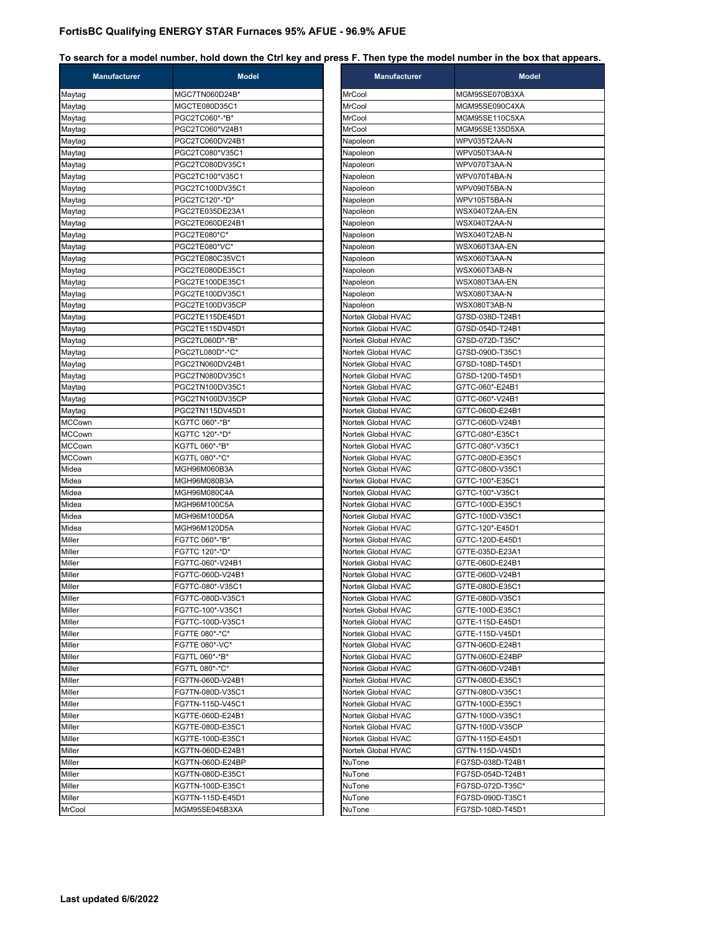| <b>Manufacturer</b> | <b>Model</b>     |                    | <b>Manufacturer</b>                      | M                                  |
|---------------------|------------------|--------------------|------------------------------------------|------------------------------------|
| Maytag              | MGC7TN060D24B*   | MrCool             |                                          | MGM95SE070B3XA                     |
| Maytag              | MGCTE080D35C1    | MrCool             |                                          | MGM95SE090C4XA                     |
| Maytag              | PGC2TC060*-*B*   | MrCool             |                                          | MGM95SE110C5XA                     |
| Maytag              | PGC2TC060*V24B1  | MrCool             |                                          | MGM95SE135D5XA                     |
| Maytag              | PGC2TC060DV24B1  | Napoleon           |                                          | WPV035T2AA-N                       |
| Maytag              | PGC2TC080*V35C1  | Napoleon           |                                          | WPV050T3AA-N                       |
| Maytag              | PGC2TC080DV35C1  | Napoleon           |                                          | WPV070T3AA-N                       |
| Maytag              | PGC2TC100*V35C1  | Napoleon           |                                          | WPV070T4BA-N                       |
| Maytag              | PGC2TC100DV35C1  | Napoleon           |                                          | WPV090T5BA-N                       |
| Maytag              | PGC2TC120*-*D*   | Napoleon           |                                          | WPV105T5BA-N                       |
| Maytag              | PGC2TE035DE23A1  | Napoleon           |                                          | WSX040T2AA-EN                      |
| Maytag              | PGC2TE060DE24B1  | Napoleon           |                                          | WSX040T2AA-N                       |
| Maytag              | PGC2TE080*C*     | Napoleon           |                                          | WSX040T2AB-N                       |
| Maytag              | PGC2TE080*VC*    | Napoleon           |                                          | WSX060T3AA-EN                      |
| Maytag              | PGC2TE080C35VC1  | Napoleon           |                                          | WSX060T3AA-N                       |
| Maytag              | PGC2TE080DE35C1  | Napoleon           |                                          | WSX060T3AB-N                       |
| Maytag              | PGC2TE100DE35C1  | Napoleon           |                                          | WSX080T3AA-EN                      |
| Maytag              | PGC2TE100DV35C1  | Napoleon           |                                          | WSX080T3AA-N                       |
| Maytag              | PGC2TE100DV35CP  | Napoleon           |                                          | WSX080T3AB-N                       |
|                     | PGC2TE115DE45D1  |                    |                                          |                                    |
| Maytag              |                  |                    | Nortek Global HVAC<br>Nortek Global HVAC | G7SD-038D-T24B1<br>G7SD-054D-T24B1 |
| Maytag              | PGC2TE115DV45D1  |                    |                                          |                                    |
| Maytag              | PGC2TL060D*-*B*  |                    | Nortek Global HVAC<br>Nortek Global HVAC | G7SD-072D-T35C*                    |
| Maytag              | PGC2TL080D*-*C*  |                    |                                          | G7SD-090D-T35C1                    |
| Maytag              | PGC2TN060DV24B1  |                    | Nortek Global HVAC                       | G7SD-108D-T45D1                    |
| Maytag              | PGC2TN080DV35C1  |                    | Nortek Global HVAC                       | G7SD-120D-T45D1                    |
| Maytag              | PGC2TN100DV35C1  |                    | Nortek Global HVAC                       | G7TC-060*-E24B1                    |
| Maytag              | PGC2TN100DV35CP  |                    | Nortek Global HVAC                       | G7TC-060*-V24B1                    |
| Maytag              | PGC2TN115DV45D1  |                    | Nortek Global HVAC                       | G7TC-060D-E24B1                    |
| <b>MCCown</b>       | KG7TC 060*-*B*   |                    | Nortek Global HVAC                       | G7TC-060D-V24B1                    |
| <b>MCCown</b>       | KG7TC 120*-*D*   |                    | Nortek Global HVAC                       | G7TC-080*-E35C1                    |
| <b>MCCown</b>       | KG7TL 060*-*B*   |                    | Nortek Global HVAC                       | G7TC-080*-V35C1                    |
| <b>MCCown</b>       | KG7TL 080*-*C*   |                    | Nortek Global HVAC                       | G7TC-080D-E35C1                    |
| Midea               | MGH96M060B3A     |                    | Nortek Global HVAC                       | G7TC-080D-V35C1                    |
| Midea               | MGH96M080B3A     |                    | Nortek Global HVAC                       | G7TC-100*-E35C1                    |
| Midea               | MGH96M080C4A     |                    | Nortek Global HVAC                       | G7TC-100*-V35C1                    |
| Midea               | MGH96M100C5A     |                    | Nortek Global HVAC                       | G7TC-100D-E35C1                    |
| Midea               | MGH96M100D5A     |                    | Nortek Global HVAC                       | G7TC-100D-V35C1                    |
| Midea               | MGH96M120D5A     |                    | Nortek Global HVAC                       | G7TC-120*-E45D1                    |
| Miller              | FG7TC 060*-*B*   |                    | Nortek Global HVAC                       | G7TC-120D-E45D1                    |
| Miller              | FG7TC 120*-*D*   |                    | Nortek Global HVAC                       | G7TE-035D-E23A1                    |
| Miller              | FG7TC-060*-V24B1 |                    | Nortek Global HVAC                       | G7TE-060D-E24B1                    |
| Miller              | FG7TC-060D-V24B1 |                    | Nortek Global HVAC                       | G7TE-060D-V24B1                    |
| Miller              | FG7TC-080*-V35C1 |                    | Nortek Global HVAC                       | G7TE-080D-E35C1                    |
| Miller              | FG7TC-080D-V35C1 | Nortek Global HVAC |                                          | G7TE-080D-V35C1                    |
| Miller              | FG7TC-100*-V35C1 |                    | Nortek Global HVAC                       | G7TE-100D-E35C1                    |
| Miller              | FG7TC-100D-V35C1 |                    | Nortek Global HVAC                       | G7TE-115D-E45D1                    |
| Miller              | FG7TE 080*-*C*   |                    | Nortek Global HVAC                       | G7TE-115D-V45D1                    |
| Miller              | FG7TE 080*-VC*   |                    | Nortek Global HVAC                       | G7TN-060D-E24B1                    |
| Miller              | FG7TL 060*-*B*   |                    | Nortek Global HVAC                       | G7TN-060D-E24BP                    |
| Miller              | FG7TL 080*-*C*   |                    | Nortek Global HVAC                       | G7TN-060D-V24B1                    |
| Miller              | FG7TN-060D-V24B1 |                    | Nortek Global HVAC                       | G7TN-080D-E35C1                    |
| Miller              | FG7TN-080D-V35C1 |                    | Nortek Global HVAC                       | G7TN-080D-V35C1                    |
| Miller              | FG7TN-115D-V45C1 |                    | Nortek Global HVAC                       | G7TN-100D-E35C1                    |
| Miller              | KG7TE-060D-E24B1 |                    | Nortek Global HVAC                       | G7TN-100D-V35C1                    |
| Miller              | KG7TE-080D-E35C1 |                    | Nortek Global HVAC                       | G7TN-100D-V35CP                    |
| Miller              | KG7TE-100D-E35C1 |                    | Nortek Global HVAC                       | G7TN-115D-E45D1                    |
| Miller              | KG7TN-060D-E24B1 |                    | Nortek Global HVAC                       | G7TN-115D-V45D1                    |
| Miller              | KG7TN-060D-E24BP | NuTone             |                                          | FG7SD-038D-T24B1                   |
| Miller              | KG7TN-080D-E35C1 | NuTone             |                                          | FG7SD-054D-T24B1                   |
| Miller              | KG7TN-100D-E35C1 | NuTone             |                                          | FG7SD-072D-T35C*                   |
| Miller              | KG7TN-115D-E45D1 | NuTone             |                                          | FG7SD-090D-T35C1                   |
|                     |                  |                    |                                          | FG7SD-108D-T45D1                   |
| MrCool              | MGM95SE045B3XA   | NuTone             |                                          |                                    |

| <b>Manufacturer</b>                      | <b>Model</b>                       |
|------------------------------------------|------------------------------------|
| MrCool                                   | MGM95SE070B3XA                     |
| <b>MrCool</b>                            | MGM95SE090C4XA                     |
| MrCool                                   | MGM95SE110C5XA                     |
| MrCool                                   | MGM95SE135D5XA                     |
| Napoleon                                 | WPV035T2AA-N                       |
| Napoleon                                 | WPV050T3AA-N                       |
| Napoleon                                 | WPV070T3AA-N                       |
| Napoleon                                 | WPV070T4BA-N                       |
| Napoleon                                 | WPV090T5BA-N                       |
| Napoleon                                 | WPV105T5BA-N                       |
| Napoleon                                 | WSX040T2AA-EN                      |
| Napoleon                                 | WSX040T2AA-N                       |
| Napoleon                                 | WSX040T2AB-N                       |
| Napoleon                                 | WSX060T3AA-EN                      |
| Napoleon                                 | WSX060T3AA-N                       |
| Napoleon                                 | WSX060T3AB-N                       |
| Napoleon                                 | WSX080T3AA-EN                      |
| Napoleon                                 | WSX080T3AA-N                       |
| Napoleon                                 | WSX080T3AB-N                       |
| Nortek Global HVAC                       | G7SD-038D-T24B1                    |
| Nortek Global HVAC<br>Nortek Global HVAC | G7SD-054D-T24B1                    |
|                                          | G7SD-072D-T35C*<br>G7SD-090D-T35C1 |
| Nortek Global HVAC<br>Nortek Global HVAC |                                    |
| Nortek Global HVAC                       | G7SD-108D-T45D1<br>G7SD-120D-T45D1 |
| Nortek Global HVAC                       | G7TC-060*-E24B1                    |
| Nortek Global HVAC                       | G7TC-060*-V24B1                    |
| Nortek Global HVAC                       | G7TC-060D-E24B1                    |
| Nortek Global HVAC                       | G7TC-060D-V24B1                    |
| Nortek Global HVAC                       | G7TC-080*-E35C1                    |
| Nortek Global HVAC                       | G7TC-080*-V35C1                    |
| Nortek Global HVAC                       | G7TC-080D-E35C1                    |
| Nortek Global HVAC                       | G7TC-080D-V35C1                    |
| Nortek Global HVAC                       | G7TC-100*-E35C1                    |
| Nortek Global HVAC                       | G7TC-100*-V35C1                    |
| Nortek Global HVAC                       | G7TC-100D-E35C1                    |
| Nortek Global HVAC                       | G7TC-100D-V35C1                    |
| Nortek Global HVAC                       | G7TC-120*-E45D1                    |
| Nortek Global HVAC                       | G7TC-120D-E45D1                    |
| Nortek Global HVAC                       | G7TE-035D-E23A1                    |
| Nortek Global HVAC                       | G7TE-060D-E24B1                    |
| Nortek Global HVAC                       | G7TE-060D-V24B1                    |
| Nortek Global HVAC                       | G7TE-080D-E35C1                    |
| Nortek Global HVAC                       | G7TE-080D-V35C1                    |
| Nortek Global HVAC                       | G7TE-100D-E35C1                    |
| Nortek Global HVAC                       | G7TE-115D-E45D1                    |
| Nortek Global HVAC                       | G7TE-115D-V45D1                    |
| Nortek Global HVAC                       | G7TN-060D-E24B1                    |
| Nortek Global HVAC                       | G7TN-060D-E24BP                    |
| Nortek Global HVAC<br>Nortek Global HVAC | G7TN-060D-V24B1<br>G7TN-080D-E35C1 |
|                                          |                                    |
| Nortek Global HVAC<br>Nortek Global HVAC | G7TN-080D-V35C1<br>G7TN-100D-E35C1 |
| Nortek Global HVAC                       | G7TN-100D-V35C1                    |
| Nortek Global HVAC                       | G7TN-100D-V35CP                    |
| Nortek Global HVAC                       | G7TN-115D-E45D1                    |
| Nortek Global HVAC                       | G7TN-115D-V45D1                    |
| NuTone                                   | FG7SD-038D-T24B1                   |
| NuTone                                   | FG7SD-054D-T24B1                   |
| NuTone                                   | FG7SD-072D-T35C*                   |
| NuTone                                   | FG7SD-090D-T35C1                   |
| NuTone                                   | FG7SD-108D-T45D1                   |
|                                          |                                    |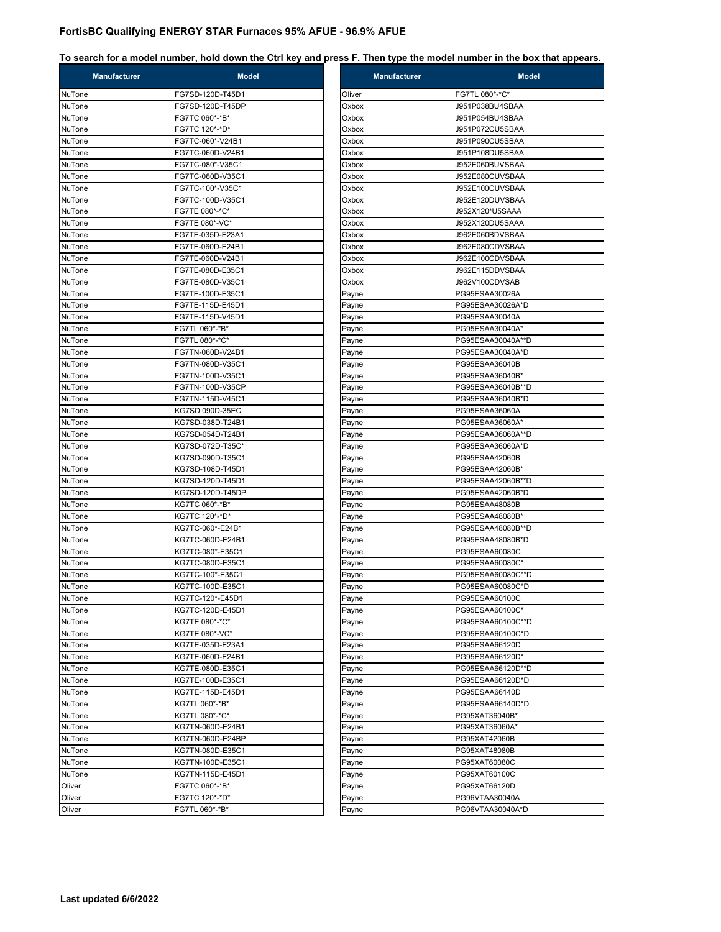| <b>Manufacturer</b> | <b>Model</b>     | <b>Manufacturer</b> | <b>Model</b>                         |
|---------------------|------------------|---------------------|--------------------------------------|
| NuTone              | FG7SD-120D-T45D1 | Oliver              | FG7TL 080*-*C*                       |
| NuTone              | FG7SD-120D-T45DP | Oxbox               | J951P038BU4SBAA                      |
| NuTone              | FG7TC 060*-*B*   | Oxbox               | J951P054BU4SBAA                      |
| NuTone              | FG7TC 120*-*D*   | Oxbox               | J951P072CU5SBAA                      |
| NuTone              | FG7TC-060*-V24B1 | Oxbox               | J951P090CU5SBAA                      |
| NuTone              | FG7TC-060D-V24B1 | Oxbox               | J951P108DU5SBAA                      |
| NuTone              | FG7TC-080*-V35C1 | Oxbox               | J952E060BUVSBAA                      |
| NuTone              | FG7TC-080D-V35C1 | Oxbox               | J952E080CUVSBAA                      |
| NuTone              | FG7TC-100*-V35C1 | Oxbox               | J952E100CUVSBAA                      |
| NuTone              | FG7TC-100D-V35C1 | Oxbox               | J952E120DUVSBAA                      |
| NuTone              | FG7TE 080*-*C*   | Oxbox               | J952X120*U5SAAA                      |
| NuTone              | FG7TE 080*-VC*   | Oxbox               | J952X120DU5SAAA                      |
| NuTone              | FG7TE-035D-E23A1 | Oxbox               | J962E060BDVSBAA                      |
| NuTone              | FG7TE-060D-E24B1 | Oxbox               | J962E080CDVSBAA                      |
| NuTone              | FG7TE-060D-V24B1 | Oxbox               | J962E100CDVSBAA                      |
| NuTone              | FG7TE-080D-E35C1 | Oxbox               | J962E115DDVSBAA                      |
| NuTone              | FG7TE-080D-V35C1 | Oxbox               | J962V100CDVSAB                       |
| NuTone              | FG7TE-100D-E35C1 | Payne               | PG95ESAA30026A                       |
| NuTone              | FG7TE-115D-E45D1 | Payne               | PG95ESAA30026A*D                     |
| NuTone              | FG7TE-115D-V45D1 | Payne               | PG95ESAA30040A                       |
| NuTone              | FG7TL 060*-*B*   | Payne               | PG95ESAA30040A*                      |
| NuTone              | FG7TL 080*-*C*   | Payne               | PG95ESAA30040A**D                    |
| NuTone              | FG7TN-060D-V24B1 | Payne               | PG95ESAA30040A*D                     |
| NuTone              | FG7TN-080D-V35C1 | Payne               | PG95ESAA36040B                       |
| NuTone              | FG7TN-100D-V35C1 | Payne               | PG95ESAA36040B*                      |
| NuTone              | FG7TN-100D-V35CP | Payne               | PG95ESAA36040B**D                    |
| NuTone              | FG7TN-115D-V45C1 | Payne               | PG95ESAA36040B*D                     |
| NuTone              | KG7SD 090D-35EC  | Payne               | PG95ESAA36060A                       |
| NuTone              | KG7SD-038D-T24B1 | Payne               | PG95ESAA36060A*                      |
| NuTone              | KG7SD-054D-T24B1 | Payne               | PG95ESAA36060A**D                    |
| NuTone              | KG7SD-072D-T35C* | Payne               | PG95ESAA36060A*D                     |
| NuTone              | KG7SD-090D-T35C1 | Payne               | PG95ESAA42060B                       |
| NuTone              | KG7SD-108D-T45D1 | Payne               | PG95ESAA42060B*                      |
| NuTone              | KG7SD-120D-T45D1 | Payne               | PG95ESAA42060B**D                    |
| NuTone              | KG7SD-120D-T45DP | Payne               | PG95ESAA42060B*D                     |
| NuTone              | KG7TC 060*-*B*   | Payne               | PG95ESAA48080B                       |
| NuTone              | KG7TC 120*-*D*   | Payne               | PG95ESAA48080B*                      |
| NuTone              | KG7TC-060*-E24B1 | Payne               | PG95ESAA48080B**D                    |
| NuTone              | KG7TC-060D-E24B1 | Payne               | PG95ESAA48080B*D                     |
| NuTone              | KG7TC-080*-E35C1 | Payne               | PG95ESAA60080C                       |
| NuTone              | KG7TC-080D-E35C1 | Payne               | PG95ESAA60080C*                      |
| NuTone              | KG7TC-100*-E35C1 | Payne               | PG95ESAA60080C**D                    |
| NuTone              | KG7TC-100D-E35C1 | Payne               | PG95ESAA60080C*D                     |
| NuTone              | KG7TC-120*-E45D1 | Payne               | PG95ESAA60100C                       |
|                     | KG7TC-120D-E45D1 |                     |                                      |
| NuTone<br>NuTone    | KG7TE 080*-*C*   | Payne<br>Payne      | PG95ESAA60100C*<br>PG95ESAA60100C**D |
|                     | KG7TE 080*-VC*   |                     |                                      |
| NuTone<br>NuTone    |                  | Payne               | PG95ESAA60100C*D                     |
|                     | KG7TE-035D-E23A1 | Payne               | PG95ESAA66120D                       |
| NuTone              | KG7TE-060D-E24B1 | Payne               | PG95ESAA66120D*                      |
| NuTone              | KG7TE-080D-E35C1 | Payne               | PG95ESAA66120D**D                    |
| NuTone              | KG7TE-100D-E35C1 | Payne               | PG95ESAA66120D*D                     |
| NuTone              | KG7TE-115D-E45D1 | Payne               | PG95ESAA66140D                       |
| NuTone              | KG7TL 060*-*B*   | Payne               | PG95ESAA66140D*D                     |
| NuTone              | KG7TL 080*-*C*   | Payne               | PG95XAT36040B*                       |
| NuTone              | KG7TN-060D-E24B1 | Payne               | PG95XAT36060A*                       |
| NuTone              | KG7TN-060D-E24BP | Payne               | PG95XAT42060B                        |
| NuTone              | KG7TN-080D-E35C1 | Payne               | PG95XAT48080B                        |
| NuTone              | KG7TN-100D-E35C1 | Payne               | PG95XAT60080C                        |
| NuTone              | KG7TN-115D-E45D1 | Payne               | PG95XAT60100C                        |
| Oliver              | FG7TC 060*-*B*   | Payne               | PG95XAT66120D                        |
| Oliver              | FG7TC 120*-*D*   | Payne               | PG96VTAA30040A                       |
| Oliver              | FG7TL 060*-*B*   | Payne               | PG96VTAA30040A*D                     |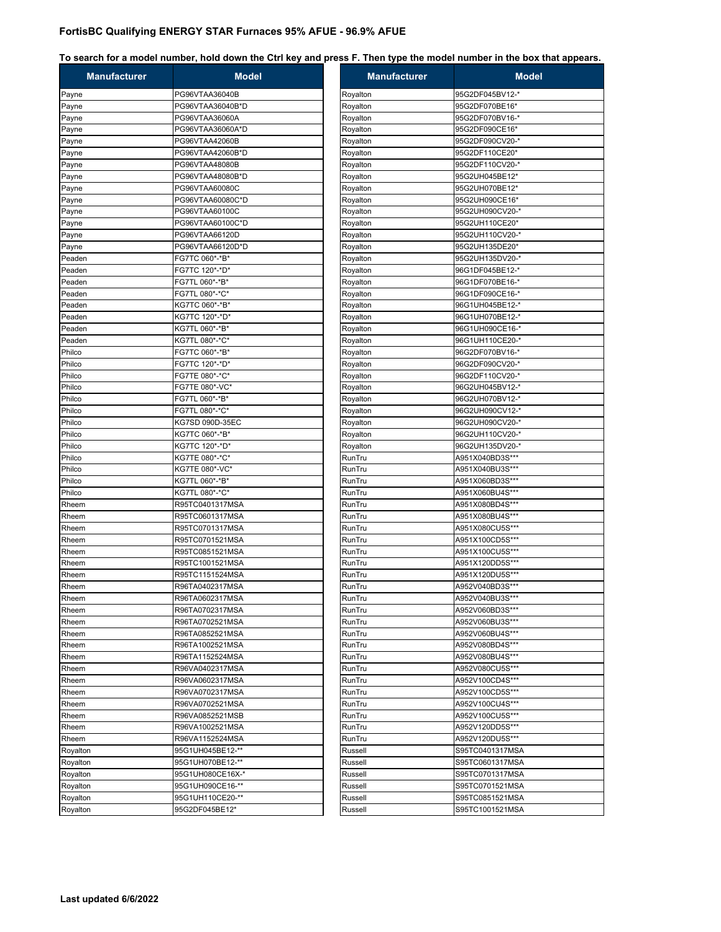| <b>Manufacturer</b> | <b>Model</b>     | <b>Manufacturer</b> | <b>Model</b>    |
|---------------------|------------------|---------------------|-----------------|
| Payne               | PG96VTAA36040B   | Royalton            | 95G2DF045BV12-* |
| Payne               | PG96VTAA36040B*D | Royalton            | 95G2DF070BE16*  |
| Payne               | PG96VTAA36060A   | Royalton            | 95G2DF070BV16-* |
| Payne               | PG96VTAA36060A*D | Royalton            | 95G2DF090CE16*  |
| Payne               | PG96VTAA42060B   | Royalton            | 95G2DF090CV20-* |
| Payne               | PG96VTAA42060B*D | Royalton            | 95G2DF110CE20*  |
| Payne               | PG96VTAA48080B   | Royalton            | 95G2DF110CV20-* |
| Payne               | PG96VTAA48080B*D | Royalton            | 95G2UH045BE12*  |
| Payne               | PG96VTAA60080C   | Royalton            | 95G2UH070BE12*  |
| Payne               | PG96VTAA60080C*D | Royalton            | 95G2UH090CE16*  |
| Payne               | PG96VTAA60100C   | Royalton            | 95G2UH090CV20-* |
| Payne               | PG96VTAA60100C*D | Royalton            | 95G2UH110CE20*  |
| Payne               | PG96VTAA66120D   | Royalton            | 95G2UH110CV20-* |
| Payne               | PG96VTAA66120D*D | Royalton            | 95G2UH135DE20*  |
|                     | FG7TC 060*-*B*   |                     | 95G2UH135DV20-* |
| Peaden              |                  | Royalton            |                 |
| Peaden              | FG7TC 120*-*D*   | Royalton            | 96G1DF045BE12-* |
| Peaden              | FG7TL 060*-*B*   | Royalton            | 96G1DF070BE16-* |
| Peaden              | FG7TL 080*-*C*   | Royalton            | 96G1DF090CE16-* |
| Peaden              | KG7TC 060*-*B*   | Royalton            | 96G1UH045BE12-* |
| Peaden              | KG7TC 120*-*D*   | Royalton            | 96G1UH070BE12-* |
| Peaden              | KG7TL 060*-*B*   | Royalton            | 96G1UH090CE16-* |
| Peaden              | KG7TL 080*-*C*   | Royalton            | 96G1UH110CE20-* |
| Philco              | FG7TC 060*-*B*   | Royalton            | 96G2DF070BV16-* |
| Philco              | FG7TC 120*-*D*   | Royalton            | 96G2DF090CV20-* |
| Philco              | FG7TE 080*-*C*   | Royalton            | 96G2DF110CV20-* |
| Philco              | FG7TE 080*-VC*   | Royalton            | 96G2UH045BV12-* |
| Philco              | FG7TL 060*-*B*   | Royalton            | 96G2UH070BV12-* |
| Philco              | FG7TL 080*-*C*   | Royalton            | 96G2UH090CV12-* |
| Philco              | KG7SD 090D-35EC  | Royalton            | 96G2UH090CV20-* |
| Philco              | KG7TC 060*-*B*   | Royalton            | 96G2UH110CV20-* |
| Philco              | KG7TC 120*-*D*   | Royalton            | 96G2UH135DV20-* |
| Philco              | KG7TE 080*-*C*   | RunTru              | A951X040BD3S*** |
| Philco              | KG7TE 080*-VC*   | RunTru              | A951X040BU3S*** |
| Philco              | KG7TL 060*-*B*   | RunTru              | A951X060BD3S*** |
| Philco              | KG7TL 080*-*C*   | RunTru              | A951X060BU4S*** |
| Rheem               | R95TC0401317MSA  | RunTru              | A951X080BD4S*** |
| Rheem               | R95TC0601317MSA  | RunTru              | A951X080BU4S*** |
| Rheem               | R95TC0701317MSA  | RunTru              | A951X080CU5S*** |
| Rheem               | R95TC0701521MSA  | RunTru              | A951X100CD5S*** |
|                     | R95TC0851521MSA  |                     | A951X100CU5S*** |
| Rheem               |                  | RunTru              |                 |
| Rheem               | R95TC1001521MSA  | RunTru              | A951X120DD5S*** |
| Rheem               | R95TC1151524MSA  | RunTru              | A951X120DU5S*** |
| Rheem               | R96TA0402317MSA  | RunTru              | A952V040BD3S*** |
| Rheem               | R96TA0602317MSA  | RunTru              | A952V040BU3S*** |
| Rheem               | R96TA0702317MSA  | RunTru              | A952V060BD3S*** |
| Rheem               | R96TA0702521MSA  | RunTru              | A952V060BU3S*** |
| Rheem               | R96TA0852521MSA  | RunTru              | A952V060BU4S*** |
| Rheem               | R96TA1002521MSA  | RunTru              | A952V080BD4S*** |
| Rheem               | R96TA1152524MSA  | RunTru              | A952V080BU4S*** |
| Rheem               | R96VA0402317MSA  | RunTru              | A952V080CU5S*** |
| Rheem               | R96VA0602317MSA  | RunTru              | A952V100CD4S*** |
| Rheem               | R96VA0702317MSA  | RunTru              | A952V100CD5S*** |
| Rheem               | R96VA0702521MSA  | RunTru              | A952V100CU4S*** |
| Rheem               | R96VA0852521MSB  | RunTru              | A952V100CU5S*** |
| Rheem               | R96VA1002521MSA  | RunTru              | A952V120DD5S*** |
| Rheem               | R96VA1152524MSA  | RunTru              | A952V120DU5S*** |
| Royalton            | 95G1UH045BE12-** | Russell             | S95TC0401317MSA |
| Royalton            | 95G1UH070BE12-** | Russell             | S95TC0601317MSA |
| Royalton            | 95G1UH080CE16X-* | Russell             | S95TC0701317MSA |
| Royalton            | 95G1UH090CE16-** | Russell             | S95TC0701521MSA |
|                     | 95G1UH110CE20-** | Russell             | S95TC0851521MSA |
| Royalton            | 95G2DF045BE12*   |                     | S95TC1001521MSA |
| Royalton            |                  | Russell             |                 |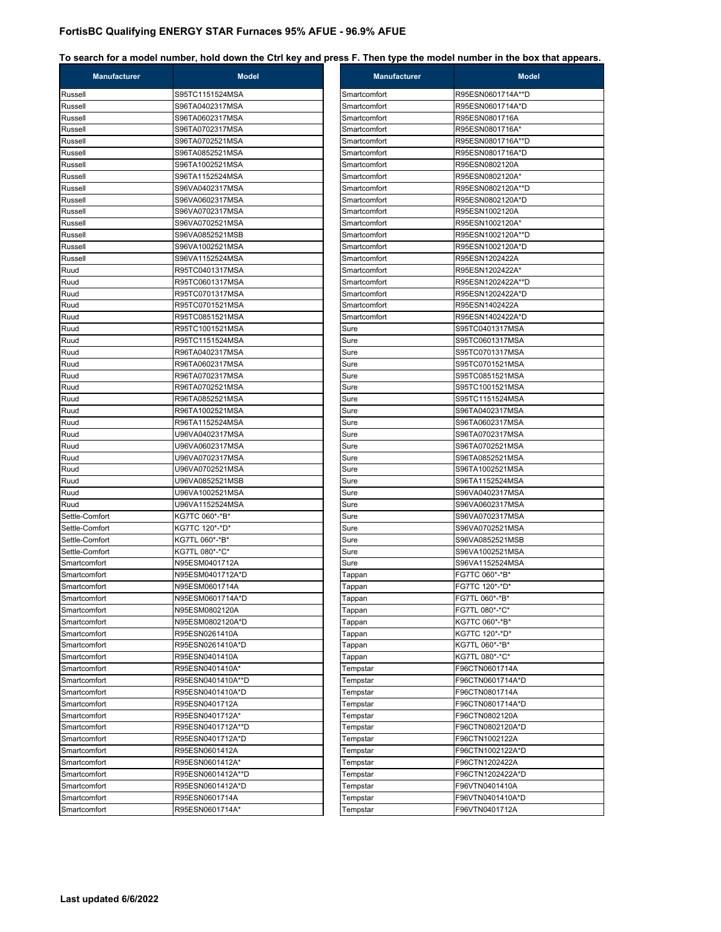| <b>Manufacturer</b> | <b>Model</b>      | <b>Manufacturer</b> | <b>Model</b>      |
|---------------------|-------------------|---------------------|-------------------|
| Russell             | S95TC1151524MSA   | Smartcomfort        | R95ESN0601714A**D |
| Russell             | S96TA0402317MSA   | Smartcomfort        | R95ESN0601714A*D  |
| Russell             | S96TA0602317MSA   | Smartcomfort        | R95ESN0801716A    |
| Russell             | S96TA0702317MSA   | Smartcomfort        | R95ESN0801716A*   |
| Russell             | S96TA0702521MSA   | Smartcomfort        | R95ESN0801716A**D |
| Russell             | S96TA0852521MSA   | Smartcomfort        | R95ESN0801716A*D  |
| Russell             | S96TA1002521MSA   | Smartcomfort        | R95ESN0802120A    |
| Russell             | S96TA1152524MSA   | Smartcomfort        | R95ESN0802120A*   |
| Russell             | S96VA0402317MSA   | Smartcomfort        | R95ESN0802120A**D |
| Russell             | S96VA0602317MSA   | Smartcomfort        | R95ESN0802120A*D  |
| Russell             | S96VA0702317MSA   | Smartcomfort        | R95ESN1002120A    |
| Russell             | S96VA0702521MSA   | Smartcomfort        | R95ESN1002120A*   |
| Russell             | S96VA0852521MSB   | Smartcomfort        | R95ESN1002120A**D |
| Russell             | S96VA1002521MSA   | Smartcomfort        | R95ESN1002120A*D  |
| Russell             | S96VA1152524MSA   | Smartcomfort        | R95ESN1202422A    |
| Ruud                | R95TC0401317MSA   | Smartcomfort        | R95ESN1202422A*   |
| Ruud                | R95TC0601317MSA   | Smartcomfort        | R95ESN1202422A**D |
| Ruud                | R95TC0701317MSA   | Smartcomfort        | R95ESN1202422A*D  |
| Ruud                | R95TC0701521MSA   | Smartcomfort        | R95ESN1402422A    |
| Ruud                | R95TC0851521MSA   | Smartcomfort        | R95ESN1402422A*D  |
| Ruud                | R95TC1001521MSA   | Sure                | S95TC0401317MSA   |
| Ruud                | R95TC1151524MSA   | Sure                | S95TC0601317MSA   |
| Ruud                | R96TA0402317MSA   | Sure                | S95TC0701317MSA   |
| Ruud                | R96TA0602317MSA   | Sure                | S95TC0701521MSA   |
| Ruud                | R96TA0702317MSA   | Sure                | S95TC0851521MSA   |
| Ruud                | R96TA0702521MSA   | Sure                | S95TC1001521MSA   |
| Ruud                | R96TA0852521MSA   | Sure                | S95TC1151524MSA   |
| Ruud                | R96TA1002521MSA   | Sure                | S96TA0402317MSA   |
| Ruud                | R96TA1152524MSA   | Sure                | S96TA0602317MSA   |
| Ruud                | U96VA0402317MSA   | Sure                | S96TA0702317MSA   |
| Ruud                | U96VA0602317MSA   | Sure                | S96TA0702521MSA   |
| Ruud                | U96VA0702317MSA   | Sure                | S96TA0852521MSA   |
| Ruud                | U96VA0702521MSA   | Sure                | S96TA1002521MSA   |
| Ruud                | U96VA0852521MSB   | Sure                | S96TA1152524MSA   |
| Ruud                | U96VA1002521MSA   | Sure                | S96VA0402317MSA   |
| Ruud                | U96VA1152524MSA   | Sure                | S96VA0602317MSA   |
| Settle-Comfort      | KG7TC 060*-*B*    | Sure                | S96VA0702317MSA   |
| Settle-Comfort      | KG7TC 120*-*D*    | Sure                | S96VA0702521MSA   |
| Settle-Comfort      | KG7TL 060*-*B*    | Sure                | S96VA0852521MSB   |
| Settle-Comfort      | KG7TL 080*-*C*    | Sure                | S96VA1002521MSA   |
| Smartcomfort        | N95ESM0401712A    | Sure                | S96VA1152524MSA   |
| Smartcomfort        | N95ESM0401712A*D  | Tappan              | FG7TC 060*-*B*    |
| Smartcomfort        | N95ESM0601714A    | Tappan              | FG7TC 120*-*D*    |
| Smartcomfort        | N95ESM0601714A*D  | Tappan              | FG7TL 060*-*B*    |
| Smartcomfort        | N95ESM0802120A    | Tappan              | FG7TL 080*-*C*    |
| Smartcomfort        | N95ESM0802120A*D  | Tappan              | KG7TC 060*-*B*    |
| Smartcomfort        | R95ESN0261410A    | Tappan              | KG7TC 120*-*D*    |
| Smartcomfort        | R95ESN0261410A*D  | Tappan              | KG7TL 060*-*B*    |
| Smartcomfort        | R95ESN0401410A    | Tappan              | KG7TL 080*-*C*    |
| Smartcomfort        | R95ESN0401410A*   | Tempstar            | F96CTN0601714A    |
| Smartcomfort        | R95ESN0401410A**D | Tempstar            | F96CTN0601714A*D  |
| Smartcomfort        | R95ESN0401410A*D  | Tempstar            | F96CTN0801714A    |
| Smartcomfort        | R95ESN0401712A    | Tempstar            | F96CTN0801714A*D  |
| Smartcomfort        | R95ESN0401712A*   | Tempstar            | F96CTN0802120A    |
| Smartcomfort        | R95ESN0401712A**D | Tempstar            | F96CTN0802120A*D  |
| Smartcomfort        | R95ESN0401712A*D  | Tempstar            | F96CTN1002122A    |
| Smartcomfort        | R95ESN0601412A    | Tempstar            | F96CTN1002122A*D  |
| Smartcomfort        | R95ESN0601412A*   | Tempstar            | F96CTN1202422A    |
| Smartcomfort        | R95ESN0601412A**D | Tempstar            | F96CTN1202422A*D  |
| Smartcomfort        | R95ESN0601412A*D  | Tempstar            | F96VTN0401410A    |
| Smartcomfort        | R95ESN0601714A    | Tempstar            | F96VTN0401410A*D  |
|                     |                   |                     |                   |
| Smartcomfort        | R95ESN0601714A*   | Tempstar            | F96VTN0401712A    |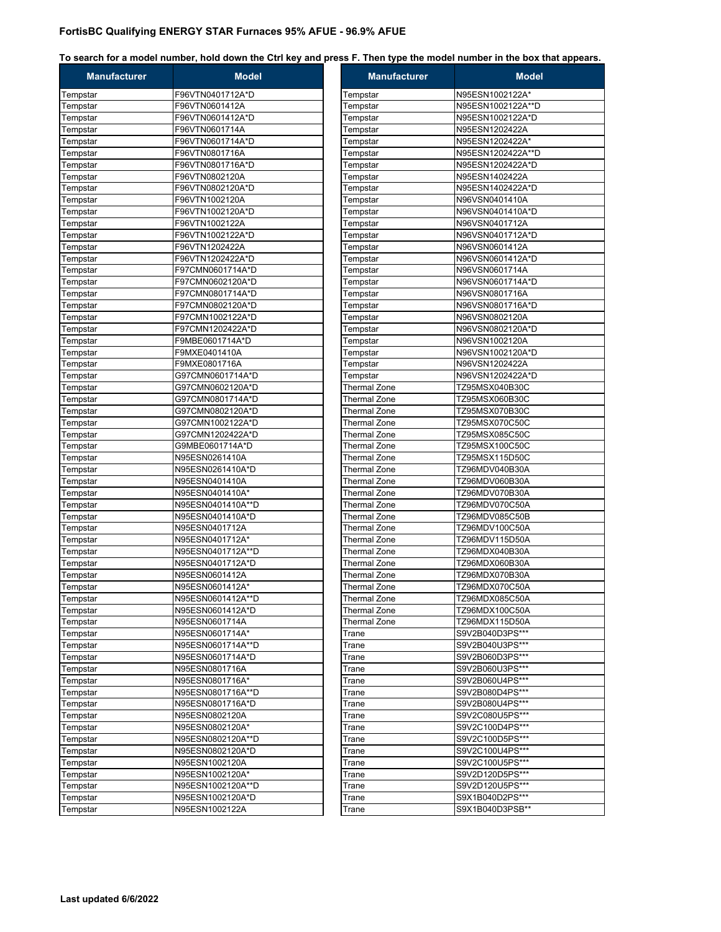| <b>Manufacturer</b>  | <b>Model</b>                       | <b>Manufacturer</b>                 | <b>Model</b>                     |
|----------------------|------------------------------------|-------------------------------------|----------------------------------|
| Tempstar             | F96VTN0401712A*D                   | Tempstar                            | N95ESN1002122A*                  |
| Tempstar             | F96VTN0601412A                     | Tempstar                            | N95ESN1002122A**D                |
| Tempstar             | F96VTN0601412A*D                   | Tempstar                            | N95ESN1002122A*D                 |
| Tempstar             | F96VTN0601714A                     | Tempstar                            | N95ESN1202422A                   |
| Tempstar             | F96VTN0601714A*D                   | Tempstar                            | N95ESN1202422A*                  |
| Tempstar             | F96VTN0801716A                     | Tempstar                            | N95ESN1202422A**D                |
| Tempstar             | F96VTN0801716A*D                   | Tempstar                            | N95ESN1202422A*D                 |
| Tempstar             | F96VTN0802120A                     | Tempstar                            | N95ESN1402422A                   |
| Tempstar             | F96VTN0802120A*D                   | Tempstar                            | N95ESN1402422A*D                 |
| Tempstar             | F96VTN1002120A                     | Tempstar                            | N96VSN0401410A                   |
| Tempstar             | F96VTN1002120A*D                   | Tempstar                            | N96VSN0401410A*D                 |
| Tempstar             | F96VTN1002122A                     | Tempstar                            | N96VSN0401712A                   |
| Tempstar             | F96VTN1002122A*D                   | Tempstar                            | N96VSN0401712A*D                 |
| Tempstar             | F96VTN1202422A                     | Tempstar                            | N96VSN0601412A                   |
| Tempstar             | F96VTN1202422A*D                   | Tempstar                            | N96VSN0601412A*D                 |
| Tempstar             | F97CMN0601714A*D                   | Tempstar                            | N96VSN0601714A                   |
| Tempstar             | F97CMN0602120A*D                   | Tempstar                            | N96VSN0601714A*D                 |
| Tempstar             | F97CMN0801714A*D                   | Tempstar                            | N96VSN0801716A                   |
| Tempstar             | F97CMN0802120A*D                   | Tempstar                            | N96VSN0801716A*D                 |
| Tempstar             | F97CMN1002122A*D                   | Tempstar                            | N96VSN0802120A                   |
| Tempstar             | F97CMN1202422A*D                   | Tempstar                            | N96VSN0802120A*D                 |
| Tempstar             | F9MBE0601714A*D                    | Tempstar                            | N96VSN1002120A                   |
| Tempstar             | F9MXE0401410A                      | Tempstar                            | N96VSN1002120A*D                 |
| Tempstar             | F9MXE0801716A                      | Tempstar                            | N96VSN1202422A                   |
| Tempstar             | G97CMN0601714A*D                   | Tempstar                            | N96VSN1202422A*D                 |
| Tempstar             | G97CMN0602120A*D                   | Thermal Zone                        | TZ95MSX040B30C                   |
| Tempstar             | G97CMN0801714A*D                   | Thermal Zone                        | TZ95MSX060B30C                   |
| Tempstar             | G97CMN0802120A*D                   | Thermal Zone                        | TZ95MSX070B30C                   |
| Tempstar             | G97CMN1002122A*D                   | <b>Thermal Zone</b>                 | TZ95MSX070C50C                   |
| Tempstar             | G97CMN1202422A*D                   | Thermal Zone                        | TZ95MSX085C50C                   |
| Tempstar             | G9MBE0601714A*D                    | Thermal Zone                        | TZ95MSX100C50C                   |
| Tempstar             | N95ESN0261410A<br>N95ESN0261410A*D | Thermal Zone<br><b>Thermal Zone</b> | TZ95MSX115D50C<br>TZ96MDV040B30A |
| Tempstar             | N95ESN0401410A                     | Thermal Zone                        | TZ96MDV060B30A                   |
| Tempstar<br>Tempstar | N95ESN0401410A*                    | Thermal Zone                        | TZ96MDV070B30A                   |
| Tempstar             | N95ESN0401410A**D                  | <b>Thermal Zone</b>                 | TZ96MDV070C50A                   |
| Tempstar             | N95ESN0401410A*D                   | Thermal Zone                        | TZ96MDV085C50B                   |
| Tempstar             | N95ESN0401712A                     | Thermal Zone                        | TZ96MDV100C50A                   |
| Tempstar             | N95ESN0401712A*                    | <b>Thermal Zone</b>                 | TZ96MDV115D50A                   |
| Tempstar             | N95ESN0401712A**D                  | Thermal Zone                        | TZ96MDX040B30A                   |
| Tempstar             | N95ESN0401712A*D                   | Thermal Zone                        | TZ96MDX060B30A                   |
| Tempstar             | N95ESN0601412A                     | Thermal Zone                        | TZ96MDX070B30A                   |
| Tempstar             | N95ESN0601412A*                    | <b>Thermal Zone</b>                 | TZ96MDX070C50A                   |
| Tempstar             | N95ESN0601412A**D                  | Thermal Zone                        | TZ96MDX085C50A                   |
| Tempstar             | N95ESN0601412A*D                   | Thermal Zone                        | TZ96MDX100C50A                   |
| Tempstar             | N95ESN0601714A                     | Thermal Zone                        | TZ96MDX115D50A                   |
| Tempstar             | N95ESN0601714A*                    | Trane                               | S9V2B040D3PS***                  |
| Tempstar             | N95ESN0601714A**D                  | Trane                               | S9V2B040U3PS***                  |
| Tempstar             | N95ESN0601714A*D                   | Trane                               | S9V2B060D3PS***                  |
| Tempstar             | N95ESN0801716A                     | Trane                               | S9V2B060U3PS***                  |
| Tempstar             | N95ESN0801716A*                    | Trane                               | S9V2B060U4PS***                  |
| Tempstar             | N95ESN0801716A**D                  | Trane                               | S9V2B080D4PS***                  |
| Tempstar             | N95ESN0801716A*D                   | Trane                               | S9V2B080U4PS***                  |
| Tempstar             | N95ESN0802120A                     | Trane                               | S9V2C080U5PS***                  |
| Tempstar             | N95ESN0802120A*                    | Trane                               | S9V2C100D4PS***                  |
| Tempstar             | N95ESN0802120A**D                  | Trane                               | S9V2C100D5PS***                  |
| Tempstar             | N95ESN0802120A*D                   | Trane                               | S9V2C100U4PS***                  |
| Tempstar             | N95ESN1002120A                     | Trane                               | S9V2C100U5PS***                  |
| Tempstar             | N95ESN1002120A*                    | Trane                               | S9V2D120D5PS***                  |
| Tempstar             | N95ESN1002120A**D                  | Trane                               | S9V2D120U5PS***                  |
| Tempstar             | N95ESN1002120A*D                   | Trane                               | S9X1B040D2PS***                  |
| Tempstar             | N95ESN1002122A                     | Trane                               | S9X1B040D3PSB**                  |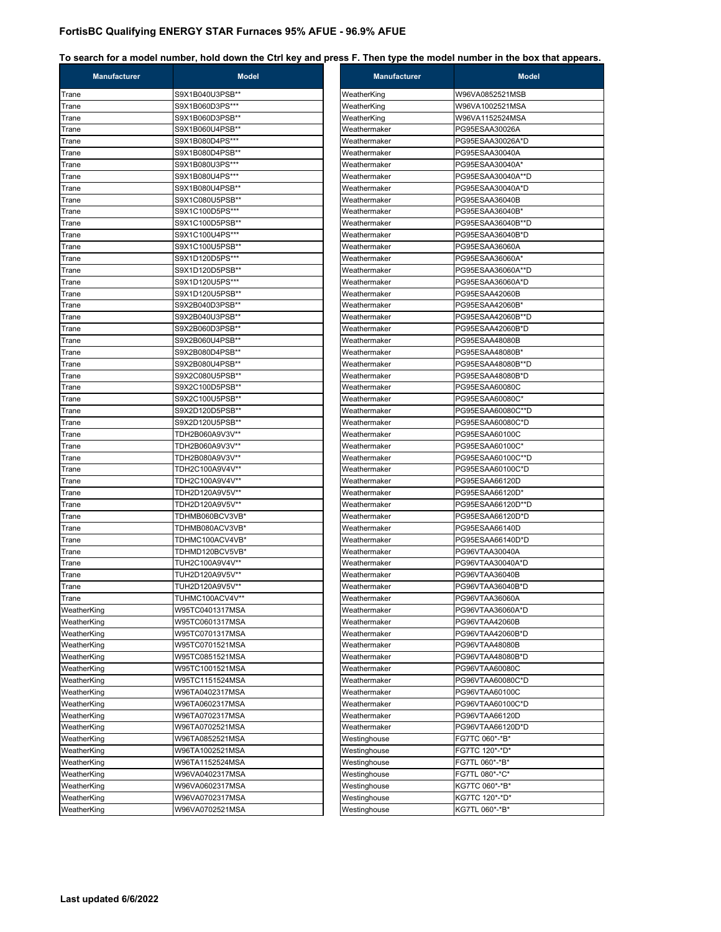| <b>Manufacturer</b> | <b>Model</b>    | <b>Manufacturer</b> | <b>Model</b>      |
|---------------------|-----------------|---------------------|-------------------|
| Trane               | S9X1B040U3PSB** | WeatherKing         | W96VA0852521MSB   |
| Trane               | S9X1B060D3PS*** | WeatherKing         | W96VA1002521MSA   |
| Trane               | S9X1B060D3PSB** | WeatherKing         | W96VA1152524MSA   |
| Trane               | S9X1B060U4PSB** | Weathermaker        | PG95ESAA30026A    |
| Trane               | S9X1B080D4PS*** | Weathermaker        | PG95ESAA30026A*D  |
| Trane               | S9X1B080D4PSB** | Weathermaker        | PG95ESAA30040A    |
| Trane               | S9X1B080U3PS*** | Weathermaker        | PG95ESAA30040A*   |
| Trane               | S9X1B080U4PS*** | Weathermaker        | PG95ESAA30040A**D |
| Trane               | S9X1B080U4PSB** | Weathermaker        | PG95ESAA30040A*D  |
| Trane               | S9X1C080U5PSB** | Weathermaker        | PG95ESAA36040B    |
| Trane               | S9X1C100D5PS*** | Weathermaker        | PG95ESAA36040B*   |
| Trane               | S9X1C100D5PSB** | Weathermaker        | PG95ESAA36040B**D |
| Trane               | S9X1C100U4PS*** | Weathermaker        | PG95ESAA36040B*D  |
| Trane               | S9X1C100U5PSB** | Weathermaker        | PG95ESAA36060A    |
| Trane               | S9X1D120D5PS*** | Weathermaker        | PG95ESAA36060A*   |
| Trane               | S9X1D120D5PSB** | Weathermaker        | PG95ESAA36060A**D |
| Trane               | S9X1D120U5PS*** | Weathermaker        | PG95ESAA36060A*D  |
| Trane               | S9X1D120U5PSB** | Weathermaker        | PG95ESAA42060B    |
| Trane               | S9X2B040D3PSB** | Weathermaker        | PG95ESAA42060B*   |
| Trane               | S9X2B040U3PSB** | Weathermaker        | PG95ESAA42060B**D |
| Trane               | S9X2B060D3PSB** | Weathermaker        | PG95ESAA42060B*D  |
| Trane               | S9X2B060U4PSB** | Weathermaker        | PG95ESAA48080B    |
| Trane               | S9X2B080D4PSB** | Weathermaker        | PG95ESAA48080B*   |
| Trane               | S9X2B080U4PSB** | Weathermaker        | PG95ESAA48080B**D |
| Trane               | S9X2C080U5PSB** | Weathermaker        | PG95ESAA48080B*D  |
| Trane               | S9X2C100D5PSB** | Weathermaker        | PG95ESAA60080C    |
| Trane               | S9X2C100U5PSB** | Weathermaker        | PG95ESAA60080C*   |
| Trane               | S9X2D120D5PSB** | Weathermaker        | PG95ESAA60080C**D |
| Trane               | S9X2D120U5PSB** | Weathermaker        | PG95ESAA60080C*D  |
| Trane               | TDH2B060A9V3V** | Weathermaker        | PG95ESAA60100C    |
| Trane               | TDH2B060A9V3V** | Weathermaker        | PG95ESAA60100C*   |
| Trane               | TDH2B080A9V3V** | Weathermaker        | PG95ESAA60100C**D |
| Trane               | TDH2C100A9V4V** | Weathermaker        | PG95ESAA60100C*D  |
| Trane               | TDH2C100A9V4V** | Weathermaker        | PG95ESAA66120D    |
| Trane               | TDH2D120A9V5V** | Weathermaker        | PG95ESAA66120D*   |
| Trane               | TDH2D120A9V5V** | Weathermaker        | PG95ESAA66120D**D |
| Trane               | TDHMB060BCV3VB* | Weathermaker        | PG95ESAA66120D*D  |
| Trane               | TDHMB080ACV3VB* | Weathermaker        | PG95ESAA66140D    |
| Trane               | TDHMC100ACV4VB* | Weathermaker        | PG95ESAA66140D*D  |
| Trane               | TDHMD120BCV5VB* | Weathermaker        | PG96VTAA30040A    |
| Trane               | TUH2C100A9V4V** | Weathermaker        | PG96VTAA30040A*D  |
| Trane               | TUH2D120A9V5V** | Weathermaker        | PG96VTAA36040B    |
| Trane               | TUH2D120A9V5V** | Weathermaker        | PG96VTAA36040B*D  |
| Trane               | TUHMC100ACV4V** | Weathermaker        | PG96VTAA36060A    |
| WeatherKing         | W95TC0401317MSA | Weathermaker        | PG96VTAA36060A*D  |
| WeatherKing         | W95TC0601317MSA | Weathermaker        | PG96VTAA42060B    |
| WeatherKing         | W95TC0701317MSA | Weathermaker        | PG96VTAA42060B*D  |
| WeatherKing         | W95TC0701521MSA | Weathermaker        | PG96VTAA48080B    |
| WeatherKing         | W95TC0851521MSA | Weathermaker        | PG96VTAA48080B*D  |
| WeatherKing         | W95TC1001521MSA | Weathermaker        | PG96VTAA60080C    |
| WeatherKing         | W95TC1151524MSA | Weathermaker        | PG96VTAA60080C*D  |
| WeatherKing         | W96TA0402317MSA | Weathermaker        | PG96VTAA60100C    |
| WeatherKing         | W96TA0602317MSA | Weathermaker        | PG96VTAA60100C*D  |
| WeatherKing         | W96TA0702317MSA | Weathermaker        | PG96VTAA66120D    |
| WeatherKing         | W96TA0702521MSA | Weathermaker        | PG96VTAA66120D*D  |
| WeatherKing         | W96TA0852521MSA | Westinghouse        | FG7TC 060*-*B*    |
| WeatherKing         | W96TA1002521MSA | Westinghouse        | FG7TC 120*-*D*    |
| WeatherKing         | W96TA1152524MSA | Westinghouse        | FG7TL 060*-*B*    |
| WeatherKing         | W96VA0402317MSA | Westinghouse        | FG7TL 080*-*C*    |
| WeatherKing         | W96VA0602317MSA | Westinghouse        | KG7TC 060*-*B*    |
| WeatherKing         | W96VA0702317MSA | Westinghouse        | KG7TC 120*-*D*    |
| WeatherKing         | W96VA0702521MSA | Westinghouse        | KG7TL 060*-*B*    |
|                     |                 |                     |                   |